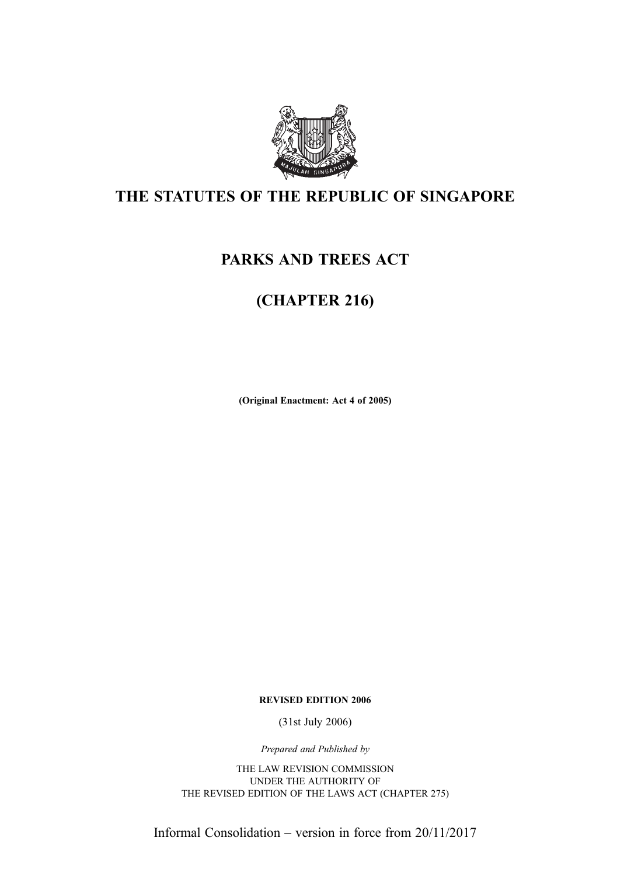

### THE STATUTES OF THE REPUBLIC OF SINGAPORE

### PARKS AND TREES ACT

## (CHAPTER 216)

(Original Enactment: Act 4 of 2005)

REVISED EDITION 2006

(31st July 2006)

Prepared and Published by

THE LAW REVISION COMMISSION UNDER THE AUTHORITY OF THE REVISED EDITION OF THE LAWS ACT (CHAPTER 275)

Informal Consolidation – version in force from 20/11/2017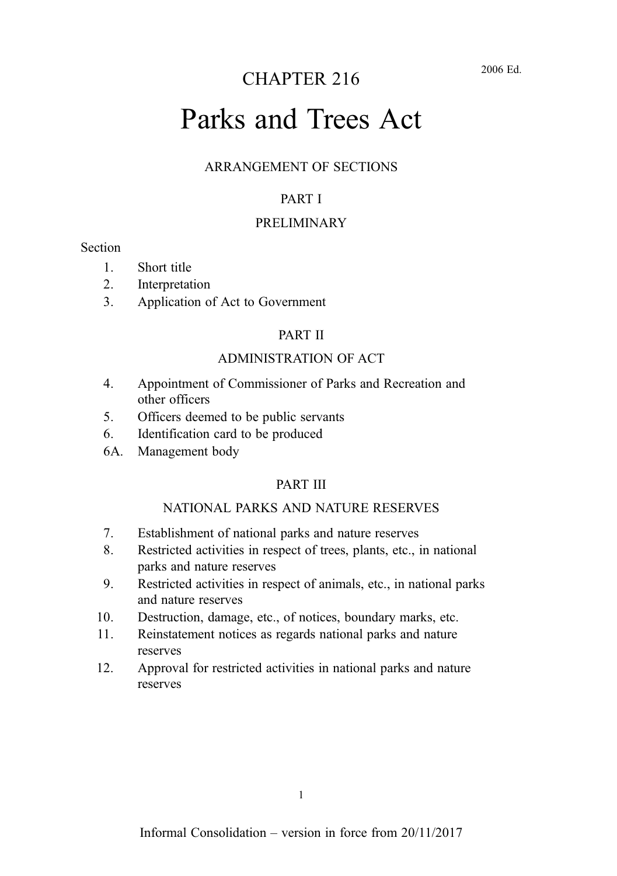### CHAPTER 216

# Parks and Trees Act

#### ARRANGEMENT OF SECTIONS

#### PART I

#### PRELIMINARY

#### **Section**

- 1. Short title
- 2. Interpretation
- 3. Application of Act to Government

#### PART II

#### ADMINISTRATION OF ACT

- 4. Appointment of Commissioner of Parks and Recreation and other officers
- 5. Officers deemed to be public servants
- 6. Identification card to be produced
- 6A. Management body

#### PART III

#### NATIONAL PARKS AND NATURE RESERVES

- 7. Establishment of national parks and nature reserves
- 8. Restricted activities in respect of trees, plants, etc., in national parks and nature reserves
- 9. Restricted activities in respect of animals, etc., in national parks and nature reserves
- 10. Destruction, damage, etc., of notices, boundary marks, etc.
- 11. Reinstatement notices as regards national parks and nature reserves
- 12. Approval for restricted activities in national parks and nature reserves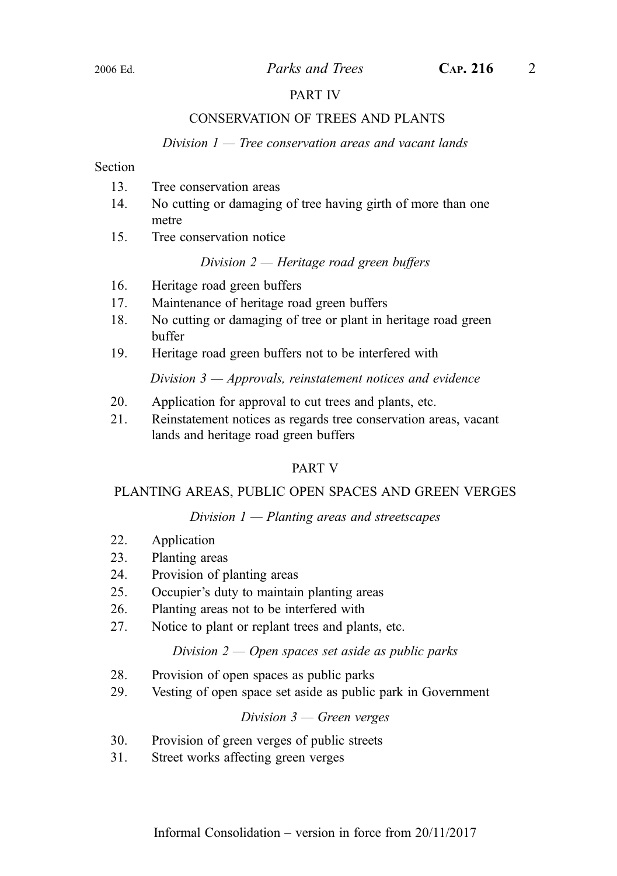#### PART IV

#### CONSERVATION OF TREES AND PLANTS

#### Division  $1$  — Tree conservation areas and vacant lands

#### **Section**

- 13. Tree conservation areas
- 14. No cutting or damaging of tree having girth of more than one metre
- 15. Tree conservation notice

#### Division 2 — Heritage road green buffers

- 16. Heritage road green buffers
- 17. Maintenance of heritage road green buffers
- 18. No cutting or damaging of tree or plant in heritage road green buffer
- 19. Heritage road green buffers not to be interfered with

Division  $3$  – Approvals, reinstatement notices and evidence

- 20. Application for approval to cut trees and plants, etc.
- 21. Reinstatement notices as regards tree conservation areas, vacant lands and heritage road green buffers

#### PART V

#### PLANTING AREAS, PUBLIC OPEN SPACES AND GREEN VERGES

#### Division  $1$  — Planting areas and streetscapes

- 22. Application
- 23. Planting areas
- 24. Provision of planting areas
- 25. Occupier's duty to maintain planting areas
- 26. Planting areas not to be interfered with
- 27. Notice to plant or replant trees and plants, etc.

#### Division  $2 -$  Open spaces set aside as public parks

- 28. Provision of open spaces as public parks
- 29. Vesting of open space set aside as public park in Government

#### Division  $3$  — Green verges

- 30. Provision of green verges of public streets
- 31. Street works affecting green verges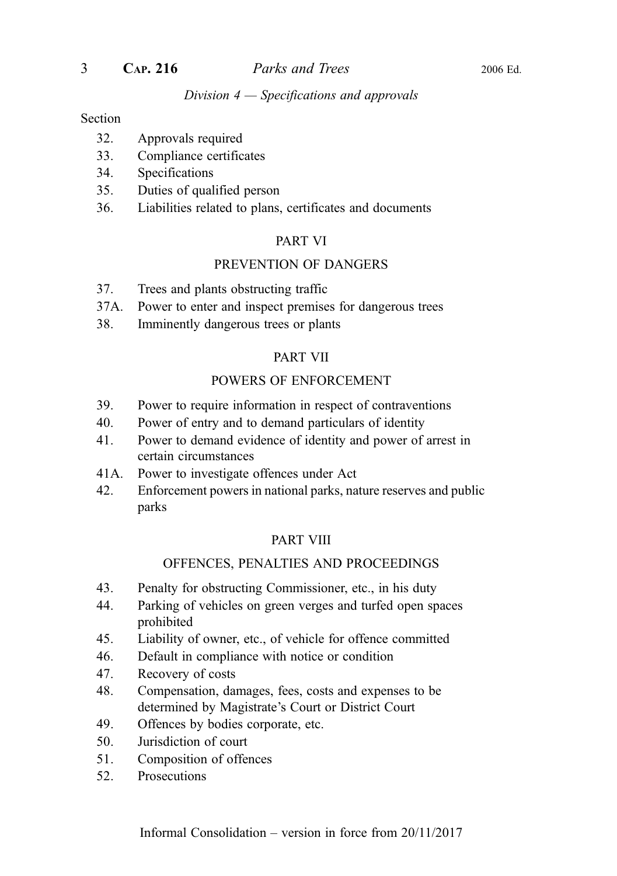#### Division 4 — Specifications and approvals

#### Section

- 32. Approvals required
- 33. Compliance certificates
- 34. Specifications
- 35. Duties of qualified person
- 36. Liabilities related to plans, certificates and documents

#### PART VI

#### PREVENTION OF DANGERS

- 37. Trees and plants obstructing traffic
- 37A. Power to enter and inspect premises for dangerous trees
- 38. Imminently dangerous trees or plants

#### PART VII

#### POWERS OF ENFORCEMENT

- 39. Power to require information in respect of contraventions
- 40. Power of entry and to demand particulars of identity
- 41. Power to demand evidence of identity and power of arrest in certain circumstances
- 41A. Power to investigate offences under Act
- 42. Enforcement powers in national parks, nature reserves and public parks

#### PART VIII

#### OFFENCES, PENALTIES AND PROCEEDINGS

- 43. Penalty for obstructing Commissioner, etc., in his duty
- 44. Parking of vehicles on green verges and turfed open spaces prohibited
- 45. Liability of owner, etc., of vehicle for offence committed
- 46. Default in compliance with notice or condition
- 47. Recovery of costs
- 48. Compensation, damages, fees, costs and expenses to be determined by Magistrate's Court or District Court
- 49. Offences by bodies corporate, etc.
- 50. Jurisdiction of court
- 51. Composition of offences
- 52. Prosecutions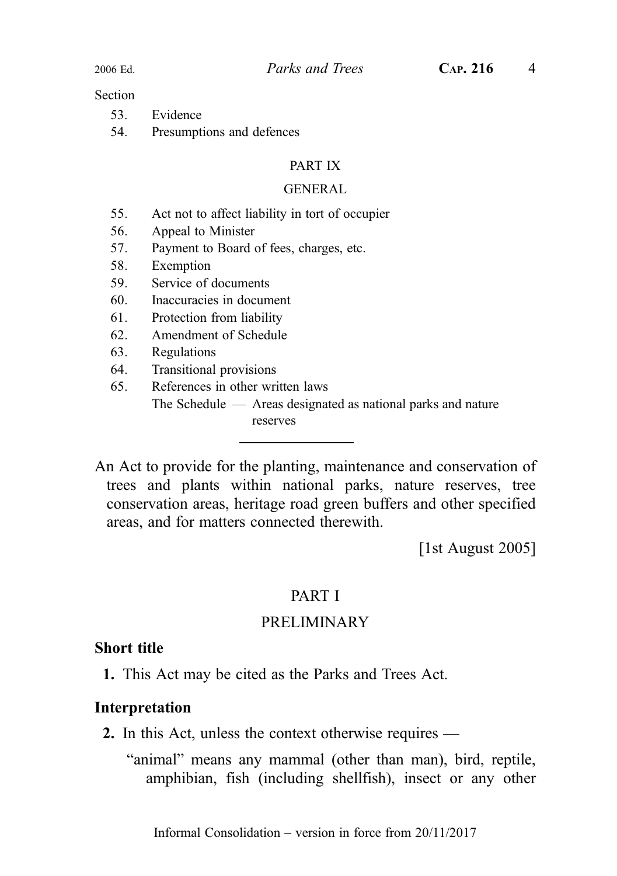#### **Section**

| 53. | Evidence |
|-----|----------|
|     |          |

54. Presumptions and defences

#### PART IX

#### GENERAL

- 55. Act not to affect liability in tort of occupier
- 56. Appeal to Minister
- 57. Payment to Board of fees, charges, etc.
- 58. Exemption
- 59. Service of documents
- 60. Inaccuracies in document
- 61. Protection from liability
- 62. Amendment of Schedule
- 63. Regulations
- 64. Transitional provisions
- 65. References in other written laws The Schedule — Areas designated as national parks and nature reserves

An Act to provide for the planting, maintenance and conservation of trees and plants within national parks, nature reserves, tree conservation areas, heritage road green buffers and other specified areas, and for matters connected therewith.

[1st August 2005]

#### PART I

### PRELIMINARY

#### Short title

1. This Act may be cited as the Parks and Trees Act.

#### Interpretation

2. In this Act, unless the context otherwise requires —

"animal" means any mammal (other than man), bird, reptile, amphibian, fish (including shellfish), insect or any other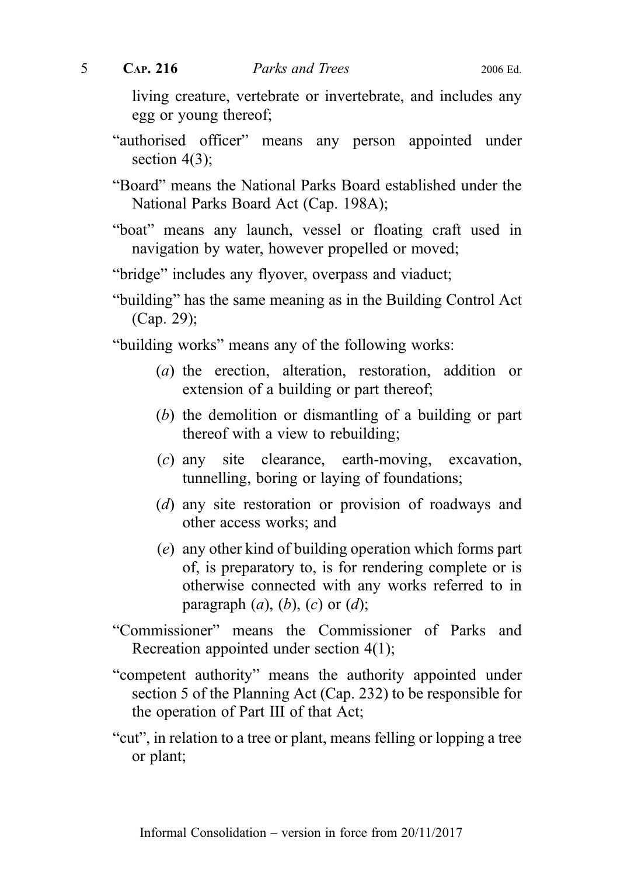living creature, vertebrate or invertebrate, and includes any egg or young thereof;

"authorised officer" means any person appointed under section 4(3);

"Board" means the National Parks Board established under the National Parks Board Act (Cap. 198A);

- "boat" means any launch, vessel or floating craft used in navigation by water, however propelled or moved;
- "bridge" includes any flyover, overpass and viaduct;
- "building" has the same meaning as in the Building Control Act (Cap. 29);

"building works" means any of the following works:

- (a) the erection, alteration, restoration, addition or extension of a building or part thereof;
- (b) the demolition or dismantling of a building or part thereof with a view to rebuilding;
- (c) any site clearance, earth-moving, excavation, tunnelling, boring or laying of foundations;
- (d) any site restoration or provision of roadways and other access works; and
- (e) any other kind of building operation which forms part of, is preparatory to, is for rendering complete or is otherwise connected with any works referred to in paragraph  $(a)$ ,  $(b)$ ,  $(c)$  or  $(d)$ ;
- "Commissioner" means the Commissioner of Parks and Recreation appointed under section 4(1);
- "competent authority" means the authority appointed under section 5 of the Planning Act (Cap. 232) to be responsible for the operation of Part III of that Act;
- "cut", in relation to a tree or plant, means felling or lopping a tree or plant;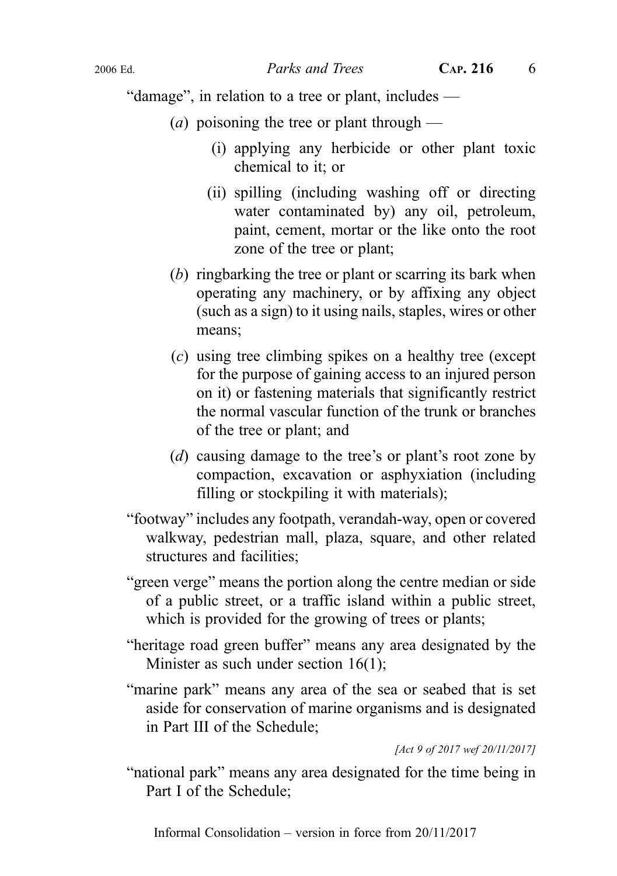"damage", in relation to a tree or plant, includes —

- (*a*) poisoning the tree or plant through
	- (i) applying any herbicide or other plant toxic chemical to it; or
	- (ii) spilling (including washing off or directing water contaminated by) any oil, petroleum, paint, cement, mortar or the like onto the root zone of the tree or plant;
- (b) ringbarking the tree or plant or scarring its bark when operating any machinery, or by affixing any object (such as a sign) to it using nails, staples, wires or other means;
- (c) using tree climbing spikes on a healthy tree (except for the purpose of gaining access to an injured person on it) or fastening materials that significantly restrict the normal vascular function of the trunk or branches of the tree or plant; and
- (d) causing damage to the tree's or plant's root zone by compaction, excavation or asphyxiation (including filling or stockpiling it with materials);
- "footway" includes any footpath, verandah-way, open or covered walkway, pedestrian mall, plaza, square, and other related structures and facilities;
- "green verge" means the portion along the centre median or side of a public street, or a traffic island within a public street, which is provided for the growing of trees or plants;
- "heritage road green buffer" means any area designated by the Minister as such under section 16(1);
- "marine park" means any area of the sea or seabed that is set aside for conservation of marine organisms and is designated in Part III of the Schedule;

[Act 9 of 2017 wef 20/11/2017]

"national park" means any area designated for the time being in Part I of the Schedule;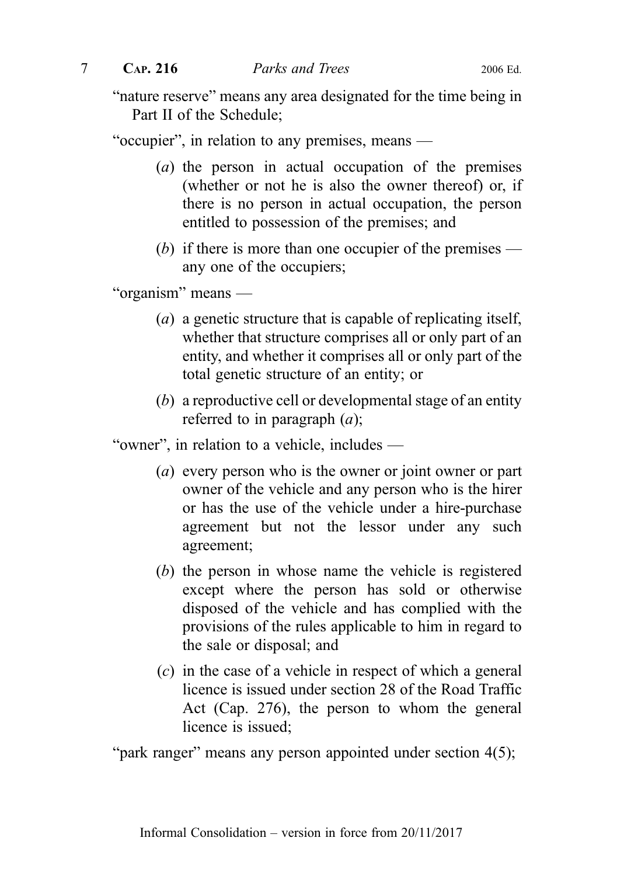"nature reserve" means any area designated for the time being in Part II of the Schedule;

"occupier", in relation to any premises, means —

- (a) the person in actual occupation of the premises (whether or not he is also the owner thereof) or, if there is no person in actual occupation, the person entitled to possession of the premises; and
- (b) if there is more than one occupier of the premises any one of the occupiers;

"organism" means —

- (a) a genetic structure that is capable of replicating itself, whether that structure comprises all or only part of an entity, and whether it comprises all or only part of the total genetic structure of an entity; or
- (b) a reproductive cell or developmental stage of an entity referred to in paragraph  $(a)$ ;

"owner", in relation to a vehicle, includes —

- (a) every person who is the owner or joint owner or part owner of the vehicle and any person who is the hirer or has the use of the vehicle under a hire-purchase agreement but not the lessor under any such agreement;
- (b) the person in whose name the vehicle is registered except where the person has sold or otherwise disposed of the vehicle and has complied with the provisions of the rules applicable to him in regard to the sale or disposal; and
- (c) in the case of a vehicle in respect of which a general licence is issued under section 28 of the Road Traffic Act (Cap. 276), the person to whom the general licence is issued;

"park ranger" means any person appointed under section 4(5);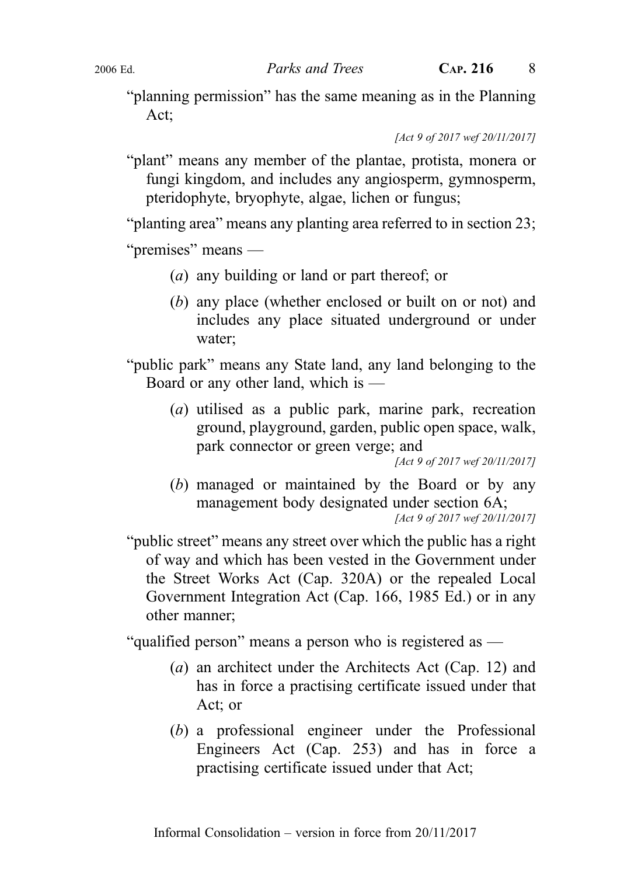"planning permission" has the same meaning as in the Planning Act;

[Act 9 of 2017 wef 20/11/2017]

"plant" means any member of the plantae, protista, monera or fungi kingdom, and includes any angiosperm, gymnosperm, pteridophyte, bryophyte, algae, lichen or fungus;

"planting area" means any planting area referred to in section 23;

"premises" means —

- (a) any building or land or part thereof; or
- (b) any place (whether enclosed or built on or not) and includes any place situated underground or under water;

"public park" means any State land, any land belonging to the Board or any other land, which is —

> (a) utilised as a public park, marine park, recreation ground, playground, garden, public open space, walk, park connector or green verge; and

[Act 9 of 2017 wef 20/11/2017]

(b) managed or maintained by the Board or by any management body designated under section 6A;

[Act 9 of 2017 wef 20/11/2017]

"public street" means any street over which the public has a right of way and which has been vested in the Government under the Street Works Act (Cap. 320A) or the repealed Local Government Integration Act (Cap. 166, 1985 Ed.) or in any other manner;

"qualified person" means a person who is registered as —

- (a) an architect under the Architects Act (Cap. 12) and has in force a practising certificate issued under that Act; or
- (b) a professional engineer under the Professional Engineers Act (Cap. 253) and has in force a practising certificate issued under that Act;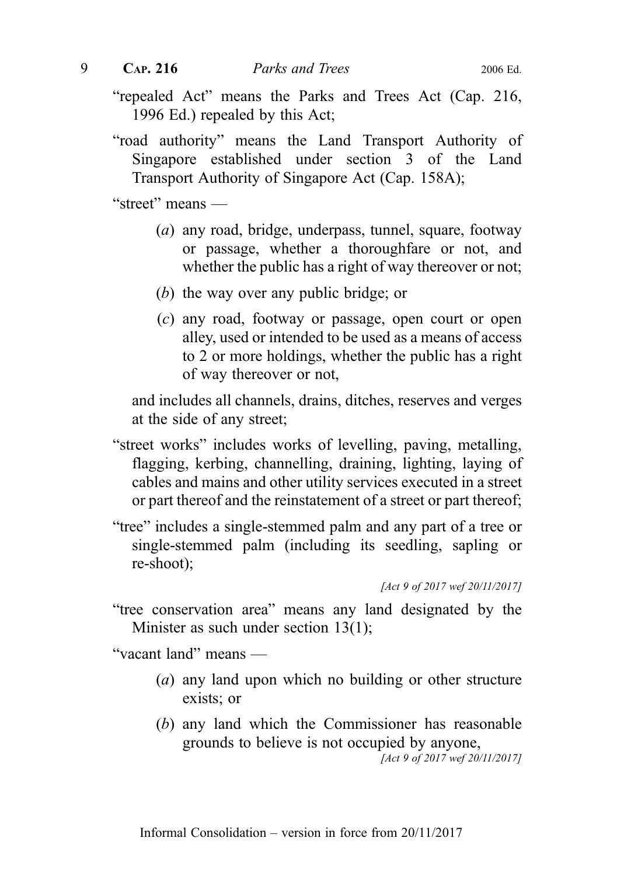- "repealed Act" means the Parks and Trees Act (Cap. 216, 1996 Ed.) repealed by this Act;
- "road authority" means the Land Transport Authority of Singapore established under section 3 of the Land Transport Authority of Singapore Act (Cap. 158A);

"street" means —

- (a) any road, bridge, underpass, tunnel, square, footway or passage, whether a thoroughfare or not, and whether the public has a right of way thereover or not;
- (b) the way over any public bridge; or
- (c) any road, footway or passage, open court or open alley, used or intended to be used as a means of access to 2 or more holdings, whether the public has a right of way thereover or not,

and includes all channels, drains, ditches, reserves and verges at the side of any street;

- "street works" includes works of levelling, paving, metalling, flagging, kerbing, channelling, draining, lighting, laying of cables and mains and other utility services executed in a street or part thereof and the reinstatement of a street or part thereof;
- "tree" includes a single‑stemmed palm and any part of a tree or single‑stemmed palm (including its seedling, sapling or re‑shoot);

"tree conservation area" means any land designated by the Minister as such under section 13(1);

"vacant land" means —

- (a) any land upon which no building or other structure exists; or
- (b) any land which the Commissioner has reasonable grounds to believe is not occupied by anyone, [Act 9 of 2017 wef 20/11/2017]

<sup>[</sup>Act 9 of 2017 wef 20/11/2017]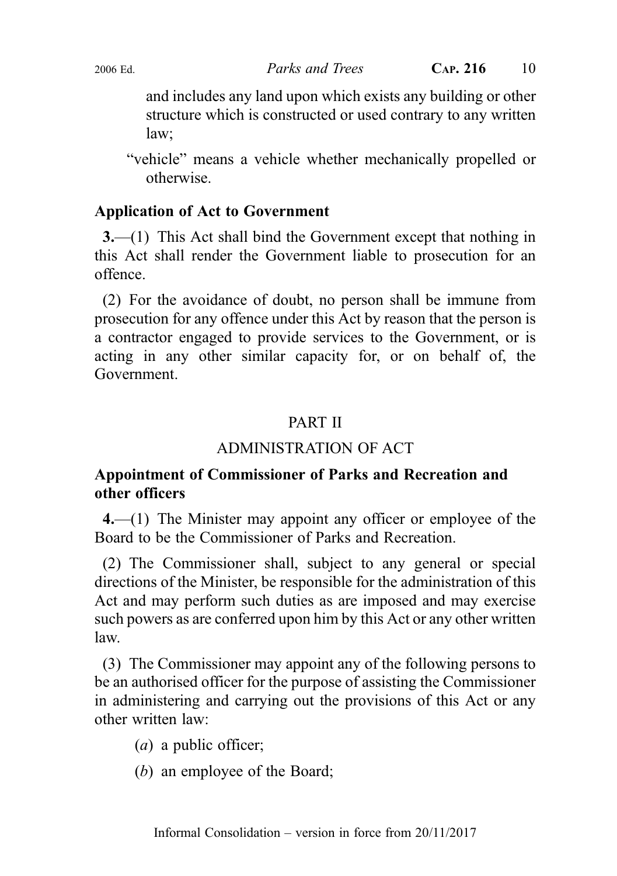and includes any land upon which exists any building or other structure which is constructed or used contrary to any written law;

"vehicle" means a vehicle whether mechanically propelled or otherwise.

### Application of Act to Government

3.—(1) This Act shall bind the Government except that nothing in this Act shall render the Government liable to prosecution for an offence.

(2) For the avoidance of doubt, no person shall be immune from prosecution for any offence under this Act by reason that the person is a contractor engaged to provide services to the Government, or is acting in any other similar capacity for, or on behalf of, the Government.

### PART II

### ADMINISTRATION OF ACT

### Appointment of Commissioner of Parks and Recreation and other officers

4.—(1) The Minister may appoint any officer or employee of the Board to be the Commissioner of Parks and Recreation.

(2) The Commissioner shall, subject to any general or special directions of the Minister, be responsible for the administration of this Act and may perform such duties as are imposed and may exercise such powers as are conferred upon him by this Act or any other written law.

(3) The Commissioner may appoint any of the following persons to be an authorised officer for the purpose of assisting the Commissioner in administering and carrying out the provisions of this Act or any other written law:

- $(a)$  a public officer;
- (b) an employee of the Board;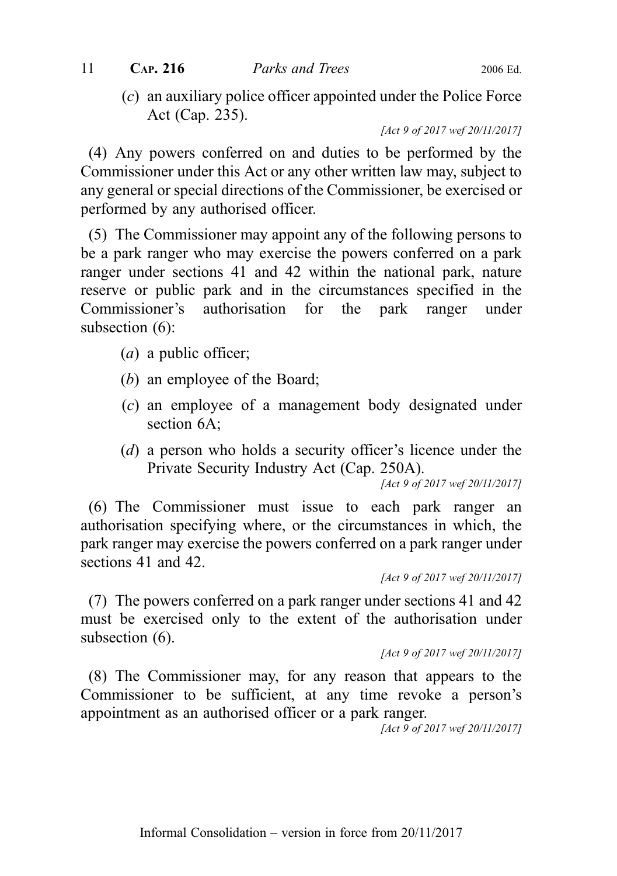(c) an auxiliary police officer appointed under the Police Force Act (Cap. 235).

[Act 9 of 2017 wef 20/11/2017]

(4) Any powers conferred on and duties to be performed by the Commissioner under this Act or any other written law may, subject to any general or special directions of the Commissioner, be exercised or performed by any authorised officer.

(5) The Commissioner may appoint any of the following persons to be a park ranger who may exercise the powers conferred on a park ranger under sections 41 and 42 within the national park, nature reserve or public park and in the circumstances specified in the Commissioner's authorisation for the park ranger under subsection (6):

- (a) a public officer;
- (b) an employee of the Board;
- (c) an employee of a management body designated under section 6A;
- (d) a person who holds a security officer's licence under the Private Security Industry Act (Cap. 250A).

[Act 9 of 2017 wef 20/11/2017]

(6) The Commissioner must issue to each park ranger an authorisation specifying where, or the circumstances in which, the park ranger may exercise the powers conferred on a park ranger under sections 41 and 42.

[Act 9 of 2017 wef 20/11/2017]

(7) The powers conferred on a park ranger under sections 41 and 42 must be exercised only to the extent of the authorisation under subsection  $(6)$ .

[Act 9 of 2017 wef 20/11/2017]

(8) The Commissioner may, for any reason that appears to the Commissioner to be sufficient, at any time revoke a person's appointment as an authorised officer or a park ranger.

[Act 9 of 2017 wef 20/11/2017]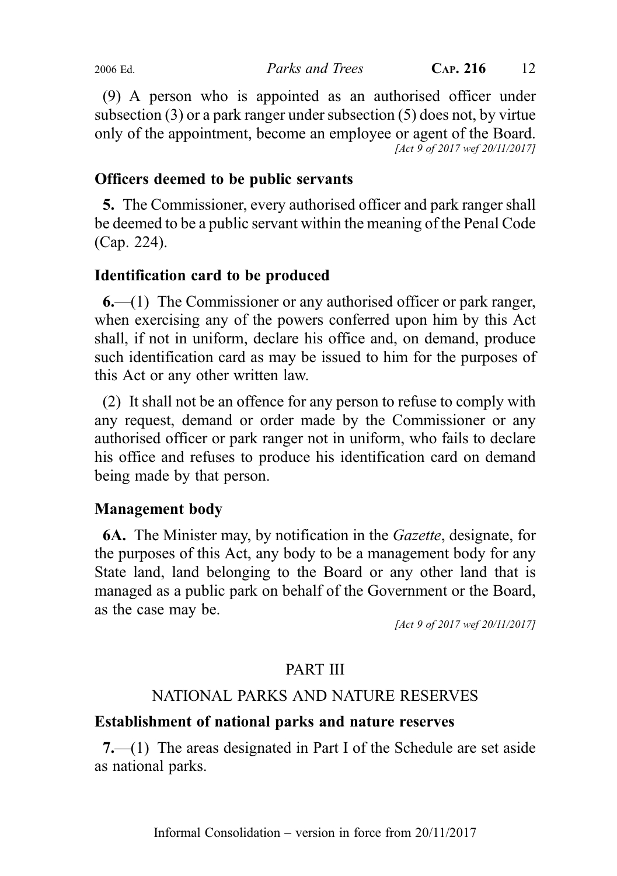(9) A person who is appointed as an authorised officer under subsection (3) or a park ranger under subsection (5) does not, by virtue only of the appointment, become an employee or agent of the Board. [Act 9 of 2017 wef 20/11/2017]

### Officers deemed to be public servants

5. The Commissioner, every authorised officer and park ranger shall be deemed to be a public servant within the meaning of the Penal Code (Cap. 224).

### Identification card to be produced

6.—(1) The Commissioner or any authorised officer or park ranger, when exercising any of the powers conferred upon him by this Act shall, if not in uniform, declare his office and, on demand, produce such identification card as may be issued to him for the purposes of this Act or any other written law.

(2) It shall not be an offence for any person to refuse to comply with any request, demand or order made by the Commissioner or any authorised officer or park ranger not in uniform, who fails to declare his office and refuses to produce his identification card on demand being made by that person.

### Management body

6A. The Minister may, by notification in the Gazette, designate, for the purposes of this Act, any body to be a management body for any State land, land belonging to the Board or any other land that is managed as a public park on behalf of the Government or the Board, as the case may be.

[Act 9 of 2017 wef 20/11/2017]

### PART III

### NATIONAL PARKS AND NATURE RESERVES

### Establishment of national parks and nature reserves

7.—(1) The areas designated in Part I of the Schedule are set aside as national parks.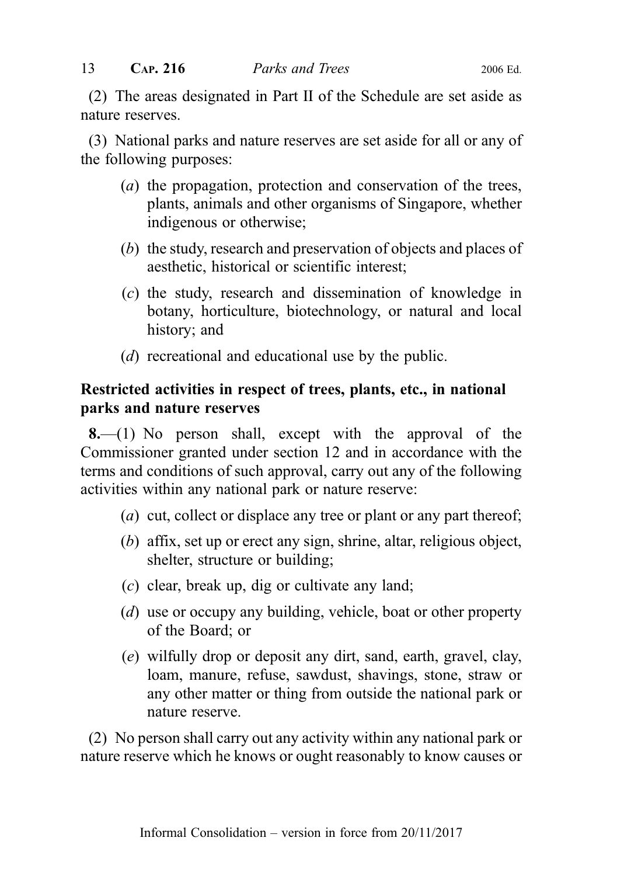(2) The areas designated in Part II of the Schedule are set aside as nature reserves.

(3) National parks and nature reserves are set aside for all or any of the following purposes:

- (a) the propagation, protection and conservation of the trees, plants, animals and other organisms of Singapore, whether indigenous or otherwise;
- (b) the study, research and preservation of objects and places of aesthetic, historical or scientific interest;
- (c) the study, research and dissemination of knowledge in botany, horticulture, biotechnology, or natural and local history; and
- (d) recreational and educational use by the public.

### Restricted activities in respect of trees, plants, etc., in national parks and nature reserves

8.—(1) No person shall, except with the approval of the Commissioner granted under section 12 and in accordance with the terms and conditions of such approval, carry out any of the following activities within any national park or nature reserve:

- (*a*) cut, collect or displace any tree or plant or any part thereof;
- (b) affix, set up or erect any sign, shrine, altar, religious object, shelter, structure or building;
- (c) clear, break up, dig or cultivate any land;
- (d) use or occupy any building, vehicle, boat or other property of the Board; or
- (e) wilfully drop or deposit any dirt, sand, earth, gravel, clay, loam, manure, refuse, sawdust, shavings, stone, straw or any other matter or thing from outside the national park or nature reserve.

(2) No person shall carry out any activity within any national park or nature reserve which he knows or ought reasonably to know causes or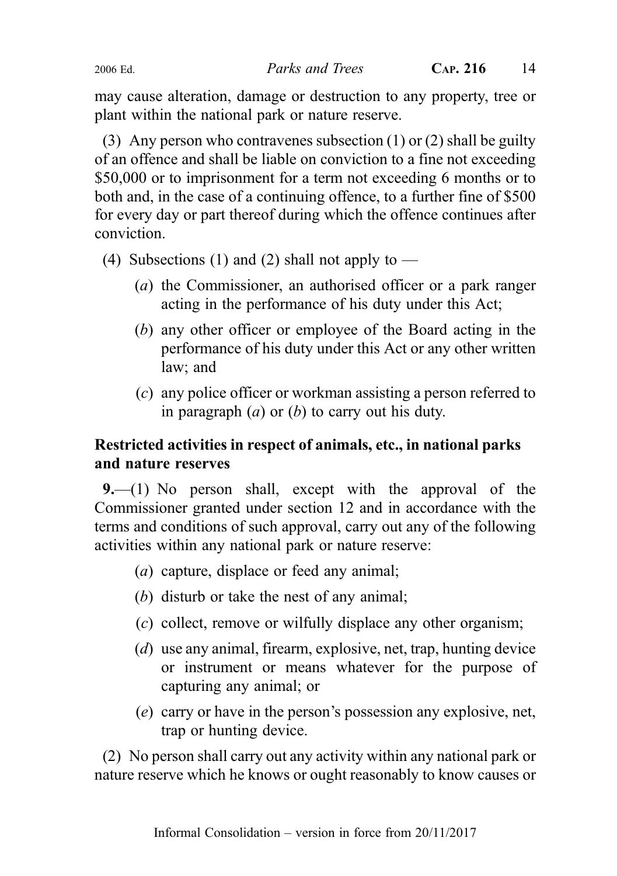may cause alteration, damage or destruction to any property, tree or plant within the national park or nature reserve.

(3) Any person who contravenes subsection (1) or (2) shall be guilty of an offence and shall be liable on conviction to a fine not exceeding \$50,000 or to imprisonment for a term not exceeding 6 months or to both and, in the case of a continuing offence, to a further fine of \$500 for every day or part thereof during which the offence continues after conviction.

- (4) Subsections (1) and (2) shall not apply to
	- (a) the Commissioner, an authorised officer or a park ranger acting in the performance of his duty under this Act;
	- (b) any other officer or employee of the Board acting in the performance of his duty under this Act or any other written law; and
	- (c) any police officer or workman assisting a person referred to in paragraph  $(a)$  or  $(b)$  to carry out his duty.

### Restricted activities in respect of animals, etc., in national parks and nature reserves

9.—(1) No person shall, except with the approval of the Commissioner granted under section 12 and in accordance with the terms and conditions of such approval, carry out any of the following activities within any national park or nature reserve:

- (a) capture, displace or feed any animal;
- (b) disturb or take the nest of any animal;
- (c) collect, remove or wilfully displace any other organism;
- (d) use any animal, firearm, explosive, net, trap, hunting device or instrument or means whatever for the purpose of capturing any animal; or
- (e) carry or have in the person's possession any explosive, net, trap or hunting device.

(2) No person shall carry out any activity within any national park or nature reserve which he knows or ought reasonably to know causes or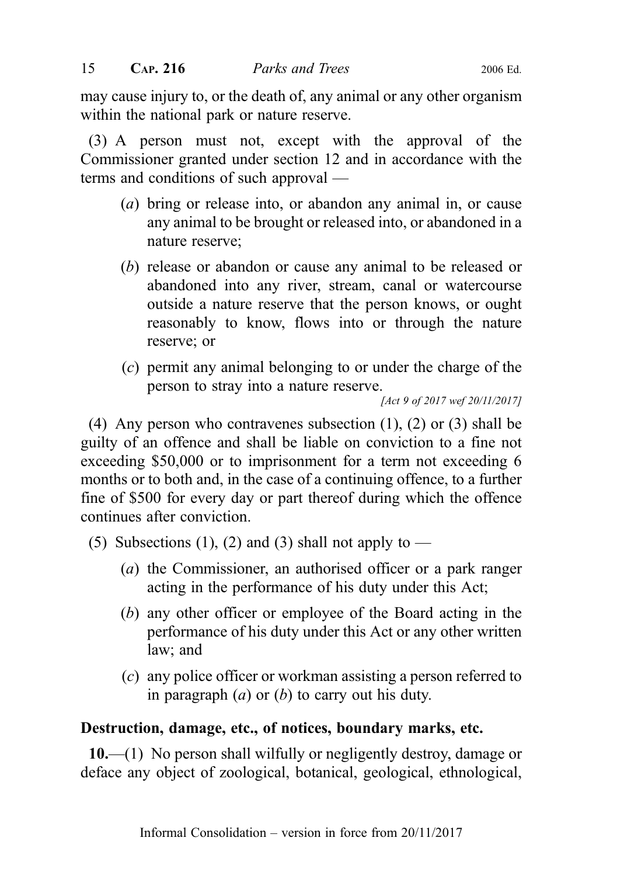may cause injury to, or the death of, any animal or any other organism within the national park or nature reserve.

(3) A person must not, except with the approval of the Commissioner granted under section 12 and in accordance with the terms and conditions of such approval —

- (a) bring or release into, or abandon any animal in, or cause any animal to be brought or released into, or abandoned in a nature reserve;
- (b) release or abandon or cause any animal to be released or abandoned into any river, stream, canal or watercourse outside a nature reserve that the person knows, or ought reasonably to know, flows into or through the nature reserve; or
- (c) permit any animal belonging to or under the charge of the person to stray into a nature reserve.

```
[Act 9 of 2017 wef 20/11/2017]
```
(4) Any person who contravenes subsection (1), (2) or (3) shall be guilty of an offence and shall be liable on conviction to a fine not exceeding \$50,000 or to imprisonment for a term not exceeding 6 months or to both and, in the case of a continuing offence, to a further fine of \$500 for every day or part thereof during which the offence continues after conviction.

- (5) Subsections (1), (2) and (3) shall not apply to
	- (a) the Commissioner, an authorised officer or a park ranger acting in the performance of his duty under this Act;
	- (b) any other officer or employee of the Board acting in the performance of his duty under this Act or any other written law; and
	- (c) any police officer or workman assisting a person referred to in paragraph  $(a)$  or  $(b)$  to carry out his duty.

### Destruction, damage, etc., of notices, boundary marks, etc.

10.—(1) No person shall wilfully or negligently destroy, damage or deface any object of zoological, botanical, geological, ethnological,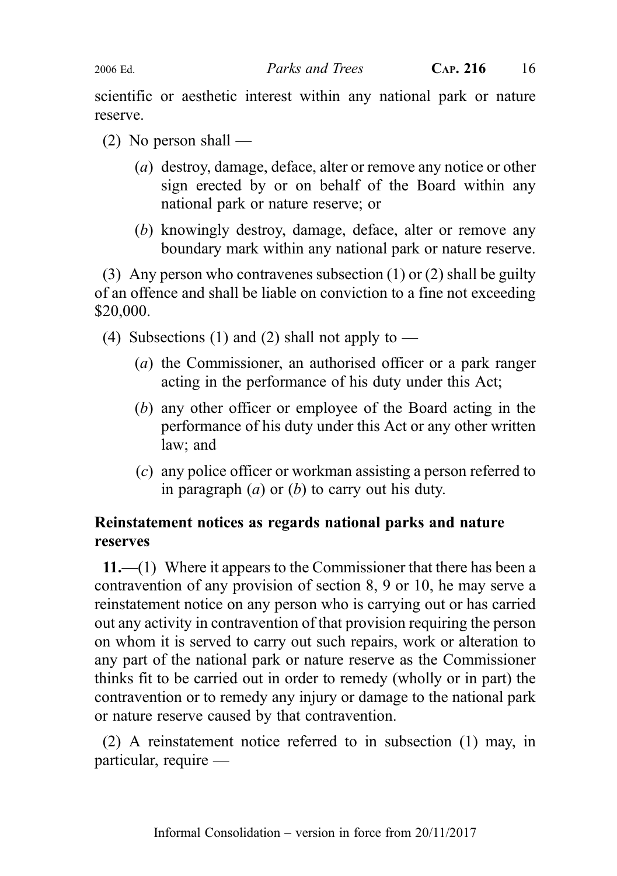2006 Ed. Parks and Trees CAP. 216 16

scientific or aesthetic interest within any national park or nature reserve.

- $(2)$  No person shall
	- (a) destroy, damage, deface, alter or remove any notice or other sign erected by or on behalf of the Board within any national park or nature reserve; or
	- (b) knowingly destroy, damage, deface, alter or remove any boundary mark within any national park or nature reserve.

(3) Any person who contravenes subsection (1) or (2) shall be guilty of an offence and shall be liable on conviction to a fine not exceeding \$20,000.

- (4) Subsections (1) and (2) shall not apply to  $-$ 
	- (a) the Commissioner, an authorised officer or a park ranger acting in the performance of his duty under this Act;
	- (b) any other officer or employee of the Board acting in the performance of his duty under this Act or any other written law; and
	- (c) any police officer or workman assisting a person referred to in paragraph  $(a)$  or  $(b)$  to carry out his duty.

### Reinstatement notices as regards national parks and nature reserves

11.—(1) Where it appears to the Commissioner that there has been a contravention of any provision of section 8, 9 or 10, he may serve a reinstatement notice on any person who is carrying out or has carried out any activity in contravention of that provision requiring the person on whom it is served to carry out such repairs, work or alteration to any part of the national park or nature reserve as the Commissioner thinks fit to be carried out in order to remedy (wholly or in part) the contravention or to remedy any injury or damage to the national park or nature reserve caused by that contravention.

(2) A reinstatement notice referred to in subsection (1) may, in particular, require —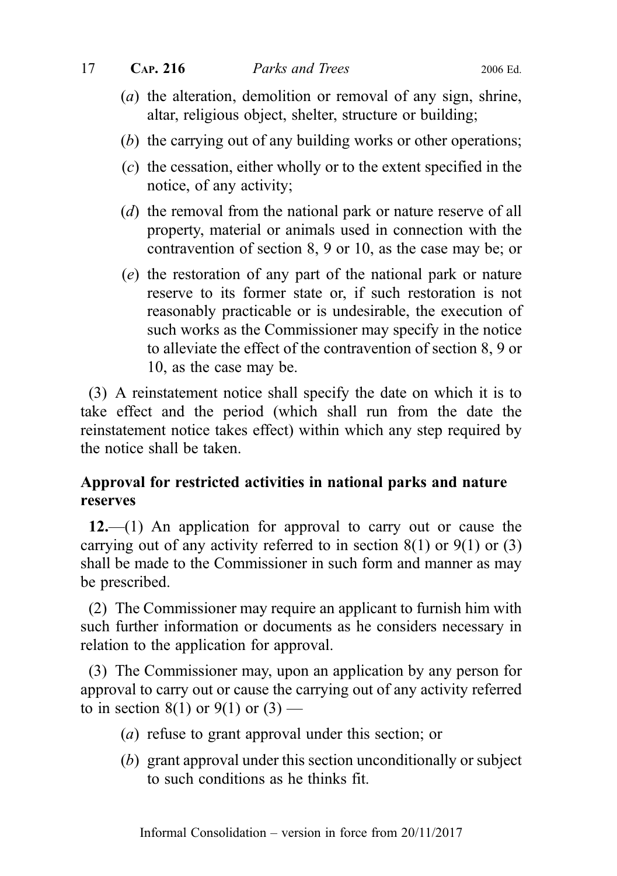- (a) the alteration, demolition or removal of any sign, shrine, altar, religious object, shelter, structure or building;
- (b) the carrying out of any building works or other operations;
- (c) the cessation, either wholly or to the extent specified in the notice, of any activity;
- (d) the removal from the national park or nature reserve of all property, material or animals used in connection with the contravention of section 8, 9 or 10, as the case may be; or
- (e) the restoration of any part of the national park or nature reserve to its former state or, if such restoration is not reasonably practicable or is undesirable, the execution of such works as the Commissioner may specify in the notice to alleviate the effect of the contravention of section 8, 9 or 10, as the case may be.

(3) A reinstatement notice shall specify the date on which it is to take effect and the period (which shall run from the date the reinstatement notice takes effect) within which any step required by the notice shall be taken.

### Approval for restricted activities in national parks and nature reserves

12.—(1) An application for approval to carry out or cause the carrying out of any activity referred to in section  $8(1)$  or  $9(1)$  or  $(3)$ shall be made to the Commissioner in such form and manner as may be prescribed.

(2) The Commissioner may require an applicant to furnish him with such further information or documents as he considers necessary in relation to the application for approval.

(3) The Commissioner may, upon an application by any person for approval to carry out or cause the carrying out of any activity referred to in section 8(1) or 9(1) or  $(3)$  —

- (a) refuse to grant approval under this section; or
- (b) grant approval under this section unconditionally or subject to such conditions as he thinks fit.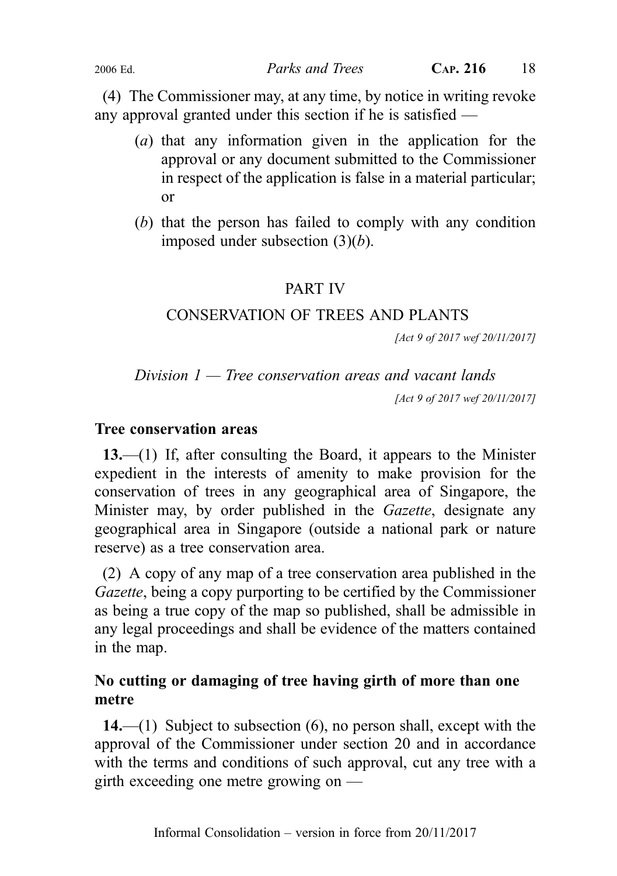(4) The Commissioner may, at any time, by notice in writing revoke any approval granted under this section if he is satisfied —

- (a) that any information given in the application for the approval or any document submitted to the Commissioner in respect of the application is false in a material particular; or
- (b) that the person has failed to comply with any condition imposed under subsection  $(3)(b)$ .

### PART IV

### CONSERVATION OF TREES AND PLANTS

[Act 9 of 2017 wef 20/11/2017]

Division  $1$  – Tree conservation areas and vacant lands

[Act 9 of 2017 wef 20/11/2017]

#### Tree conservation areas

13.—(1) If, after consulting the Board, it appears to the Minister expedient in the interests of amenity to make provision for the conservation of trees in any geographical area of Singapore, the Minister may, by order published in the *Gazette*, designate any geographical area in Singapore (outside a national park or nature reserve) as a tree conservation area.

(2) A copy of any map of a tree conservation area published in the Gazette, being a copy purporting to be certified by the Commissioner as being a true copy of the map so published, shall be admissible in any legal proceedings and shall be evidence of the matters contained in the map.

### No cutting or damaging of tree having girth of more than one metre

14.—(1) Subject to subsection (6), no person shall, except with the approval of the Commissioner under section 20 and in accordance with the terms and conditions of such approval, cut any tree with a girth exceeding one metre growing on —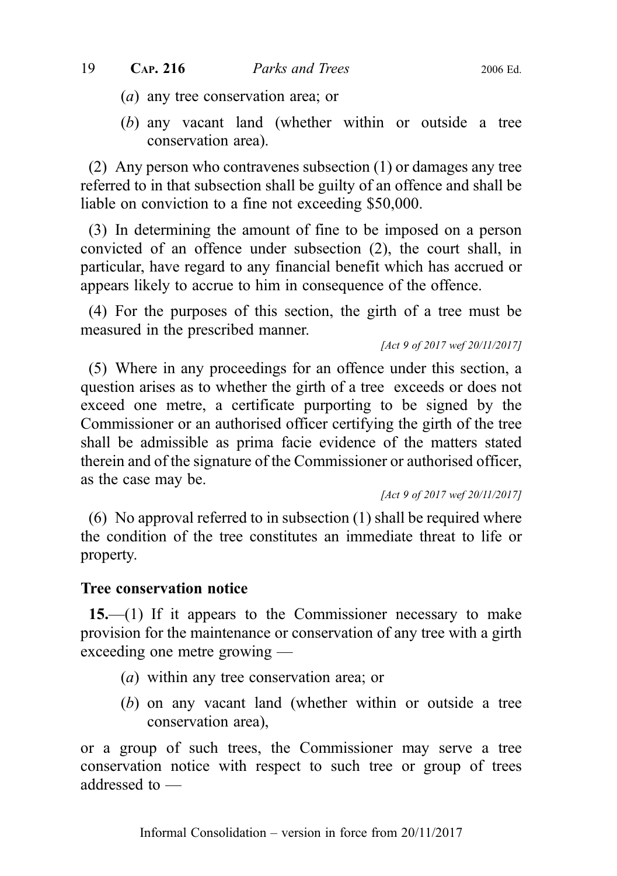- (a) any tree conservation area; or
- (b) any vacant land (whether within or outside a tree conservation area).

(2) Any person who contravenes subsection (1) or damages any tree referred to in that subsection shall be guilty of an offence and shall be liable on conviction to a fine not exceeding \$50,000.

(3) In determining the amount of fine to be imposed on a person convicted of an offence under subsection (2), the court shall, in particular, have regard to any financial benefit which has accrued or appears likely to accrue to him in consequence of the offence.

(4) For the purposes of this section, the girth of a tree must be measured in the prescribed manner.

[Act 9 of 2017 wef 20/11/2017]

(5) Where in any proceedings for an offence under this section, a question arises as to whether the girth of a tree exceeds or does not exceed one metre, a certificate purporting to be signed by the Commissioner or an authorised officer certifying the girth of the tree shall be admissible as prima facie evidence of the matters stated therein and of the signature of the Commissioner or authorised officer, as the case may be.

[Act 9 of 2017 wef 20/11/2017]

(6) No approval referred to in subsection (1) shall be required where the condition of the tree constitutes an immediate threat to life or property.

#### Tree conservation notice

15.—(1) If it appears to the Commissioner necessary to make provision for the maintenance or conservation of any tree with a girth exceeding one metre growing —

- (a) within any tree conservation area; or
- (b) on any vacant land (whether within or outside a tree conservation area),

or a group of such trees, the Commissioner may serve a tree conservation notice with respect to such tree or group of trees addressed to —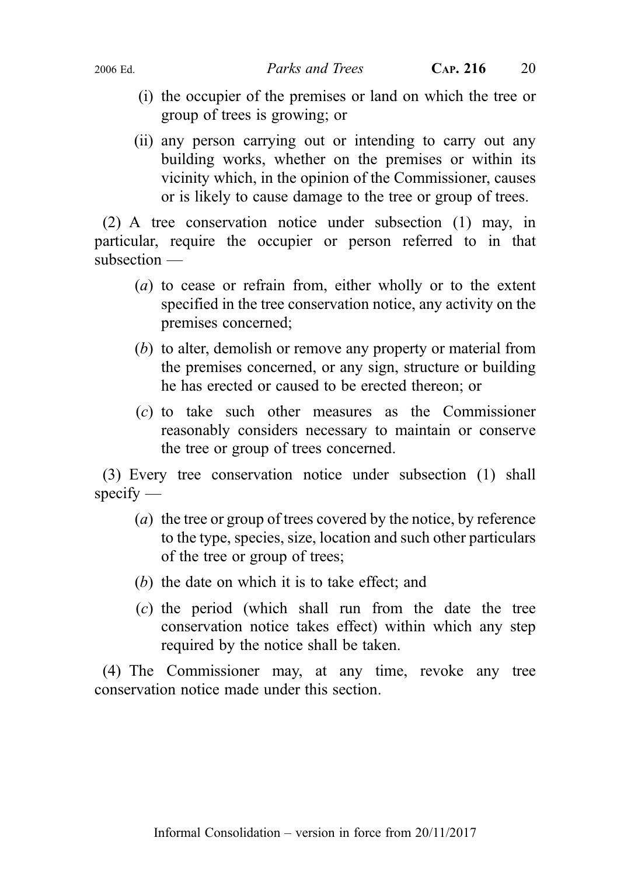- (i) the occupier of the premises or land on which the tree or group of trees is growing; or
- (ii) any person carrying out or intending to carry out any building works, whether on the premises or within its vicinity which, in the opinion of the Commissioner, causes or is likely to cause damage to the tree or group of trees.

(2) A tree conservation notice under subsection (1) may, in particular, require the occupier or person referred to in that subsection —

- (a) to cease or refrain from, either wholly or to the extent specified in the tree conservation notice, any activity on the premises concerned;
- (b) to alter, demolish or remove any property or material from the premises concerned, or any sign, structure or building he has erected or caused to be erected thereon; or
- (c) to take such other measures as the Commissioner reasonably considers necessary to maintain or conserve the tree or group of trees concerned.

(3) Every tree conservation notice under subsection (1) shall  $specify$  —

- (a) the tree or group of trees covered by the notice, by reference to the type, species, size, location and such other particulars of the tree or group of trees;
- (b) the date on which it is to take effect; and
- (c) the period (which shall run from the date the tree conservation notice takes effect) within which any step required by the notice shall be taken.

(4) The Commissioner may, at any time, revoke any tree conservation notice made under this section.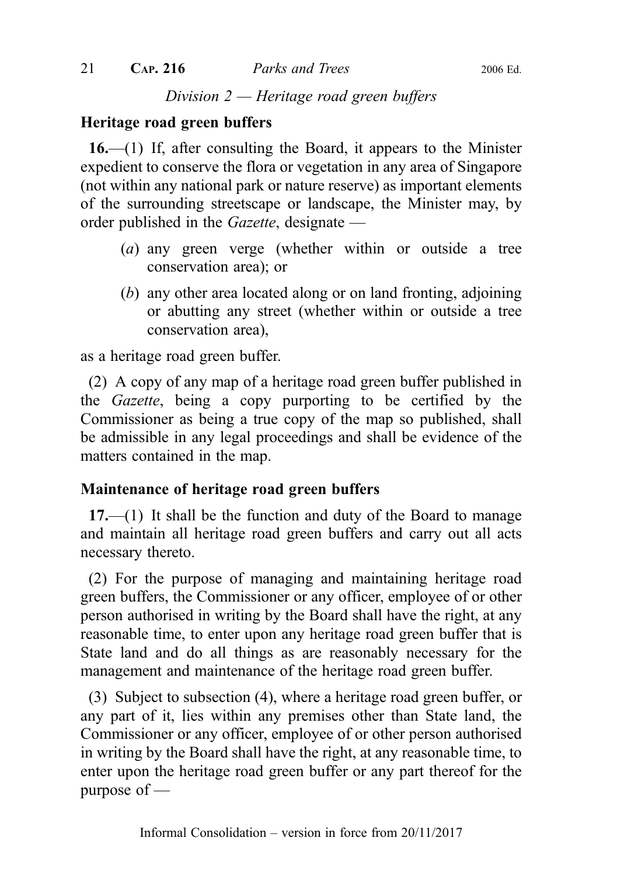### Division  $2$  — Heritage road green buffers

### Heritage road green buffers

16.—(1) If, after consulting the Board, it appears to the Minister expedient to conserve the flora or vegetation in any area of Singapore (not within any national park or nature reserve) as important elements of the surrounding streetscape or landscape, the Minister may, by order published in the Gazette, designate —

- (a) any green verge (whether within or outside a tree conservation area); or
- (b) any other area located along or on land fronting, adjoining or abutting any street (whether within or outside a tree conservation area),

as a heritage road green buffer.

(2) A copy of any map of a heritage road green buffer published in the Gazette, being a copy purporting to be certified by the Commissioner as being a true copy of the map so published, shall be admissible in any legal proceedings and shall be evidence of the matters contained in the map.

#### Maintenance of heritage road green buffers

17.—(1) It shall be the function and duty of the Board to manage and maintain all heritage road green buffers and carry out all acts necessary thereto.

(2) For the purpose of managing and maintaining heritage road green buffers, the Commissioner or any officer, employee of or other person authorised in writing by the Board shall have the right, at any reasonable time, to enter upon any heritage road green buffer that is State land and do all things as are reasonably necessary for the management and maintenance of the heritage road green buffer.

(3) Subject to subsection (4), where a heritage road green buffer, or any part of it, lies within any premises other than State land, the Commissioner or any officer, employee of or other person authorised in writing by the Board shall have the right, at any reasonable time, to enter upon the heritage road green buffer or any part thereof for the purpose of —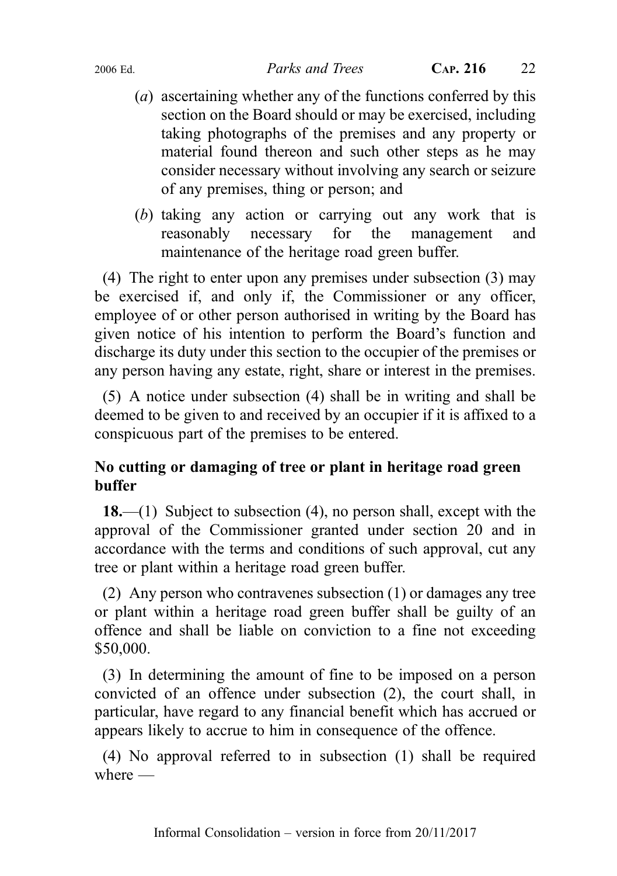- (a) ascertaining whether any of the functions conferred by this section on the Board should or may be exercised, including taking photographs of the premises and any property or material found thereon and such other steps as he may consider necessary without involving any search or seizure of any premises, thing or person; and
- (b) taking any action or carrying out any work that is reasonably necessary for the management and maintenance of the heritage road green buffer.

(4) The right to enter upon any premises under subsection (3) may be exercised if, and only if, the Commissioner or any officer, employee of or other person authorised in writing by the Board has given notice of his intention to perform the Board's function and discharge its duty under this section to the occupier of the premises or any person having any estate, right, share or interest in the premises.

(5) A notice under subsection (4) shall be in writing and shall be deemed to be given to and received by an occupier if it is affixed to a conspicuous part of the premises to be entered.

### No cutting or damaging of tree or plant in heritage road green buffer

18.—(1) Subject to subsection  $(4)$ , no person shall, except with the approval of the Commissioner granted under section 20 and in accordance with the terms and conditions of such approval, cut any tree or plant within a heritage road green buffer.

(2) Any person who contravenes subsection (1) or damages any tree or plant within a heritage road green buffer shall be guilty of an offence and shall be liable on conviction to a fine not exceeding \$50,000.

(3) In determining the amount of fine to be imposed on a person convicted of an offence under subsection (2), the court shall, in particular, have regard to any financial benefit which has accrued or appears likely to accrue to him in consequence of the offence.

(4) No approval referred to in subsection (1) shall be required where  $-$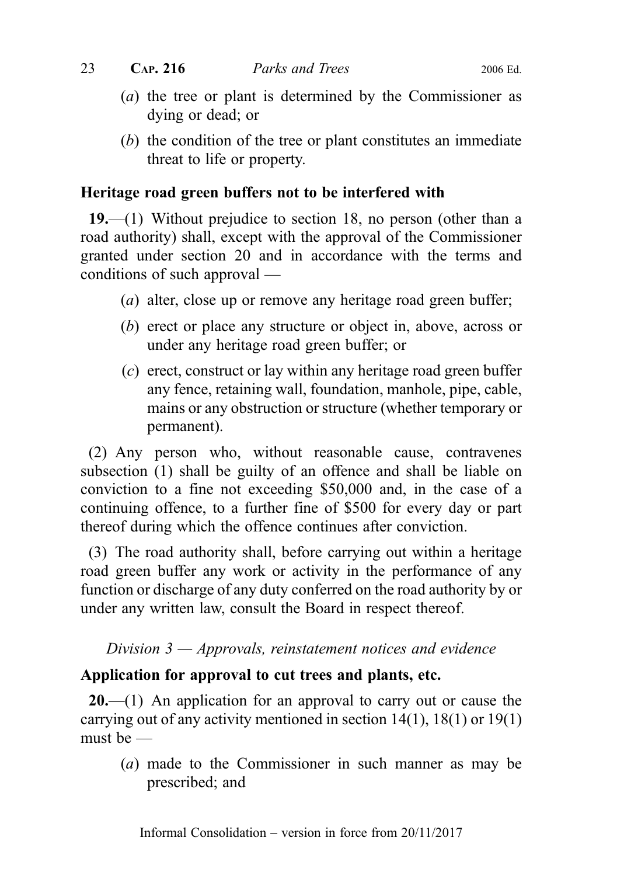- (a) the tree or plant is determined by the Commissioner as dying or dead; or
- (b) the condition of the tree or plant constitutes an immediate threat to life or property.

### Heritage road green buffers not to be interfered with

19.—(1) Without prejudice to section 18, no person (other than a road authority) shall, except with the approval of the Commissioner granted under section 20 and in accordance with the terms and conditions of such approval —

- (*a*) alter, close up or remove any heritage road green buffer;
- (b) erect or place any structure or object in, above, across or under any heritage road green buffer; or
- (c) erect, construct or lay within any heritage road green buffer any fence, retaining wall, foundation, manhole, pipe, cable, mains or any obstruction or structure (whether temporary or permanent).

(2) Any person who, without reasonable cause, contravenes subsection (1) shall be guilty of an offence and shall be liable on conviction to a fine not exceeding \$50,000 and, in the case of a continuing offence, to a further fine of \$500 for every day or part thereof during which the offence continues after conviction.

(3) The road authority shall, before carrying out within a heritage road green buffer any work or activity in the performance of any function or discharge of any duty conferred on the road authority by or under any written law, consult the Board in respect thereof.

### Division  $3$  — Approvals, reinstatement notices and evidence

### Application for approval to cut trees and plants, etc.

 $20$ .—(1) An application for an approval to carry out or cause the carrying out of any activity mentioned in section 14(1), 18(1) or 19(1) must be —

(a) made to the Commissioner in such manner as may be prescribed; and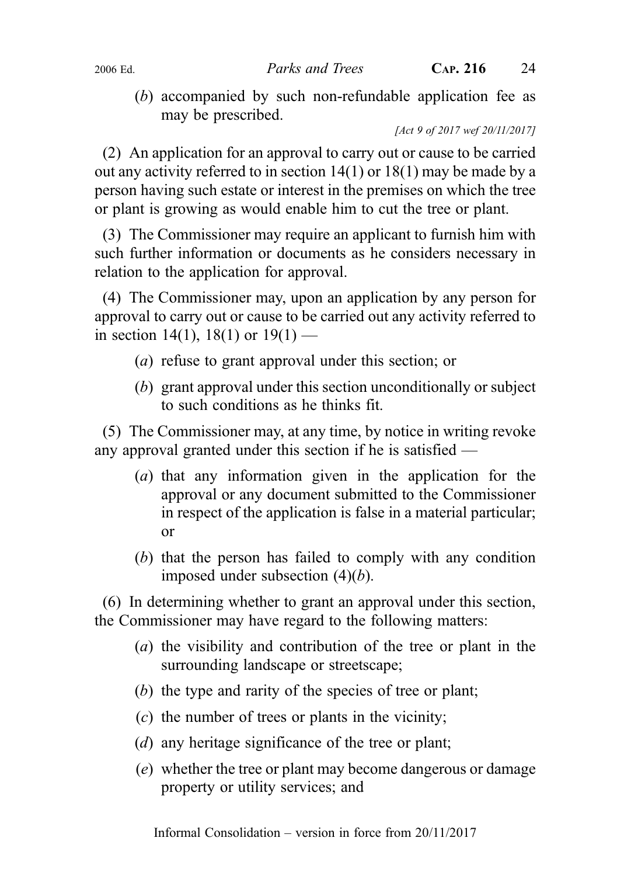(b) accompanied by such non-refundable application fee as may be prescribed.

[Act 9 of 2017 wef 20/11/2017]

(2) An application for an approval to carry out or cause to be carried out any activity referred to in section 14(1) or 18(1) may be made by a person having such estate or interest in the premises on which the tree or plant is growing as would enable him to cut the tree or plant.

(3) The Commissioner may require an applicant to furnish him with such further information or documents as he considers necessary in relation to the application for approval.

(4) The Commissioner may, upon an application by any person for approval to carry out or cause to be carried out any activity referred to in section 14(1), 18(1) or  $19(1)$  —

- (a) refuse to grant approval under this section; or
- (b) grant approval under this section unconditionally or subject to such conditions as he thinks fit.

(5) The Commissioner may, at any time, by notice in writing revoke any approval granted under this section if he is satisfied —

- (a) that any information given in the application for the approval or any document submitted to the Commissioner in respect of the application is false in a material particular; or
- (b) that the person has failed to comply with any condition imposed under subsection  $(4)(b)$ .

(6) In determining whether to grant an approval under this section, the Commissioner may have regard to the following matters:

- (a) the visibility and contribution of the tree or plant in the surrounding landscape or streetscape;
- (b) the type and rarity of the species of tree or plant;
- (c) the number of trees or plants in the vicinity;
- (d) any heritage significance of the tree or plant;
- (e) whether the tree or plant may become dangerous or damage property or utility services; and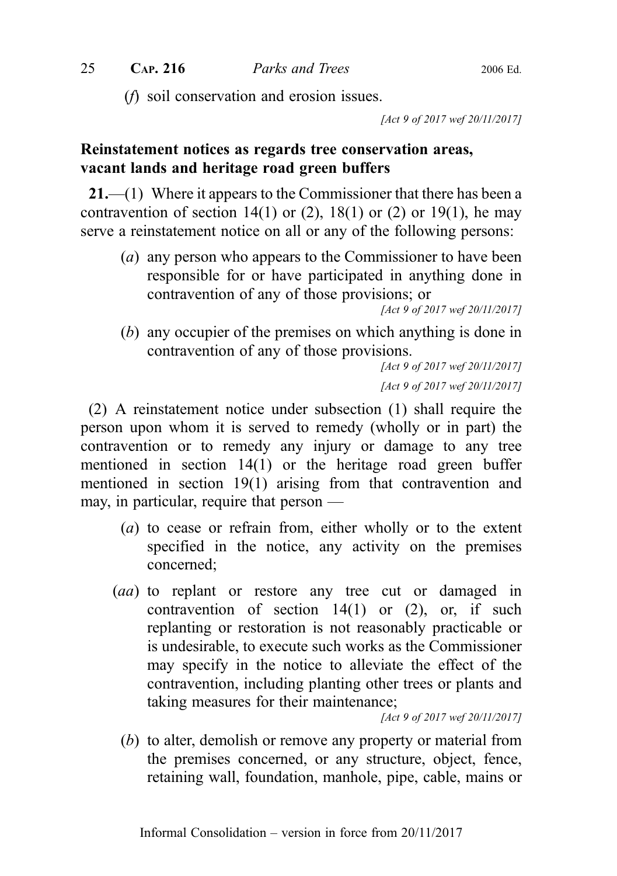(f) soil conservation and erosion issues.

[Act 9 of 2017 wef 20/11/2017]

### Reinstatement notices as regards tree conservation areas, vacant lands and heritage road green buffers

21.—(1) Where it appears to the Commissioner that there has been a contravention of section  $14(1)$  or  $(2)$ ,  $18(1)$  or  $(2)$  or  $19(1)$ , he may serve a reinstatement notice on all or any of the following persons:

(a) any person who appears to the Commissioner to have been responsible for or have participated in anything done in contravention of any of those provisions; or

[Act 9 of 2017 wef 20/11/2017]

(b) any occupier of the premises on which anything is done in contravention of any of those provisions.

```
[Act 9 of 2017 wef 20/11/2017]
[Act 9 of 2017 wef 20/11/2017]
```
(2) A reinstatement notice under subsection (1) shall require the person upon whom it is served to remedy (wholly or in part) the contravention or to remedy any injury or damage to any tree mentioned in section 14(1) or the heritage road green buffer mentioned in section 19(1) arising from that contravention and may, in particular, require that person —

- (a) to cease or refrain from, either wholly or to the extent specified in the notice, any activity on the premises concerned;
- (aa) to replant or restore any tree cut or damaged in contravention of section  $14(1)$  or  $(2)$ , or, if such replanting or restoration is not reasonably practicable or is undesirable, to execute such works as the Commissioner may specify in the notice to alleviate the effect of the contravention, including planting other trees or plants and taking measures for their maintenance;

[Act 9 of 2017 wef 20/11/2017]

(b) to alter, demolish or remove any property or material from the premises concerned, or any structure, object, fence, retaining wall, foundation, manhole, pipe, cable, mains or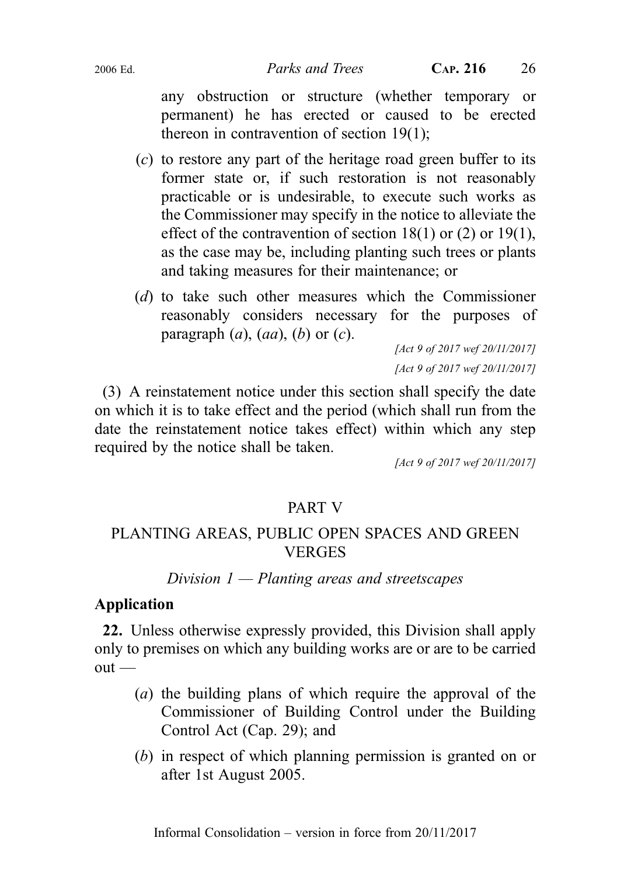2006 Ed. Parks and Trees CAP. 216 26

any obstruction or structure (whether temporary or permanent) he has erected or caused to be erected thereon in contravention of section 19(1);

- (c) to restore any part of the heritage road green buffer to its former state or, if such restoration is not reasonably practicable or is undesirable, to execute such works as the Commissioner may specify in the notice to alleviate the effect of the contravention of section  $18(1)$  or  $(2)$  or  $19(1)$ , as the case may be, including planting such trees or plants and taking measures for their maintenance; or
- (d) to take such other measures which the Commissioner reasonably considers necessary for the purposes of paragraph  $(a)$ ,  $(aa)$ ,  $(b)$  or  $(c)$ .

[Act 9 of 2017 wef 20/11/2017] [Act 9 of 2017 wef 20/11/2017]

(3) A reinstatement notice under this section shall specify the date on which it is to take effect and the period (which shall run from the date the reinstatement notice takes effect) within which any step required by the notice shall be taken.

[Act 9 of 2017 wef 20/11/2017]

### PART V

### PLANTING AREAS, PUBLIC OPEN SPACES AND GREEN **VERGES**

#### Division  $1$  — Planting areas and streetscapes

### Application

22. Unless otherwise expressly provided, this Division shall apply only to premises on which any building works are or are to be carried  $out$  —

- (a) the building plans of which require the approval of the Commissioner of Building Control under the Building Control Act (Cap. 29); and
- (b) in respect of which planning permission is granted on or after 1st August 2005.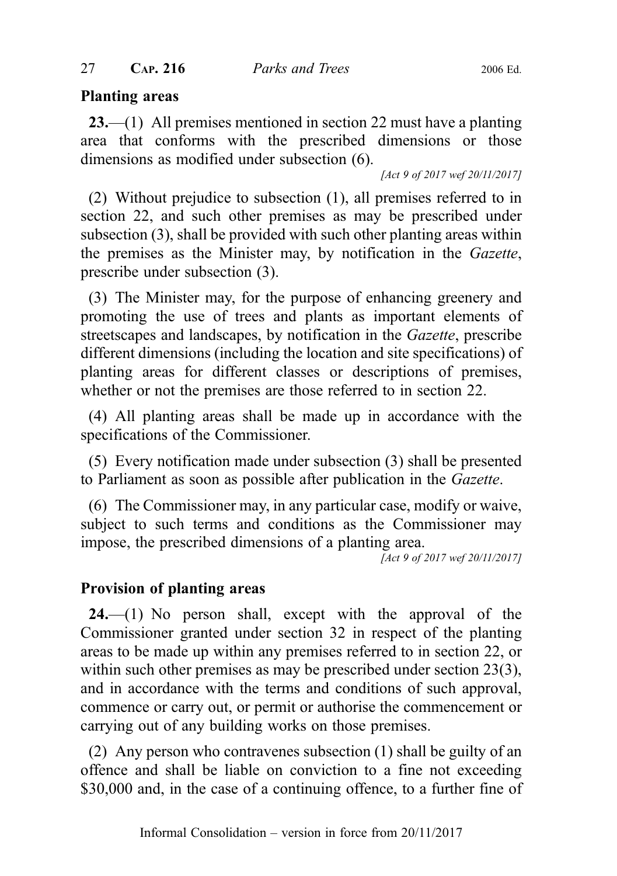#### Planting areas

23.—(1) All premises mentioned in section 22 must have a planting area that conforms with the prescribed dimensions or those dimensions as modified under subsection (6).

[Act 9 of 2017 wef 20/11/2017]

(2) Without prejudice to subsection (1), all premises referred to in section 22, and such other premises as may be prescribed under subsection (3), shall be provided with such other planting areas within the premises as the Minister may, by notification in the Gazette, prescribe under subsection (3).

(3) The Minister may, for the purpose of enhancing greenery and promoting the use of trees and plants as important elements of streetscapes and landscapes, by notification in the Gazette, prescribe different dimensions (including the location and site specifications) of planting areas for different classes or descriptions of premises, whether or not the premises are those referred to in section 22.

(4) All planting areas shall be made up in accordance with the specifications of the Commissioner.

(5) Every notification made under subsection (3) shall be presented to Parliament as soon as possible after publication in the Gazette.

(6) The Commissioner may, in any particular case, modify or waive, subject to such terms and conditions as the Commissioner may impose, the prescribed dimensions of a planting area.

[Act 9 of 2017 wef 20/11/2017]

### Provision of planting areas

**24.**—(1) No person shall, except with the approval of the Commissioner granted under section 32 in respect of the planting areas to be made up within any premises referred to in section 22, or within such other premises as may be prescribed under section 23(3), and in accordance with the terms and conditions of such approval, commence or carry out, or permit or authorise the commencement or carrying out of any building works on those premises.

(2) Any person who contravenes subsection (1) shall be guilty of an offence and shall be liable on conviction to a fine not exceeding \$30,000 and, in the case of a continuing offence, to a further fine of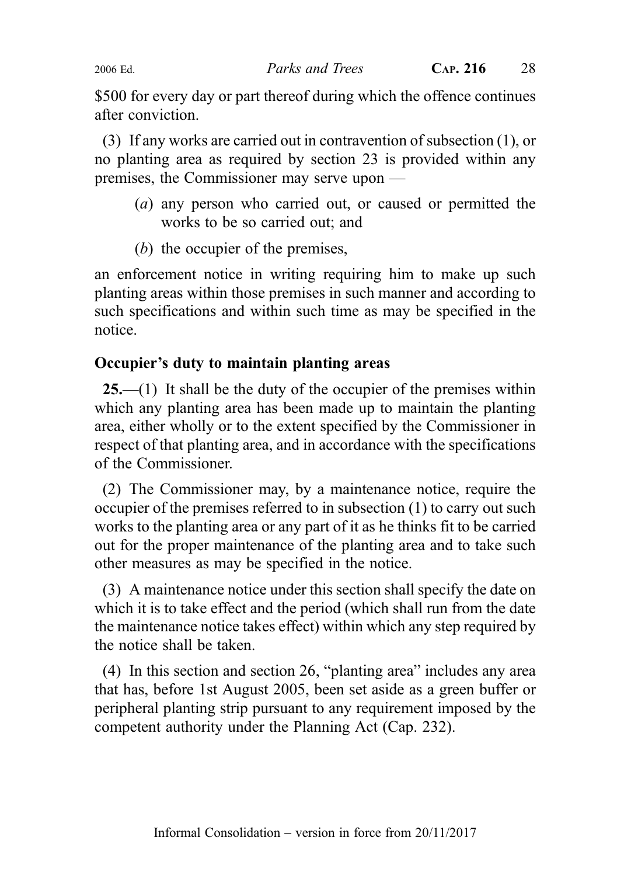\$500 for every day or part thereof during which the offence continues after conviction.

(3) If any works are carried out in contravention of subsection (1), or no planting area as required by section 23 is provided within any premises, the Commissioner may serve upon —

- (a) any person who carried out, or caused or permitted the works to be so carried out; and
- (b) the occupier of the premises,

an enforcement notice in writing requiring him to make up such planting areas within those premises in such manner and according to such specifications and within such time as may be specified in the notice.

### Occupier's duty to maintain planting areas

 $25$ —(1) It shall be the duty of the occupier of the premises within which any planting area has been made up to maintain the planting area, either wholly or to the extent specified by the Commissioner in respect of that planting area, and in accordance with the specifications of the Commissioner.

(2) The Commissioner may, by a maintenance notice, require the occupier of the premises referred to in subsection (1) to carry out such works to the planting area or any part of it as he thinks fit to be carried out for the proper maintenance of the planting area and to take such other measures as may be specified in the notice.

(3) A maintenance notice under this section shall specify the date on which it is to take effect and the period (which shall run from the date the maintenance notice takes effect) within which any step required by the notice shall be taken.

(4) In this section and section 26, "planting area" includes any area that has, before 1st August 2005, been set aside as a green buffer or peripheral planting strip pursuant to any requirement imposed by the competent authority under the Planning Act (Cap. 232).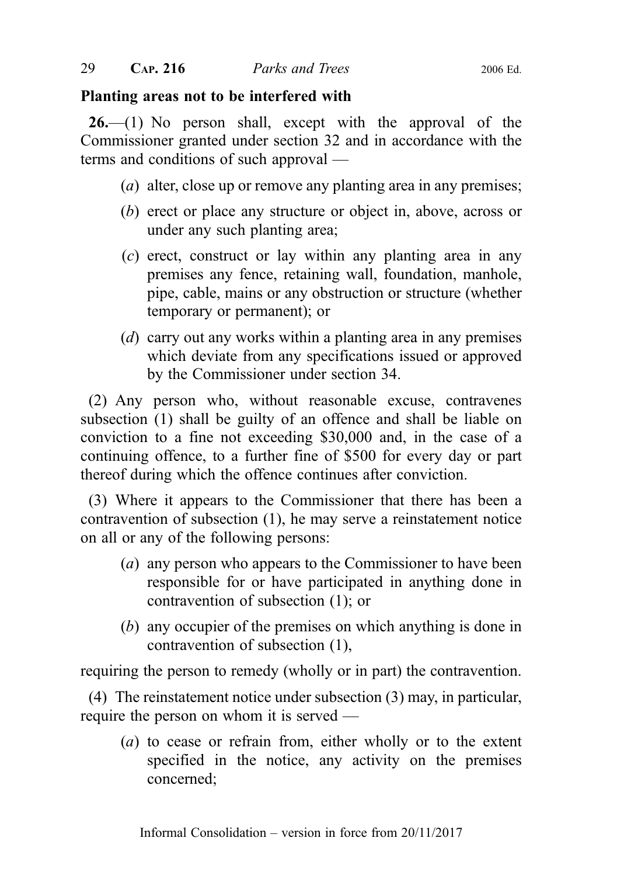### Planting areas not to be interfered with

 $26.$ —(1) No person shall, except with the approval of the Commissioner granted under section 32 and in accordance with the terms and conditions of such approval —

- (*a*) alter, close up or remove any planting area in any premises;
- (b) erect or place any structure or object in, above, across or under any such planting area;
- (c) erect, construct or lay within any planting area in any premises any fence, retaining wall, foundation, manhole, pipe, cable, mains or any obstruction or structure (whether temporary or permanent); or
- (d) carry out any works within a planting area in any premises which deviate from any specifications issued or approved by the Commissioner under section 34.

(2) Any person who, without reasonable excuse, contravenes subsection (1) shall be guilty of an offence and shall be liable on conviction to a fine not exceeding \$30,000 and, in the case of a continuing offence, to a further fine of \$500 for every day or part thereof during which the offence continues after conviction.

(3) Where it appears to the Commissioner that there has been a contravention of subsection (1), he may serve a reinstatement notice on all or any of the following persons:

- (a) any person who appears to the Commissioner to have been responsible for or have participated in anything done in contravention of subsection (1); or
- (b) any occupier of the premises on which anything is done in contravention of subsection (1),

requiring the person to remedy (wholly or in part) the contravention.

(4) The reinstatement notice under subsection (3) may, in particular, require the person on whom it is served —

(a) to cease or refrain from, either wholly or to the extent specified in the notice, any activity on the premises concerned;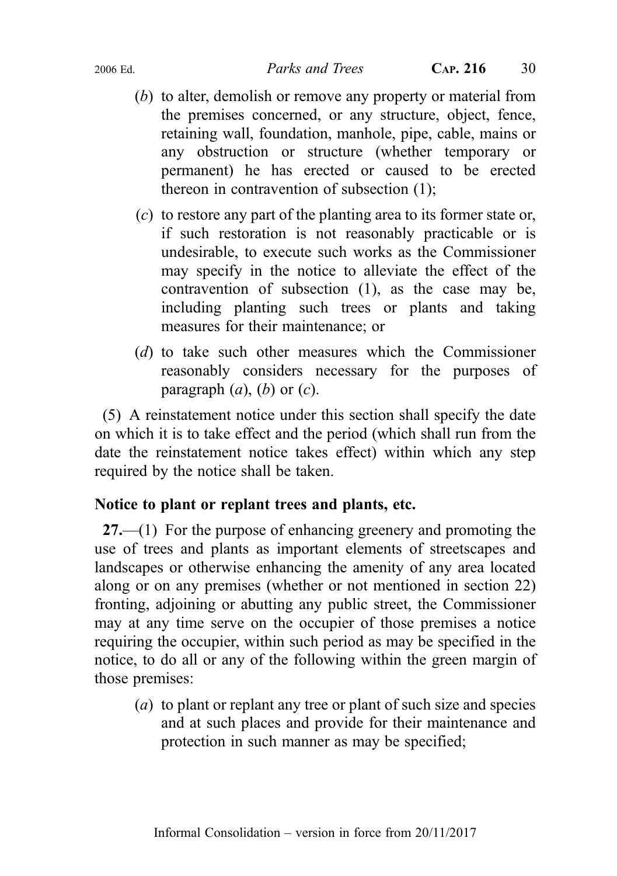- (b) to alter, demolish or remove any property or material from the premises concerned, or any structure, object, fence, retaining wall, foundation, manhole, pipe, cable, mains or any obstruction or structure (whether temporary or permanent) he has erected or caused to be erected thereon in contravention of subsection (1);
- (c) to restore any part of the planting area to its former state or, if such restoration is not reasonably practicable or is undesirable, to execute such works as the Commissioner may specify in the notice to alleviate the effect of the contravention of subsection (1), as the case may be, including planting such trees or plants and taking measures for their maintenance; or
- (d) to take such other measures which the Commissioner reasonably considers necessary for the purposes of paragraph  $(a)$ ,  $(b)$  or  $(c)$ .

(5) A reinstatement notice under this section shall specify the date on which it is to take effect and the period (which shall run from the date the reinstatement notice takes effect) within which any step required by the notice shall be taken.

### Notice to plant or replant trees and plants, etc.

27.—(1) For the purpose of enhancing greenery and promoting the use of trees and plants as important elements of streetscapes and landscapes or otherwise enhancing the amenity of any area located along or on any premises (whether or not mentioned in section 22) fronting, adjoining or abutting any public street, the Commissioner may at any time serve on the occupier of those premises a notice requiring the occupier, within such period as may be specified in the notice, to do all or any of the following within the green margin of those premises:

(a) to plant or replant any tree or plant of such size and species and at such places and provide for their maintenance and protection in such manner as may be specified;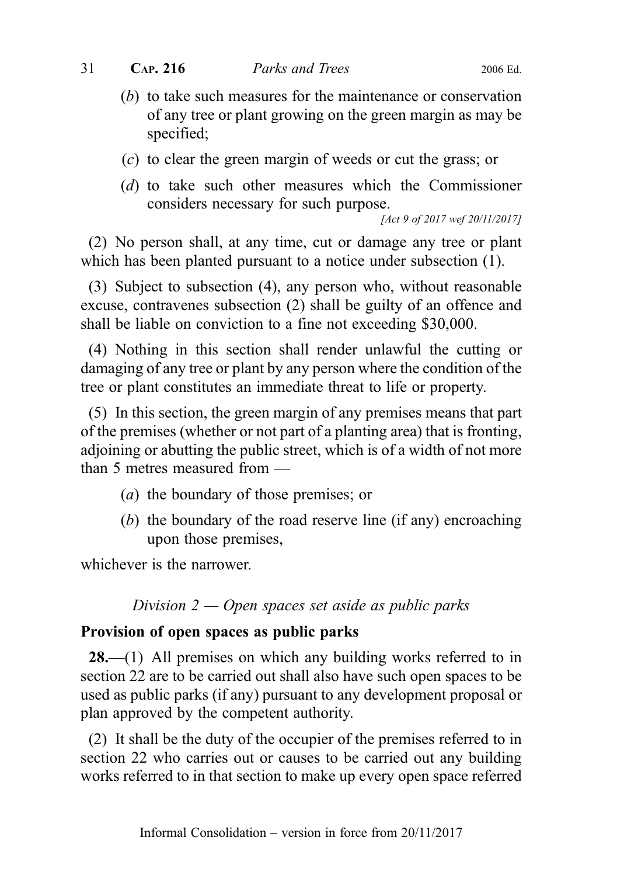- (b) to take such measures for the maintenance or conservation of any tree or plant growing on the green margin as may be specified;
- (c) to clear the green margin of weeds or cut the grass; or
- (d) to take such other measures which the Commissioner considers necessary for such purpose.

[Act 9 of 2017 wef 20/11/2017]

(2) No person shall, at any time, cut or damage any tree or plant which has been planted pursuant to a notice under subsection (1).

(3) Subject to subsection (4), any person who, without reasonable excuse, contravenes subsection (2) shall be guilty of an offence and shall be liable on conviction to a fine not exceeding \$30,000.

(4) Nothing in this section shall render unlawful the cutting or damaging of any tree or plant by any person where the condition of the tree or plant constitutes an immediate threat to life or property.

(5) In this section, the green margin of any premises means that part of the premises (whether or not part of a planting area) that is fronting, adjoining or abutting the public street, which is of a width of not more than 5 metres measured from —

- (a) the boundary of those premises; or
- (b) the boundary of the road reserve line (if any) encroaching upon those premises,

whichever is the narrower.

Division  $2 -$  Open spaces set aside as public parks

#### Provision of open spaces as public parks

28.—(1) All premises on which any building works referred to in section 22 are to be carried out shall also have such open spaces to be used as public parks (if any) pursuant to any development proposal or plan approved by the competent authority.

(2) It shall be the duty of the occupier of the premises referred to in section 22 who carries out or causes to be carried out any building works referred to in that section to make up every open space referred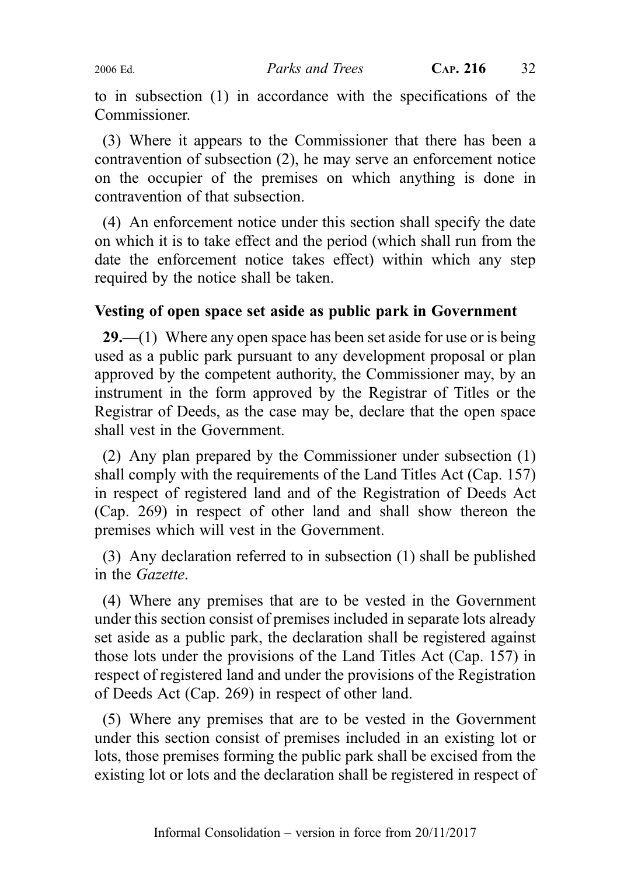to in subsection (1) in accordance with the specifications of the Commissioner.

(3) Where it appears to the Commissioner that there has been a contravention of subsection (2), he may serve an enforcement notice on the occupier of the premises on which anything is done in contravention of that subsection.

(4) An enforcement notice under this section shall specify the date on which it is to take effect and the period (which shall run from the date the enforcement notice takes effect) within which any step required by the notice shall be taken.

### Vesting of open space set aside as public park in Government

 $29$ ,—(1) Where any open space has been set aside for use or is being used as a public park pursuant to any development proposal or plan approved by the competent authority, the Commissioner may, by an instrument in the form approved by the Registrar of Titles or the Registrar of Deeds, as the case may be, declare that the open space shall vest in the Government.

(2) Any plan prepared by the Commissioner under subsection (1) shall comply with the requirements of the Land Titles Act (Cap. 157) in respect of registered land and of the Registration of Deeds Act (Cap. 269) in respect of other land and shall show thereon the premises which will vest in the Government.

(3) Any declaration referred to in subsection (1) shall be published in the Gazette.

(4) Where any premises that are to be vested in the Government under this section consist of premises included in separate lots already set aside as a public park, the declaration shall be registered against those lots under the provisions of the Land Titles Act (Cap. 157) in respect of registered land and under the provisions of the Registration of Deeds Act (Cap. 269) in respect of other land.

(5) Where any premises that are to be vested in the Government under this section consist of premises included in an existing lot or lots, those premises forming the public park shall be excised from the existing lot or lots and the declaration shall be registered in respect of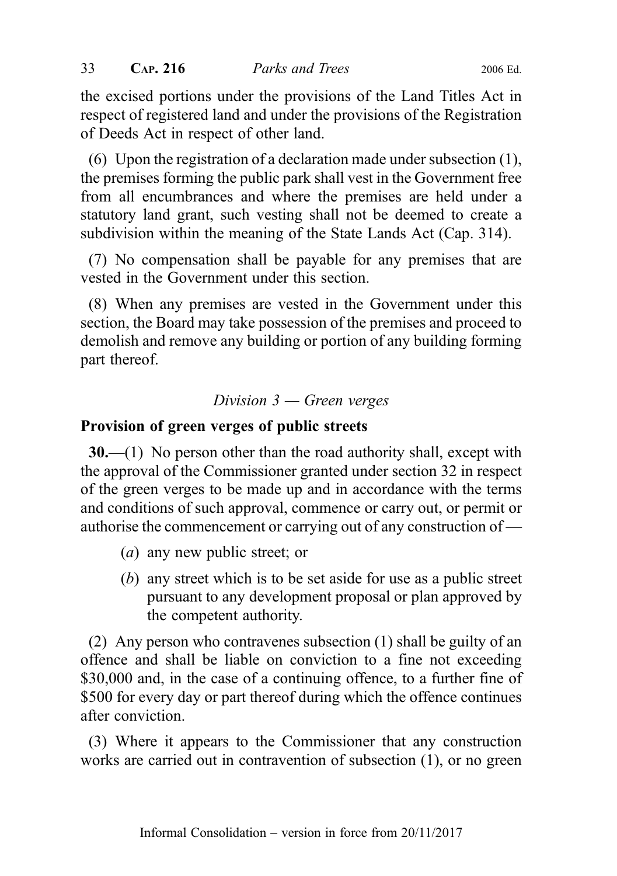the excised portions under the provisions of the Land Titles Act in respect of registered land and under the provisions of the Registration of Deeds Act in respect of other land.

(6) Upon the registration of a declaration made under subsection (1), the premises forming the public park shall vest in the Government free from all encumbrances and where the premises are held under a statutory land grant, such vesting shall not be deemed to create a subdivision within the meaning of the State Lands Act (Cap. 314).

(7) No compensation shall be payable for any premises that are vested in the Government under this section.

(8) When any premises are vested in the Government under this section, the Board may take possession of the premises and proceed to demolish and remove any building or portion of any building forming part thereof.

### Division 3 — Green verges

### Provision of green verges of public streets

 $30$ .—(1) No person other than the road authority shall, except with the approval of the Commissioner granted under section 32 in respect of the green verges to be made up and in accordance with the terms and conditions of such approval, commence or carry out, or permit or authorise the commencement or carrying out of any construction of —

- (a) any new public street; or
- (b) any street which is to be set aside for use as a public street pursuant to any development proposal or plan approved by the competent authority.

(2) Any person who contravenes subsection (1) shall be guilty of an offence and shall be liable on conviction to a fine not exceeding \$30,000 and, in the case of a continuing offence, to a further fine of \$500 for every day or part thereof during which the offence continues after conviction.

(3) Where it appears to the Commissioner that any construction works are carried out in contravention of subsection (1), or no green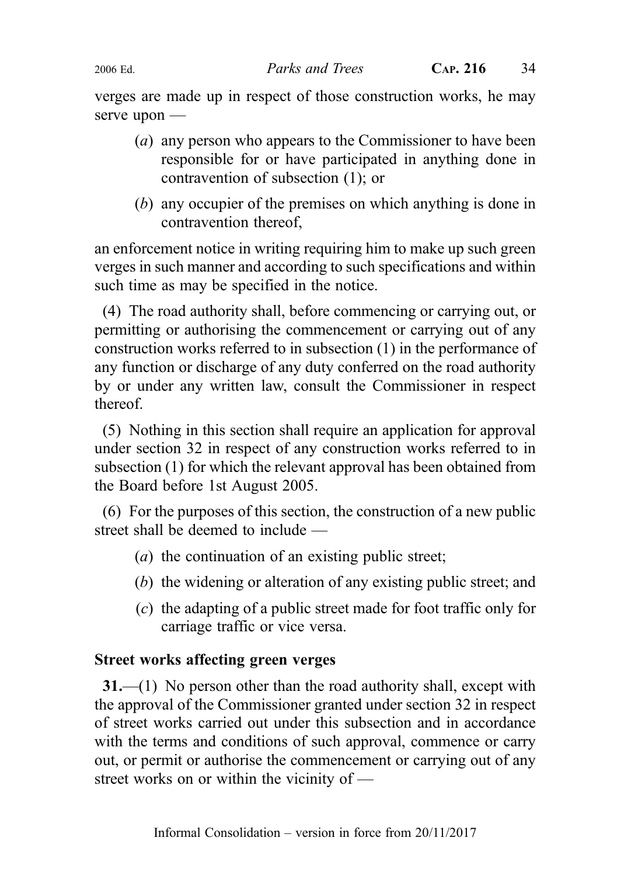verges are made up in respect of those construction works, he may serve upon —

- (a) any person who appears to the Commissioner to have been responsible for or have participated in anything done in contravention of subsection (1); or
- (b) any occupier of the premises on which anything is done in contravention thereof,

an enforcement notice in writing requiring him to make up such green verges in such manner and according to such specifications and within such time as may be specified in the notice.

(4) The road authority shall, before commencing or carrying out, or permitting or authorising the commencement or carrying out of any construction works referred to in subsection (1) in the performance of any function or discharge of any duty conferred on the road authority by or under any written law, consult the Commissioner in respect thereof.

(5) Nothing in this section shall require an application for approval under section 32 in respect of any construction works referred to in subsection (1) for which the relevant approval has been obtained from the Board before 1st August 2005.

(6) For the purposes of this section, the construction of a new public street shall be deemed to include —

- (a) the continuation of an existing public street;
- (b) the widening or alteration of any existing public street; and
- (c) the adapting of a public street made for foot traffic only for carriage traffic or vice versa.

### Street works affecting green verges

31.—(1) No person other than the road authority shall, except with the approval of the Commissioner granted under section 32 in respect of street works carried out under this subsection and in accordance with the terms and conditions of such approval, commence or carry out, or permit or authorise the commencement or carrying out of any street works on or within the vicinity of —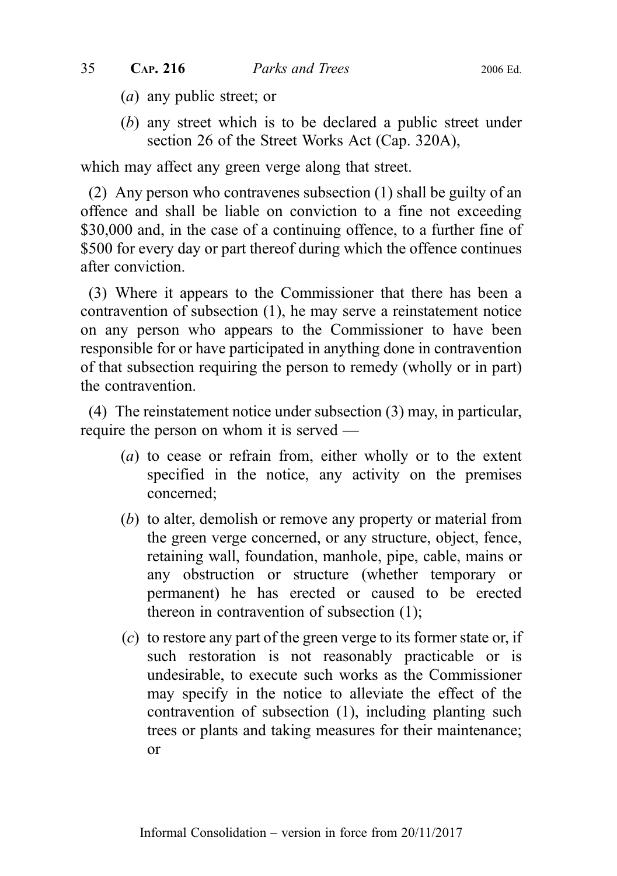- (a) any public street; or
- (b) any street which is to be declared a public street under section 26 of the Street Works Act (Cap. 320A),

which may affect any green verge along that street.

(2) Any person who contravenes subsection (1) shall be guilty of an offence and shall be liable on conviction to a fine not exceeding \$30,000 and, in the case of a continuing offence, to a further fine of \$500 for every day or part thereof during which the offence continues after conviction.

(3) Where it appears to the Commissioner that there has been a contravention of subsection (1), he may serve a reinstatement notice on any person who appears to the Commissioner to have been responsible for or have participated in anything done in contravention of that subsection requiring the person to remedy (wholly or in part) the contravention.

(4) The reinstatement notice under subsection (3) may, in particular, require the person on whom it is served —

- (a) to cease or refrain from, either wholly or to the extent specified in the notice, any activity on the premises concerned;
- (b) to alter, demolish or remove any property or material from the green verge concerned, or any structure, object, fence, retaining wall, foundation, manhole, pipe, cable, mains or any obstruction or structure (whether temporary or permanent) he has erected or caused to be erected thereon in contravention of subsection (1);
- (c) to restore any part of the green verge to its former state or, if such restoration is not reasonably practicable or is undesirable, to execute such works as the Commissioner may specify in the notice to alleviate the effect of the contravention of subsection (1), including planting such trees or plants and taking measures for their maintenance; or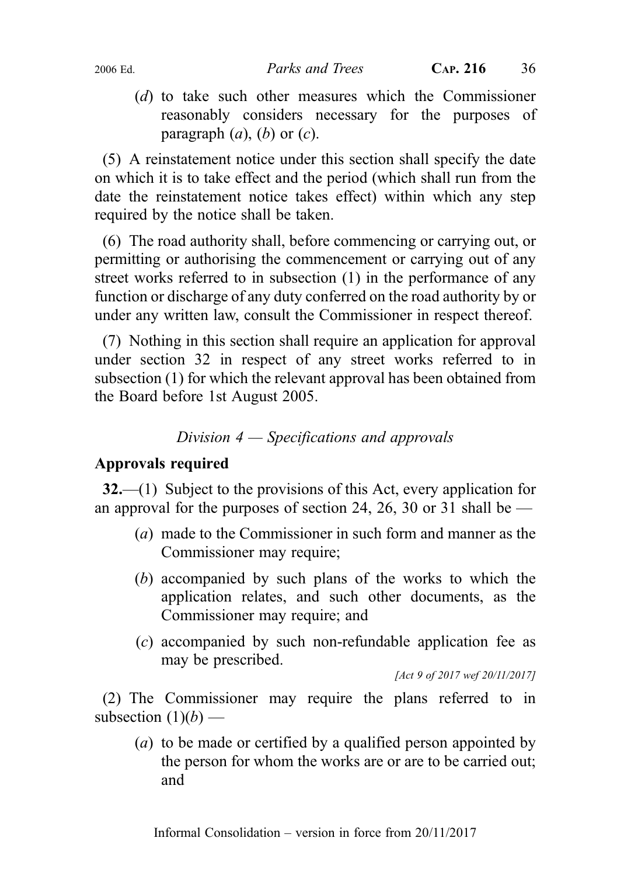(d) to take such other measures which the Commissioner reasonably considers necessary for the purposes of paragraph  $(a)$ ,  $(b)$  or  $(c)$ .

(5) A reinstatement notice under this section shall specify the date on which it is to take effect and the period (which shall run from the date the reinstatement notice takes effect) within which any step required by the notice shall be taken.

(6) The road authority shall, before commencing or carrying out, or permitting or authorising the commencement or carrying out of any street works referred to in subsection (1) in the performance of any function or discharge of any duty conferred on the road authority by or under any written law, consult the Commissioner in respect thereof.

(7) Nothing in this section shall require an application for approval under section 32 in respect of any street works referred to in subsection (1) for which the relevant approval has been obtained from the Board before 1st August 2005.

# Division 4 — Specifications and approvals

## Approvals required

32.—(1) Subject to the provisions of this Act, every application for an approval for the purposes of section 24, 26, 30 or 31 shall be  $-$ 

- (a) made to the Commissioner in such form and manner as the Commissioner may require;
- (b) accompanied by such plans of the works to which the application relates, and such other documents, as the Commissioner may require; and
- (c) accompanied by such non-refundable application fee as may be prescribed.

[Act 9 of 2017 wef 20/11/2017]

(2) The Commissioner may require the plans referred to in subsection  $(1)(b)$  —

(a) to be made or certified by a qualified person appointed by the person for whom the works are or are to be carried out; and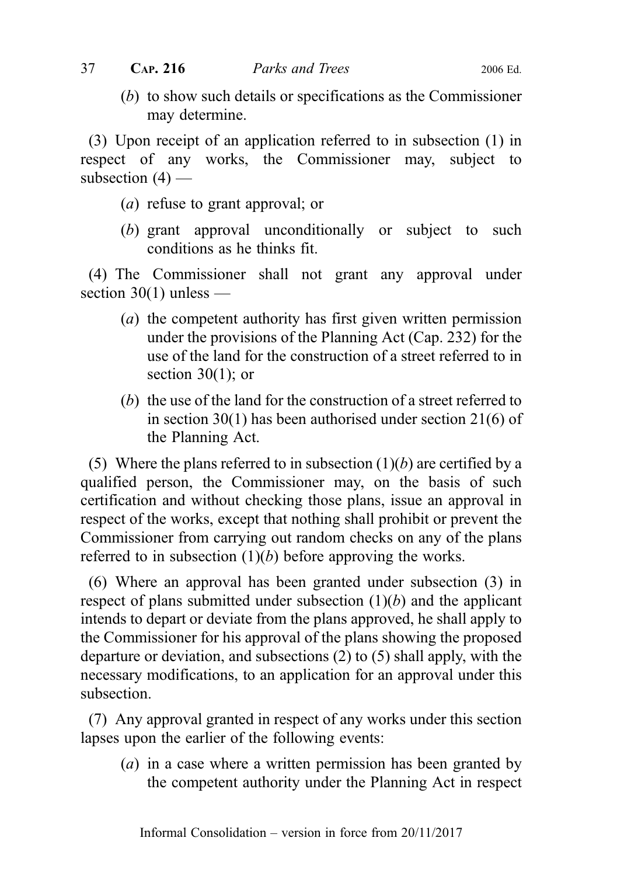(b) to show such details or specifications as the Commissioner may determine.

(3) Upon receipt of an application referred to in subsection (1) in respect of any works, the Commissioner may, subject to subsection  $(4)$  —

- (a) refuse to grant approval; or
- (b) grant approval unconditionally or subject to such conditions as he thinks fit.

(4) The Commissioner shall not grant any approval under section  $30(1)$  unless —

- (a) the competent authority has first given written permission under the provisions of the Planning Act (Cap. 232) for the use of the land for the construction of a street referred to in section  $30(1)$ ; or
- (b) the use of the land for the construction of a street referred to in section 30(1) has been authorised under section 21(6) of the Planning Act.

(5) Where the plans referred to in subsection  $(1)(b)$  are certified by a qualified person, the Commissioner may, on the basis of such certification and without checking those plans, issue an approval in respect of the works, except that nothing shall prohibit or prevent the Commissioner from carrying out random checks on any of the plans referred to in subsection  $(1)(b)$  before approving the works.

(6) Where an approval has been granted under subsection (3) in respect of plans submitted under subsection  $(1)(b)$  and the applicant intends to depart or deviate from the plans approved, he shall apply to the Commissioner for his approval of the plans showing the proposed departure or deviation, and subsections (2) to (5) shall apply, with the necessary modifications, to an application for an approval under this subsection.

(7) Any approval granted in respect of any works under this section lapses upon the earlier of the following events:

(*a*) in a case where a written permission has been granted by the competent authority under the Planning Act in respect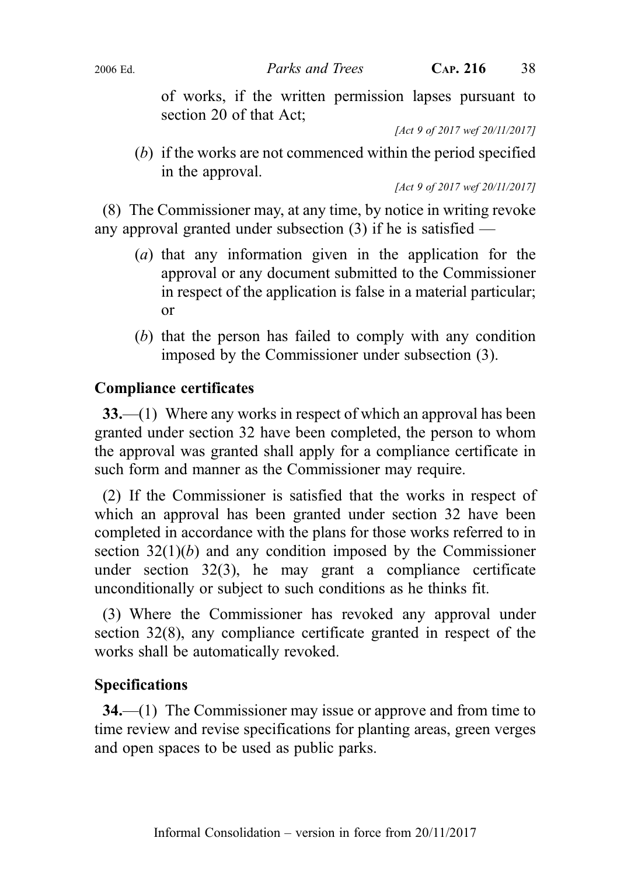of works, if the written permission lapses pursuant to section 20 of that Act;

[Act 9 of 2017 wef 20/11/2017]

(b) if the works are not commenced within the period specified in the approval.

[Act 9 of 2017 wef 20/11/2017]

(8) The Commissioner may, at any time, by notice in writing revoke any approval granted under subsection (3) if he is satisfied —

- (a) that any information given in the application for the approval or any document submitted to the Commissioner in respect of the application is false in a material particular; or
- (b) that the person has failed to comply with any condition imposed by the Commissioner under subsection (3).

# Compliance certificates

33.—(1) Where any works in respect of which an approval has been granted under section 32 have been completed, the person to whom the approval was granted shall apply for a compliance certificate in such form and manner as the Commissioner may require.

(2) If the Commissioner is satisfied that the works in respect of which an approval has been granted under section 32 have been completed in accordance with the plans for those works referred to in section  $32(1)(b)$  and any condition imposed by the Commissioner under section 32(3), he may grant a compliance certificate unconditionally or subject to such conditions as he thinks fit.

(3) Where the Commissioner has revoked any approval under section 32(8), any compliance certificate granted in respect of the works shall be automatically revoked.

## Specifications

34.—(1) The Commissioner may issue or approve and from time to time review and revise specifications for planting areas, green verges and open spaces to be used as public parks.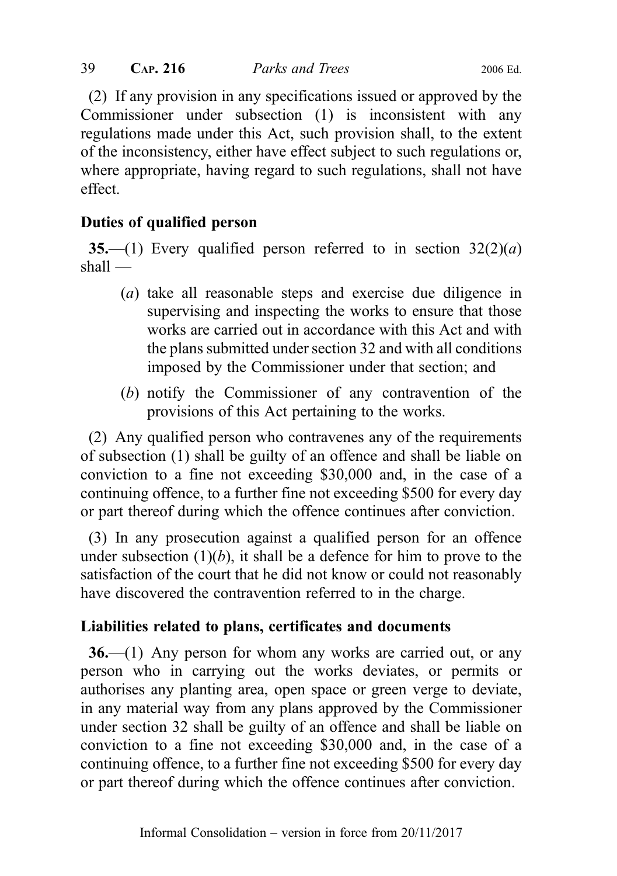(2) If any provision in any specifications issued or approved by the Commissioner under subsection (1) is inconsistent with any regulations made under this Act, such provision shall, to the extent of the inconsistency, either have effect subject to such regulations or, where appropriate, having regard to such regulations, shall not have effect.

# Duties of qualified person

35.—(1) Every qualified person referred to in section  $32(2)(a)$ shall —

- (a) take all reasonable steps and exercise due diligence in supervising and inspecting the works to ensure that those works are carried out in accordance with this Act and with the plans submitted under section 32 and with all conditions imposed by the Commissioner under that section; and
- (b) notify the Commissioner of any contravention of the provisions of this Act pertaining to the works.

(2) Any qualified person who contravenes any of the requirements of subsection (1) shall be guilty of an offence and shall be liable on conviction to a fine not exceeding \$30,000 and, in the case of a continuing offence, to a further fine not exceeding \$500 for every day or part thereof during which the offence continues after conviction.

(3) In any prosecution against a qualified person for an offence under subsection  $(1)(b)$ , it shall be a defence for him to prove to the satisfaction of the court that he did not know or could not reasonably have discovered the contravention referred to in the charge.

# Liabilities related to plans, certificates and documents

 $36$ —(1) Any person for whom any works are carried out, or any person who in carrying out the works deviates, or permits or authorises any planting area, open space or green verge to deviate, in any material way from any plans approved by the Commissioner under section 32 shall be guilty of an offence and shall be liable on conviction to a fine not exceeding \$30,000 and, in the case of a continuing offence, to a further fine not exceeding \$500 for every day or part thereof during which the offence continues after conviction.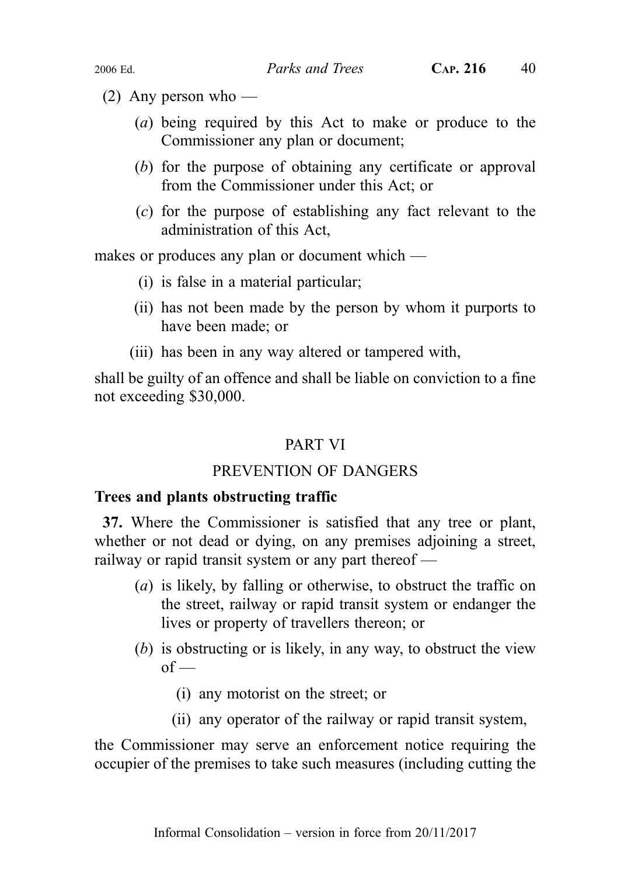- (2) Any person who
	- (a) being required by this Act to make or produce to the Commissioner any plan or document;
	- (b) for the purpose of obtaining any certificate or approval from the Commissioner under this Act; or
	- (c) for the purpose of establishing any fact relevant to the administration of this Act,

makes or produces any plan or document which —

- (i) is false in a material particular;
- (ii) has not been made by the person by whom it purports to have been made; or
- (iii) has been in any way altered or tampered with,

shall be guilty of an offence and shall be liable on conviction to a fine not exceeding \$30,000.

# PART VI

# PREVENTION OF DANGERS

# Trees and plants obstructing traffic

37. Where the Commissioner is satisfied that any tree or plant, whether or not dead or dying, on any premises adjoining a street, railway or rapid transit system or any part thereof —

- (a) is likely, by falling or otherwise, to obstruct the traffic on the street, railway or rapid transit system or endanger the lives or property of travellers thereon; or
- (b) is obstructing or is likely, in any way, to obstruct the view  $of$  —
	- (i) any motorist on the street; or
	- (ii) any operator of the railway or rapid transit system,

the Commissioner may serve an enforcement notice requiring the occupier of the premises to take such measures (including cutting the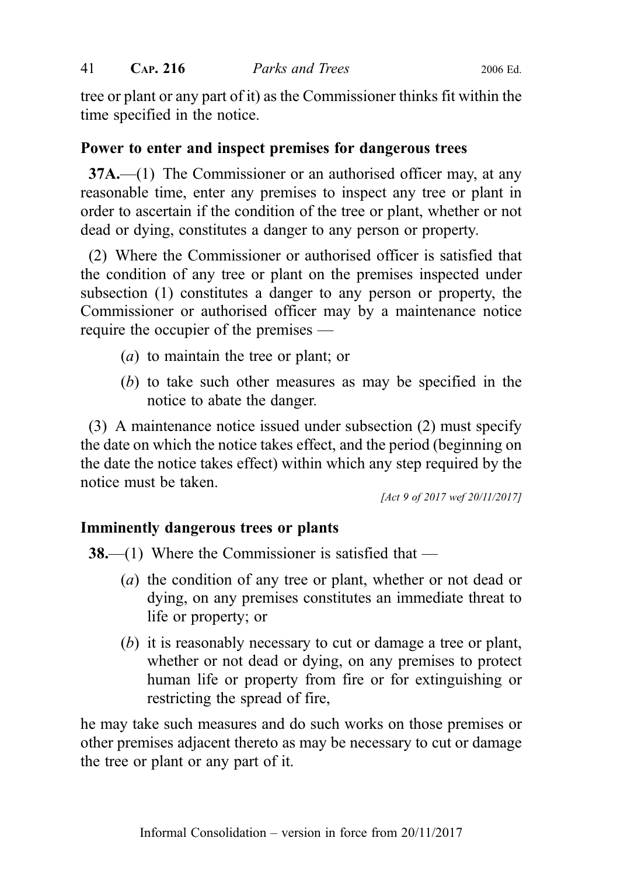tree or plant or any part of it) as the Commissioner thinks fit within the time specified in the notice.

# Power to enter and inspect premises for dangerous trees

37A.—(1) The Commissioner or an authorised officer may, at any reasonable time, enter any premises to inspect any tree or plant in order to ascertain if the condition of the tree or plant, whether or not dead or dying, constitutes a danger to any person or property.

(2) Where the Commissioner or authorised officer is satisfied that the condition of any tree or plant on the premises inspected under subsection (1) constitutes a danger to any person or property, the Commissioner or authorised officer may by a maintenance notice require the occupier of the premises —

- (a) to maintain the tree or plant; or
- (b) to take such other measures as may be specified in the notice to abate the danger.

(3) A maintenance notice issued under subsection (2) must specify the date on which the notice takes effect, and the period (beginning on the date the notice takes effect) within which any step required by the notice must be taken.

[Act 9 of 2017 wef 20/11/2017]

## Imminently dangerous trees or plants

**38.—(1)** Where the Commissioner is satisfied that —

- (a) the condition of any tree or plant, whether or not dead or dying, on any premises constitutes an immediate threat to life or property; or
- (b) it is reasonably necessary to cut or damage a tree or plant, whether or not dead or dying, on any premises to protect human life or property from fire or for extinguishing or restricting the spread of fire,

he may take such measures and do such works on those premises or other premises adjacent thereto as may be necessary to cut or damage the tree or plant or any part of it.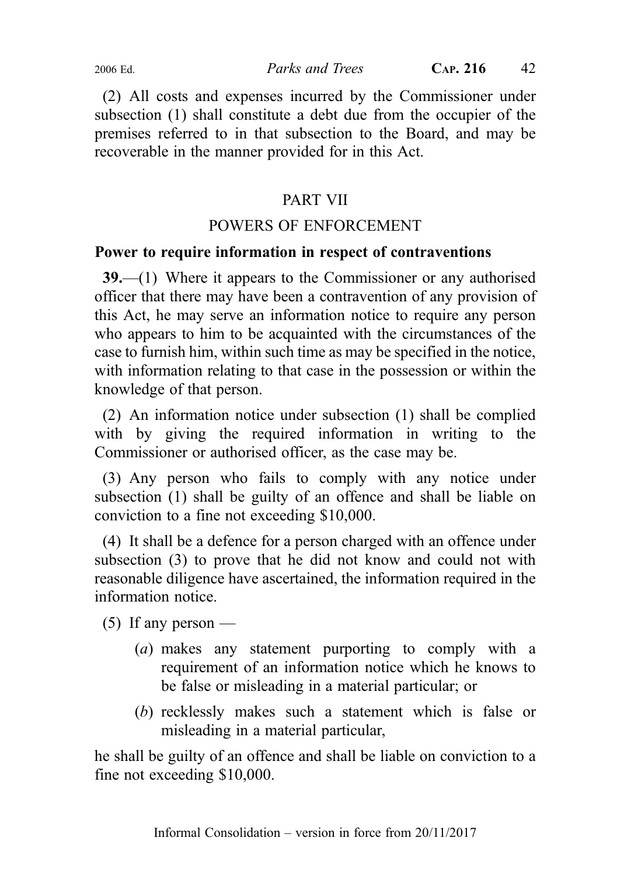(2) All costs and expenses incurred by the Commissioner under subsection (1) shall constitute a debt due from the occupier of the premises referred to in that subsection to the Board, and may be recoverable in the manner provided for in this Act.

# PART VII

# POWERS OF ENFORCEMENT

## Power to require information in respect of contraventions

39.—(1) Where it appears to the Commissioner or any authorised officer that there may have been a contravention of any provision of this Act, he may serve an information notice to require any person who appears to him to be acquainted with the circumstances of the case to furnish him, within such time as may be specified in the notice, with information relating to that case in the possession or within the knowledge of that person.

(2) An information notice under subsection (1) shall be complied with by giving the required information in writing to the Commissioner or authorised officer, as the case may be.

(3) Any person who fails to comply with any notice under subsection (1) shall be guilty of an offence and shall be liable on conviction to a fine not exceeding \$10,000.

(4) It shall be a defence for a person charged with an offence under subsection (3) to prove that he did not know and could not with reasonable diligence have ascertained, the information required in the information notice.

 $(5)$  If any person —

- (a) makes any statement purporting to comply with a requirement of an information notice which he knows to be false or misleading in a material particular; or
- (b) recklessly makes such a statement which is false or misleading in a material particular,

he shall be guilty of an offence and shall be liable on conviction to a fine not exceeding \$10,000.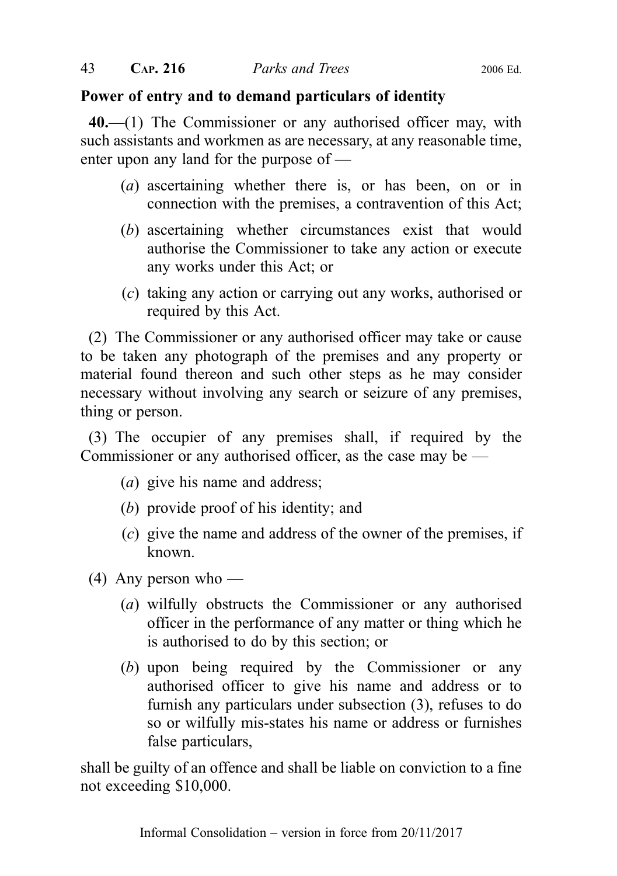# Power of entry and to demand particulars of identity

40.—(1) The Commissioner or any authorised officer may, with such assistants and workmen as are necessary, at any reasonable time, enter upon any land for the purpose of —

- (a) ascertaining whether there is, or has been, on or in connection with the premises, a contravention of this Act;
- (b) ascertaining whether circumstances exist that would authorise the Commissioner to take any action or execute any works under this Act; or
- (c) taking any action or carrying out any works, authorised or required by this Act.

(2) The Commissioner or any authorised officer may take or cause to be taken any photograph of the premises and any property or material found thereon and such other steps as he may consider necessary without involving any search or seizure of any premises, thing or person.

(3) The occupier of any premises shall, if required by the Commissioner or any authorised officer, as the case may be —

- (a) give his name and address;
- (b) provide proof of his identity; and
- (c) give the name and address of the owner of the premises, if known.
- $(4)$  Any person who
	- (a) wilfully obstructs the Commissioner or any authorised officer in the performance of any matter or thing which he is authorised to do by this section; or
	- (b) upon being required by the Commissioner or any authorised officer to give his name and address or to furnish any particulars under subsection (3), refuses to do so or wilfully mis-states his name or address or furnishes false particulars,

shall be guilty of an offence and shall be liable on conviction to a fine not exceeding \$10,000.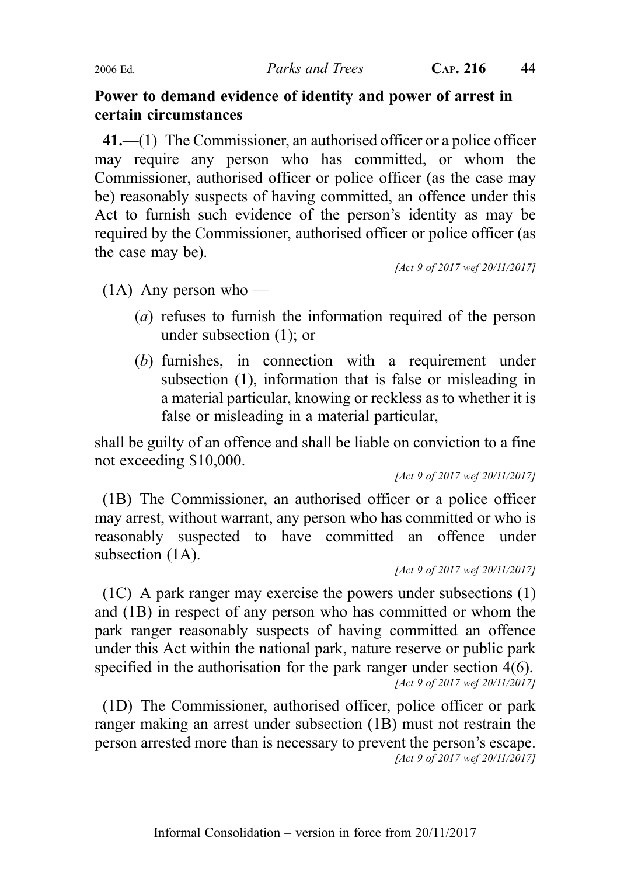2006 Ed. Parks and Trees CAP. 216 44

#### Power to demand evidence of identity and power of arrest in certain circumstances

41.—(1) The Commissioner, an authorised officer or a police officer may require any person who has committed, or whom the Commissioner, authorised officer or police officer (as the case may be) reasonably suspects of having committed, an offence under this Act to furnish such evidence of the person's identity as may be required by the Commissioner, authorised officer or police officer (as the case may be).

[Act 9 of 2017 wef 20/11/2017]

 $(1A)$  Any person who —

- (a) refuses to furnish the information required of the person under subsection (1); or
- (b) furnishes, in connection with a requirement under subsection (1), information that is false or misleading in a material particular, knowing or reckless as to whether it is false or misleading in a material particular,

shall be guilty of an offence and shall be liable on conviction to a fine not exceeding \$10,000.

[Act 9 of 2017 wef 20/11/2017]

(1B) The Commissioner, an authorised officer or a police officer may arrest, without warrant, any person who has committed or who is reasonably suspected to have committed an offence under subsection  $(1A)$ .

[Act 9 of 2017 wef 20/11/2017]

(1C) A park ranger may exercise the powers under subsections (1) and (1B) in respect of any person who has committed or whom the park ranger reasonably suspects of having committed an offence under this Act within the national park, nature reserve or public park specified in the authorisation for the park ranger under section 4(6). [Act 9 of 2017 wef 20/11/2017]

(1D) The Commissioner, authorised officer, police officer or park ranger making an arrest under subsection (1B) must not restrain the person arrested more than is necessary to prevent the person's escape. [Act 9 of 2017 wef 20/11/2017]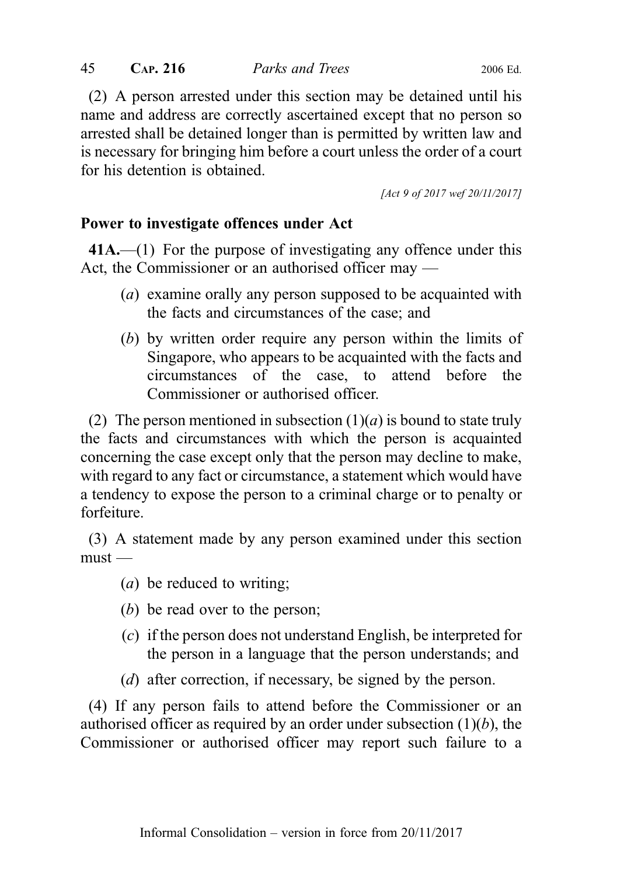(2) A person arrested under this section may be detained until his name and address are correctly ascertained except that no person so arrested shall be detained longer than is permitted by written law and is necessary for bringing him before a court unless the order of a court for his detention is obtained.

[Act 9 of 2017 wef 20/11/2017]

# Power to investigate offences under Act

41A.—(1) For the purpose of investigating any offence under this Act, the Commissioner or an authorised officer may —

- (a) examine orally any person supposed to be acquainted with the facts and circumstances of the case; and
- (b) by written order require any person within the limits of Singapore, who appears to be acquainted with the facts and circumstances of the case, to attend before the Commissioner or authorised officer.

(2) The person mentioned in subsection  $(1)(a)$  is bound to state truly the facts and circumstances with which the person is acquainted concerning the case except only that the person may decline to make, with regard to any fact or circumstance, a statement which would have a tendency to expose the person to a criminal charge or to penalty or forfeiture.

(3) A statement made by any person examined under this section  $must -$ 

- (a) be reduced to writing;
- (b) be read over to the person;
- (c) if the person does not understand English, be interpreted for the person in a language that the person understands; and
- (d) after correction, if necessary, be signed by the person.

(4) If any person fails to attend before the Commissioner or an authorised officer as required by an order under subsection  $(1)(b)$ , the Commissioner or authorised officer may report such failure to a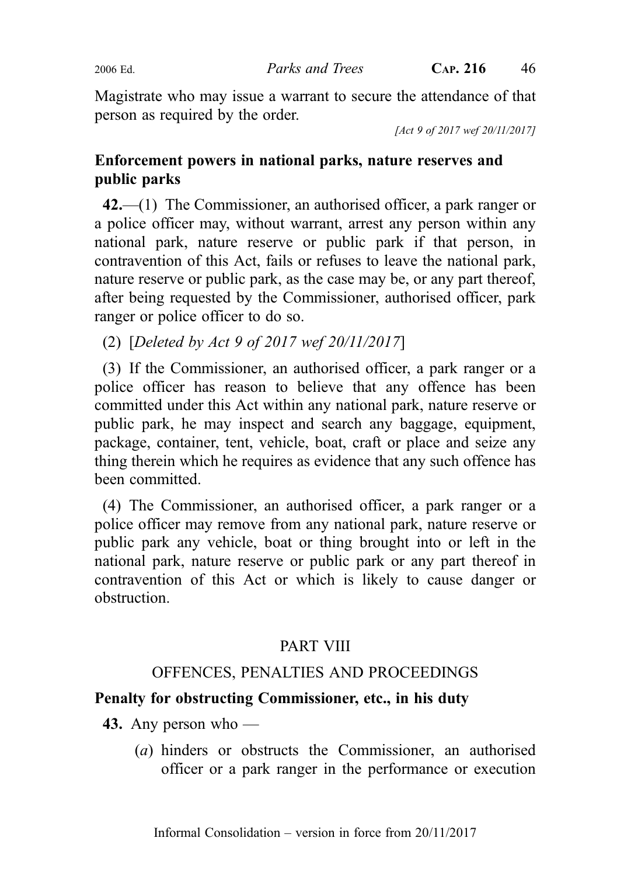Magistrate who may issue a warrant to secure the attendance of that person as required by the order.

[Act 9 of 2017 wef 20/11/2017]

# Enforcement powers in national parks, nature reserves and public parks

42.—(1) The Commissioner, an authorised officer, a park ranger or a police officer may, without warrant, arrest any person within any national park, nature reserve or public park if that person, in contravention of this Act, fails or refuses to leave the national park, nature reserve or public park, as the case may be, or any part thereof, after being requested by the Commissioner, authorised officer, park ranger or police officer to do so.

(2) [Deleted by Act 9 of 2017 wef 20/11/2017]

(3) If the Commissioner, an authorised officer, a park ranger or a police officer has reason to believe that any offence has been committed under this Act within any national park, nature reserve or public park, he may inspect and search any baggage, equipment, package, container, tent, vehicle, boat, craft or place and seize any thing therein which he requires as evidence that any such offence has been committed.

(4) The Commissioner, an authorised officer, a park ranger or a police officer may remove from any national park, nature reserve or public park any vehicle, boat or thing brought into or left in the national park, nature reserve or public park or any part thereof in contravention of this Act or which is likely to cause danger or obstruction.

# PART VIII

# OFFENCES, PENALTIES AND PROCEEDINGS

# Penalty for obstructing Commissioner, etc., in his duty

- 43. Any person who
	- (a) hinders or obstructs the Commissioner, an authorised officer or a park ranger in the performance or execution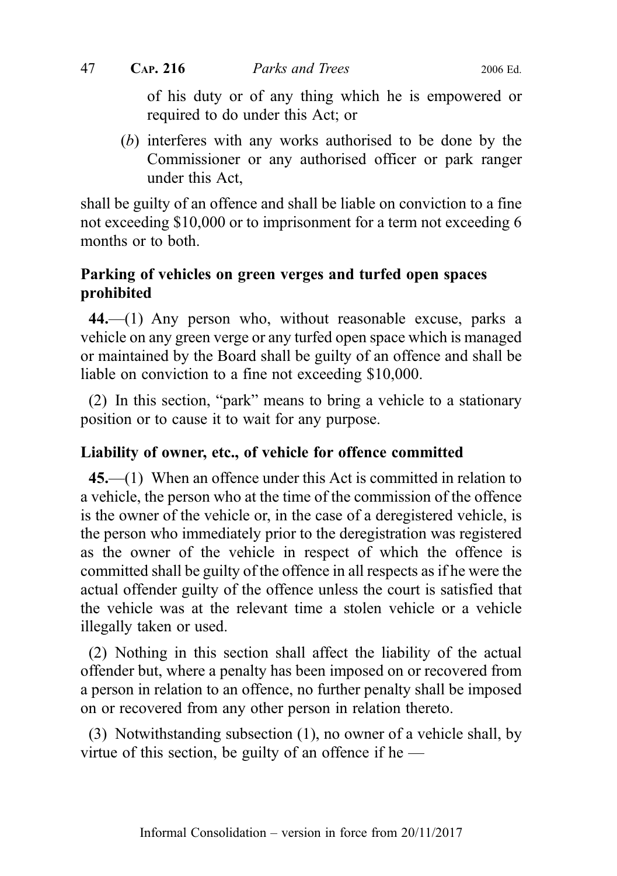of his duty or of any thing which he is empowered or required to do under this Act; or

(b) interferes with any works authorised to be done by the Commissioner or any authorised officer or park ranger under this Act,

shall be guilty of an offence and shall be liable on conviction to a fine not exceeding \$10,000 or to imprisonment for a term not exceeding 6 months or to both.

# Parking of vehicles on green verges and turfed open spaces prohibited

44.—(1) Any person who, without reasonable excuse, parks a vehicle on any green verge or any turfed open space which is managed or maintained by the Board shall be guilty of an offence and shall be liable on conviction to a fine not exceeding \$10,000.

(2) In this section, "park" means to bring a vehicle to a stationary position or to cause it to wait for any purpose.

#### Liability of owner, etc., of vehicle for offence committed

45.—(1) When an offence under this Act is committed in relation to a vehicle, the person who at the time of the commission of the offence is the owner of the vehicle or, in the case of a deregistered vehicle, is the person who immediately prior to the deregistration was registered as the owner of the vehicle in respect of which the offence is committed shall be guilty of the offence in all respects as if he were the actual offender guilty of the offence unless the court is satisfied that the vehicle was at the relevant time a stolen vehicle or a vehicle illegally taken or used.

(2) Nothing in this section shall affect the liability of the actual offender but, where a penalty has been imposed on or recovered from a person in relation to an offence, no further penalty shall be imposed on or recovered from any other person in relation thereto.

(3) Notwithstanding subsection (1), no owner of a vehicle shall, by virtue of this section, be guilty of an offence if he  $-$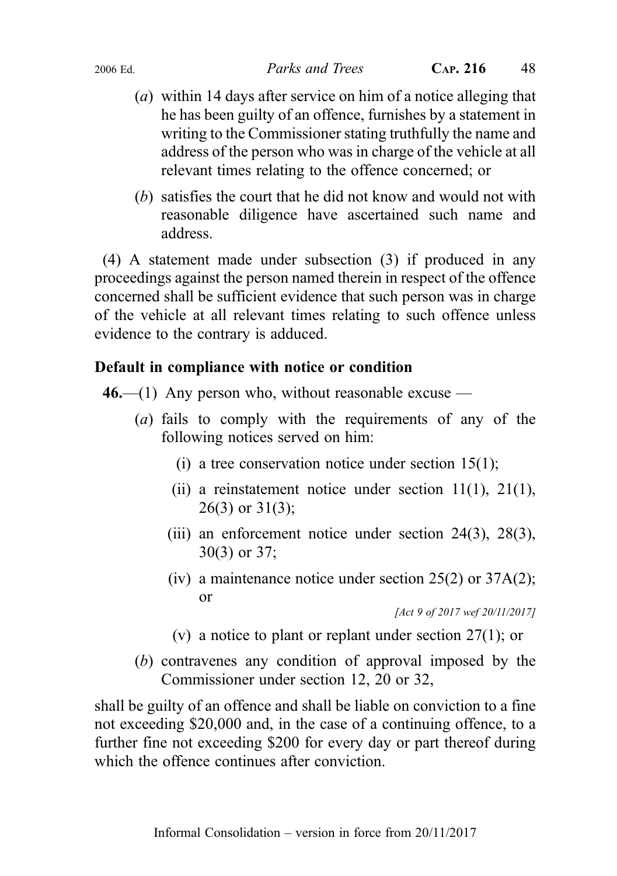- (a) within 14 days after service on him of a notice alleging that he has been guilty of an offence, furnishes by a statement in writing to the Commissioner stating truthfully the name and address of the person who was in charge of the vehicle at all relevant times relating to the offence concerned; or
- (b) satisfies the court that he did not know and would not with reasonable diligence have ascertained such name and address.

(4) A statement made under subsection (3) if produced in any proceedings against the person named therein in respect of the offence concerned shall be sufficient evidence that such person was in charge of the vehicle at all relevant times relating to such offence unless evidence to the contrary is adduced.

# Default in compliance with notice or condition

 $46$ —(1) Any person who, without reasonable excuse —

- (a) fails to comply with the requirements of any of the following notices served on him:
	- (i) a tree conservation notice under section  $15(1)$ ;
	- (ii) a reinstatement notice under section  $11(1)$ ,  $21(1)$ , 26(3) or 31(3);
	- (iii) an enforcement notice under section 24(3), 28(3), 30(3) or 37;
	- (iv) a maintenance notice under section 25(2) or 37A(2); or

[Act 9 of 2017 wef 20/11/2017]

- (v) a notice to plant or replant under section 27(1); or
- (b) contravenes any condition of approval imposed by the Commissioner under section 12, 20 or 32,

shall be guilty of an offence and shall be liable on conviction to a fine not exceeding \$20,000 and, in the case of a continuing offence, to a further fine not exceeding \$200 for every day or part thereof during which the offence continues after conviction.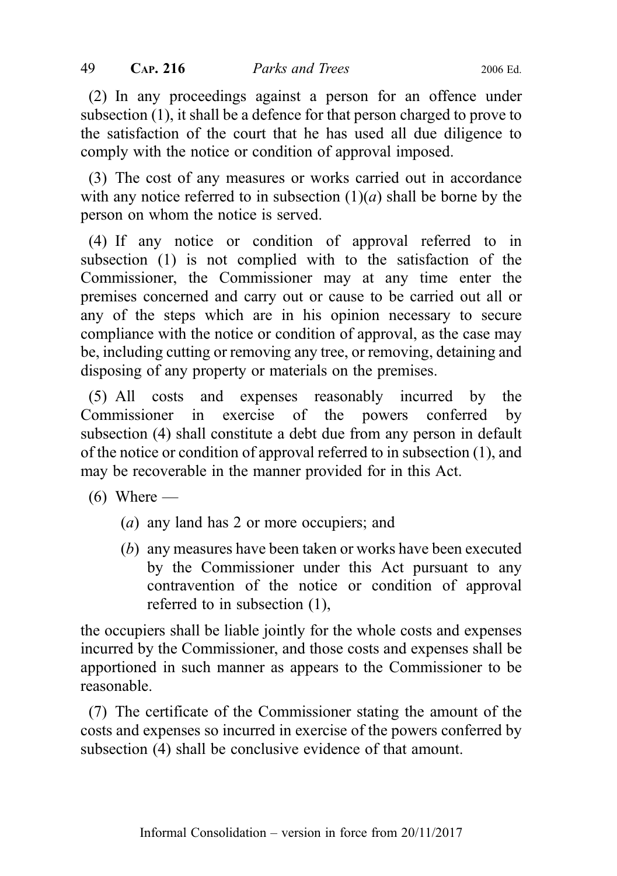(2) In any proceedings against a person for an offence under subsection (1), it shall be a defence for that person charged to prove to the satisfaction of the court that he has used all due diligence to comply with the notice or condition of approval imposed.

(3) The cost of any measures or works carried out in accordance with any notice referred to in subsection  $(1)(a)$  shall be borne by the person on whom the notice is served.

(4) If any notice or condition of approval referred to in subsection (1) is not complied with to the satisfaction of the Commissioner, the Commissioner may at any time enter the premises concerned and carry out or cause to be carried out all or any of the steps which are in his opinion necessary to secure compliance with the notice or condition of approval, as the case may be, including cutting or removing any tree, or removing, detaining and disposing of any property or materials on the premises.

(5) All costs and expenses reasonably incurred by the Commissioner in exercise of the powers conferred by subsection (4) shall constitute a debt due from any person in default of the notice or condition of approval referred to in subsection (1), and may be recoverable in the manner provided for in this Act.

- $(6)$  Where
	- (a) any land has 2 or more occupiers; and
	- (b) any measures have been taken or works have been executed by the Commissioner under this Act pursuant to any contravention of the notice or condition of approval referred to in subsection (1),

the occupiers shall be liable jointly for the whole costs and expenses incurred by the Commissioner, and those costs and expenses shall be apportioned in such manner as appears to the Commissioner to be reasonable.

(7) The certificate of the Commissioner stating the amount of the costs and expenses so incurred in exercise of the powers conferred by subsection (4) shall be conclusive evidence of that amount.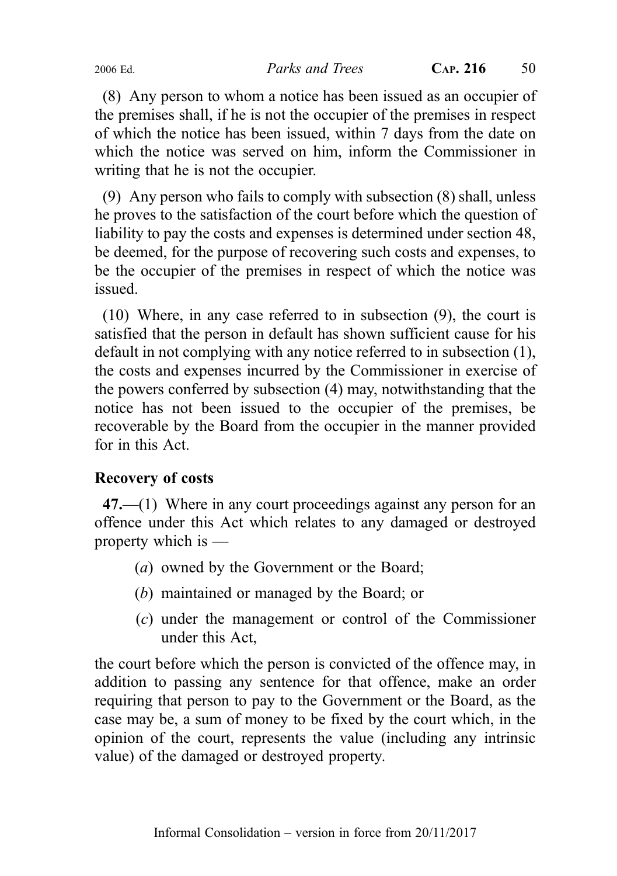(8) Any person to whom a notice has been issued as an occupier of the premises shall, if he is not the occupier of the premises in respect of which the notice has been issued, within 7 days from the date on which the notice was served on him, inform the Commissioner in writing that he is not the occupier.

(9) Any person who fails to comply with subsection (8) shall, unless he proves to the satisfaction of the court before which the question of liability to pay the costs and expenses is determined under section 48, be deemed, for the purpose of recovering such costs and expenses, to be the occupier of the premises in respect of which the notice was issued.

(10) Where, in any case referred to in subsection (9), the court is satisfied that the person in default has shown sufficient cause for his default in not complying with any notice referred to in subsection (1), the costs and expenses incurred by the Commissioner in exercise of the powers conferred by subsection (4) may, notwithstanding that the notice has not been issued to the occupier of the premises, be recoverable by the Board from the occupier in the manner provided for in this Act.

## Recovery of costs

47.—(1) Where in any court proceedings against any person for an offence under this Act which relates to any damaged or destroyed property which is —

- (a) owned by the Government or the Board;
- (b) maintained or managed by the Board; or
- (c) under the management or control of the Commissioner under this Act,

the court before which the person is convicted of the offence may, in addition to passing any sentence for that offence, make an order requiring that person to pay to the Government or the Board, as the case may be, a sum of money to be fixed by the court which, in the opinion of the court, represents the value (including any intrinsic value) of the damaged or destroyed property.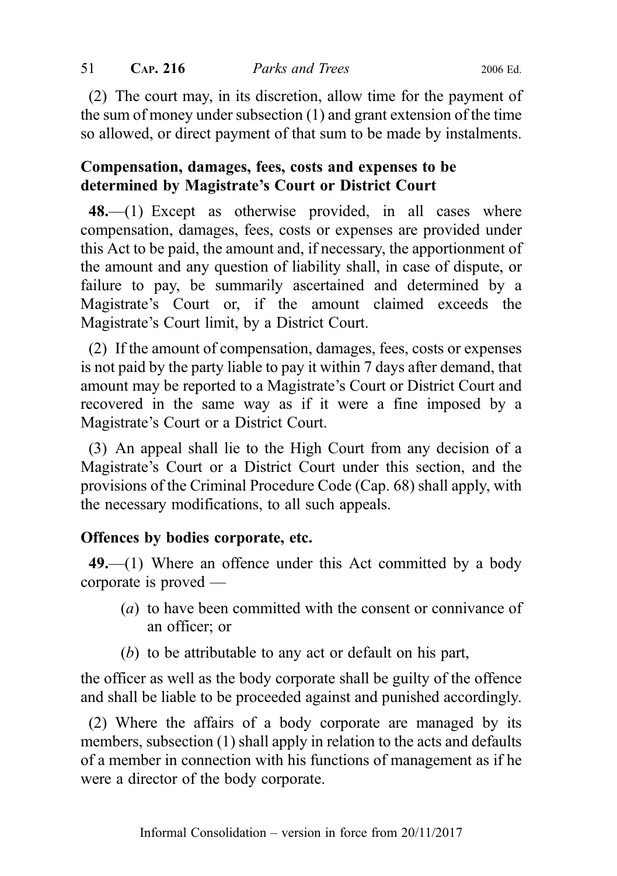(2) The court may, in its discretion, allow time for the payment of the sum of money under subsection (1) and grant extension of the time so allowed, or direct payment of that sum to be made by instalments.

# Compensation, damages, fees, costs and expenses to be determined by Magistrate's Court or District Court

48.—(1) Except as otherwise provided, in all cases where compensation, damages, fees, costs or expenses are provided under this Act to be paid, the amount and, if necessary, the apportionment of the amount and any question of liability shall, in case of dispute, or failure to pay, be summarily ascertained and determined by a Magistrate's Court or, if the amount claimed exceeds the Magistrate's Court limit, by a District Court.

(2) If the amount of compensation, damages, fees, costs or expenses is not paid by the party liable to pay it within 7 days after demand, that amount may be reported to a Magistrate's Court or District Court and recovered in the same way as if it were a fine imposed by a Magistrate's Court or a District Court.

(3) An appeal shall lie to the High Court from any decision of a Magistrate's Court or a District Court under this section, and the provisions of the Criminal Procedure Code (Cap. 68) shall apply, with the necessary modifications, to all such appeals.

## Offences by bodies corporate, etc.

 $49$ —(1) Where an offence under this Act committed by a body corporate is proved —

- (a) to have been committed with the consent or connivance of an officer; or
- (b) to be attributable to any act or default on his part,

the officer as well as the body corporate shall be guilty of the offence and shall be liable to be proceeded against and punished accordingly.

(2) Where the affairs of a body corporate are managed by its members, subsection (1) shall apply in relation to the acts and defaults of a member in connection with his functions of management as if he were a director of the body corporate.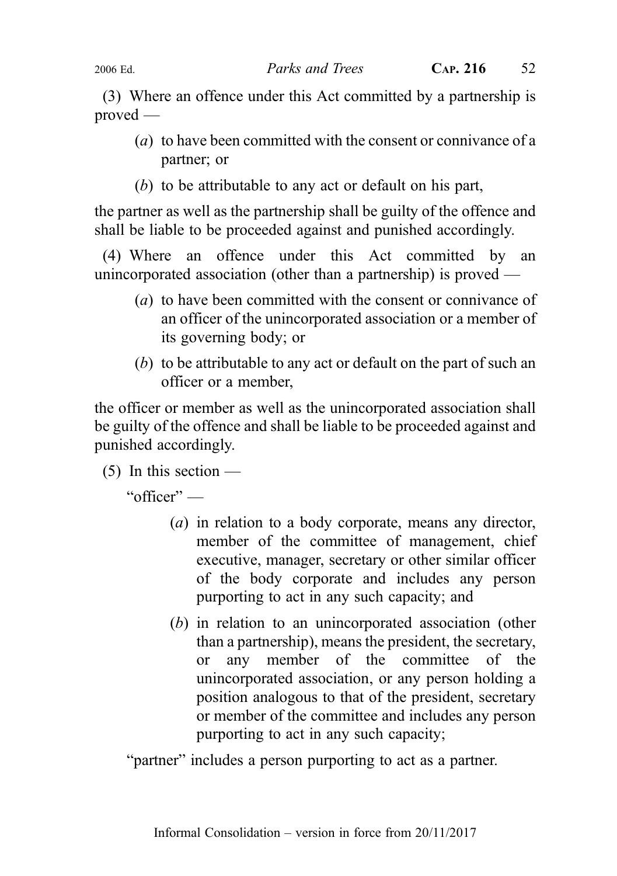(3) Where an offence under this Act committed by a partnership is proved —

- (a) to have been committed with the consent or connivance of a partner; or
- (b) to be attributable to any act or default on his part,

the partner as well as the partnership shall be guilty of the offence and shall be liable to be proceeded against and punished accordingly.

(4) Where an offence under this Act committed by an unincorporated association (other than a partnership) is proved —

- (a) to have been committed with the consent or connivance of an officer of the unincorporated association or a member of its governing body; or
- (b) to be attributable to any act or default on the part of such an officer or a member,

the officer or member as well as the unincorporated association shall be guilty of the offence and shall be liable to be proceeded against and punished accordingly.

 $(5)$  In this section —

"officer" —

- (a) in relation to a body corporate, means any director, member of the committee of management, chief executive, manager, secretary or other similar officer of the body corporate and includes any person purporting to act in any such capacity; and
- (b) in relation to an unincorporated association (other than a partnership), means the president, the secretary, or any member of the committee of the unincorporated association, or any person holding a position analogous to that of the president, secretary or member of the committee and includes any person purporting to act in any such capacity;

"partner" includes a person purporting to act as a partner.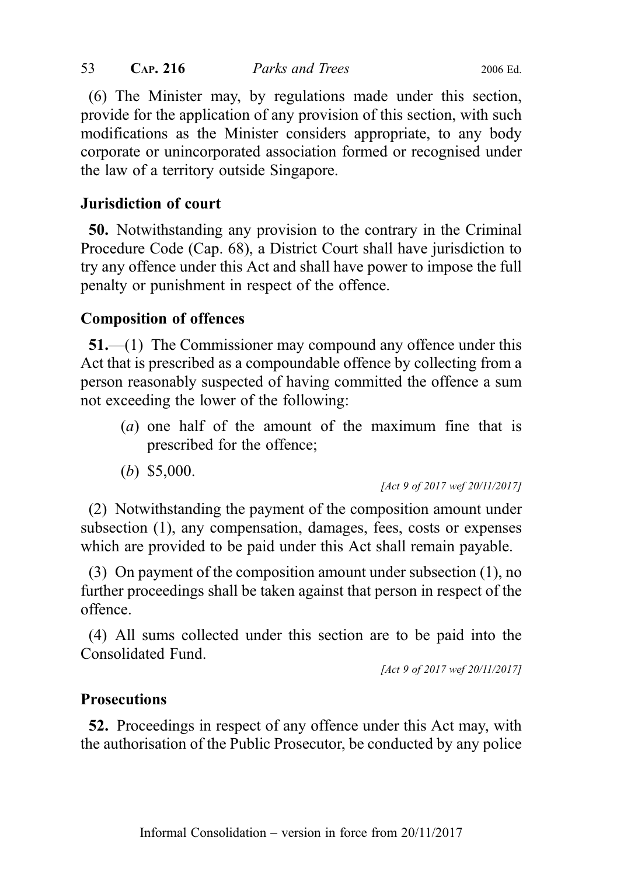(6) The Minister may, by regulations made under this section, provide for the application of any provision of this section, with such modifications as the Minister considers appropriate, to any body corporate or unincorporated association formed or recognised under the law of a territory outside Singapore.

## Jurisdiction of court

50. Notwithstanding any provision to the contrary in the Criminal Procedure Code (Cap. 68), a District Court shall have jurisdiction to try any offence under this Act and shall have power to impose the full penalty or punishment in respect of the offence.

# Composition of offences

51.—(1) The Commissioner may compound any offence under this Act that is prescribed as a compoundable offence by collecting from a person reasonably suspected of having committed the offence a sum not exceeding the lower of the following:

- (a) one half of the amount of the maximum fine that is prescribed for the offence;
- (b) \$5,000.

[Act 9 of 2017 wef 20/11/2017]

(2) Notwithstanding the payment of the composition amount under subsection (1), any compensation, damages, fees, costs or expenses which are provided to be paid under this Act shall remain payable.

(3) On payment of the composition amount under subsection (1), no further proceedings shall be taken against that person in respect of the offence.

(4) All sums collected under this section are to be paid into the Consolidated Fund.

[Act 9 of 2017 wef 20/11/2017]

## **Prosecutions**

52. Proceedings in respect of any offence under this Act may, with the authorisation of the Public Prosecutor, be conducted by any police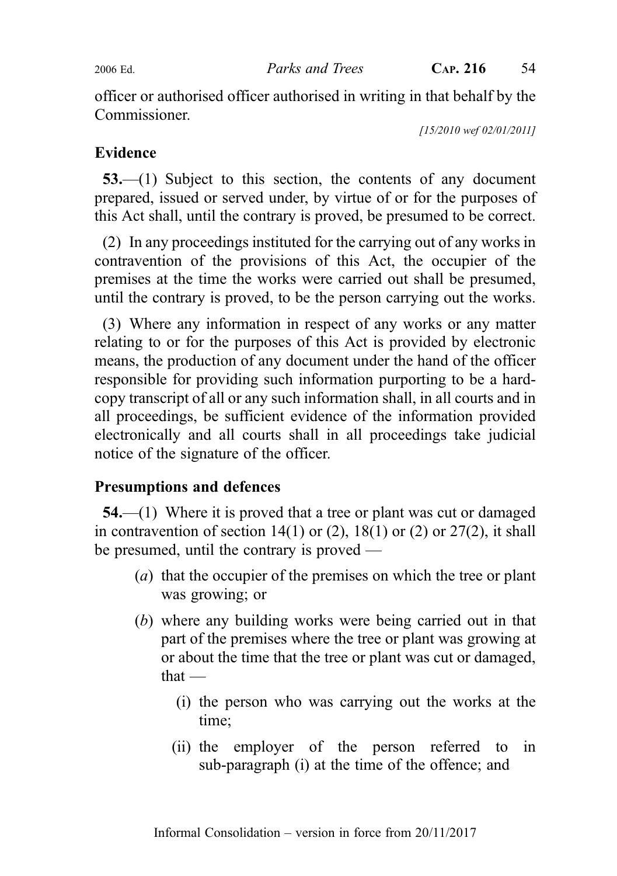officer or authorised officer authorised in writing in that behalf by the Commissioner.

[15/2010 wef 02/01/2011]

# Evidence

53.—(1) Subject to this section, the contents of any document prepared, issued or served under, by virtue of or for the purposes of this Act shall, until the contrary is proved, be presumed to be correct.

(2) In any proceedings instituted for the carrying out of any works in contravention of the provisions of this Act, the occupier of the premises at the time the works were carried out shall be presumed, until the contrary is proved, to be the person carrying out the works.

(3) Where any information in respect of any works or any matter relating to or for the purposes of this Act is provided by electronic means, the production of any document under the hand of the officer responsible for providing such information purporting to be a hardcopy transcript of all or any such information shall, in all courts and in all proceedings, be sufficient evidence of the information provided electronically and all courts shall in all proceedings take judicial notice of the signature of the officer.

# Presumptions and defences

54.—(1) Where it is proved that a tree or plant was cut or damaged in contravention of section  $14(1)$  or  $(2)$ ,  $18(1)$  or  $(2)$  or  $27(2)$ , it shall be presumed, until the contrary is proved —

- (a) that the occupier of the premises on which the tree or plant was growing; or
- (b) where any building works were being carried out in that part of the premises where the tree or plant was growing at or about the time that the tree or plant was cut or damaged, that —
	- (i) the person who was carrying out the works at the time;
	- (ii) the employer of the person referred to in sub-paragraph (i) at the time of the offence; and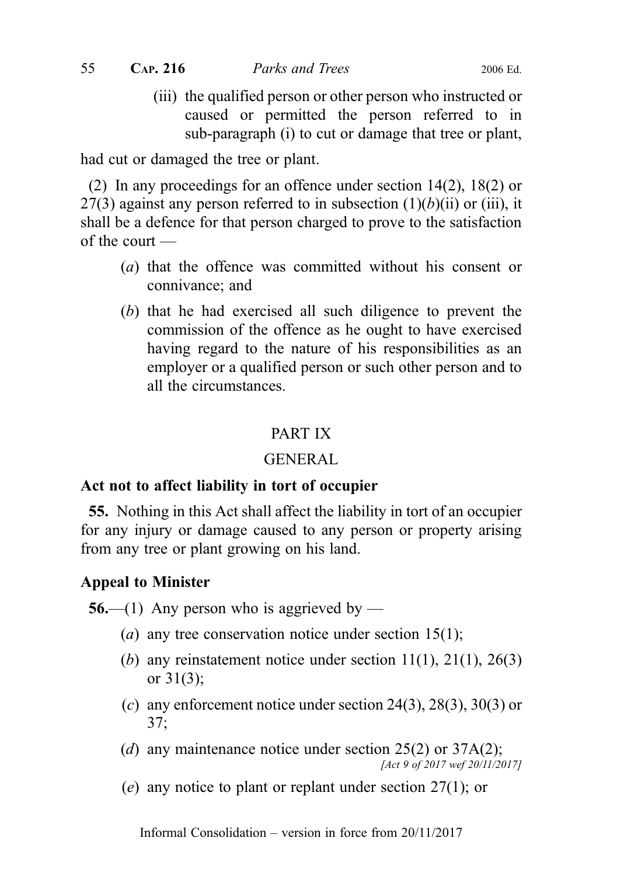(iii) the qualified person or other person who instructed or caused or permitted the person referred to in sub-paragraph (i) to cut or damage that tree or plant,

had cut or damaged the tree or plant.

(2) In any proceedings for an offence under section 14(2), 18(2) or 27(3) against any person referred to in subsection  $(1)(b)(ii)$  or (iii), it shall be a defence for that person charged to prove to the satisfaction of the court —

- (a) that the offence was committed without his consent or connivance; and
- (b) that he had exercised all such diligence to prevent the commission of the offence as he ought to have exercised having regard to the nature of his responsibilities as an employer or a qualified person or such other person and to all the circumstances.

# PART IX

# GENERAL

# Act not to affect liability in tort of occupier

55. Nothing in this Act shall affect the liability in tort of an occupier for any injury or damage caused to any person or property arising from any tree or plant growing on his land.

# Appeal to Minister

**56.—(1)** Any person who is aggrieved by —

- (*a*) any tree conservation notice under section 15(1);
- (b) any reinstatement notice under section  $11(1)$ ,  $21(1)$ ,  $26(3)$ or 31(3);
- (c) any enforcement notice under section 24(3), 28(3), 30(3) or 37;
- (d) any maintenance notice under section  $25(2)$  or  $37A(2)$ ; [Act 9 of 2017 wef 20/11/2017]
- (e) any notice to plant or replant under section 27(1); or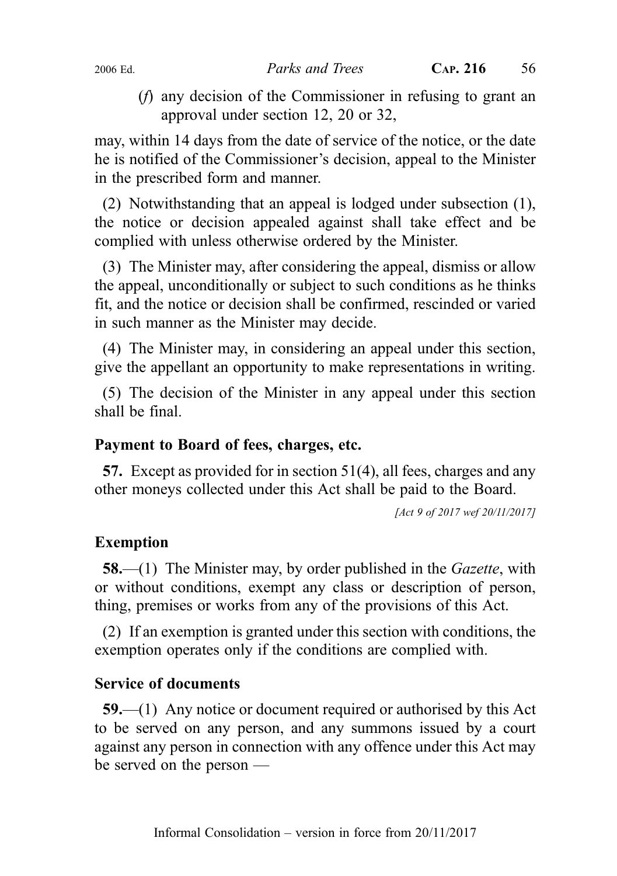(f) any decision of the Commissioner in refusing to grant an approval under section 12, 20 or 32,

may, within 14 days from the date of service of the notice, or the date he is notified of the Commissioner's decision, appeal to the Minister in the prescribed form and manner.

(2) Notwithstanding that an appeal is lodged under subsection (1), the notice or decision appealed against shall take effect and be complied with unless otherwise ordered by the Minister.

(3) The Minister may, after considering the appeal, dismiss or allow the appeal, unconditionally or subject to such conditions as he thinks fit, and the notice or decision shall be confirmed, rescinded or varied in such manner as the Minister may decide.

(4) The Minister may, in considering an appeal under this section, give the appellant an opportunity to make representations in writing.

(5) The decision of the Minister in any appeal under this section shall be final.

# Payment to Board of fees, charges, etc.

57. Except as provided for in section 51(4), all fees, charges and any other moneys collected under this Act shall be paid to the Board.

[Act 9 of 2017 wef 20/11/2017]

## Exemption

58.—(1) The Minister may, by order published in the *Gazette*, with or without conditions, exempt any class or description of person, thing, premises or works from any of the provisions of this Act.

(2) If an exemption is granted under this section with conditions, the exemption operates only if the conditions are complied with.

## Service of documents

59.—(1) Any notice or document required or authorised by this Act to be served on any person, and any summons issued by a court against any person in connection with any offence under this Act may be served on the person —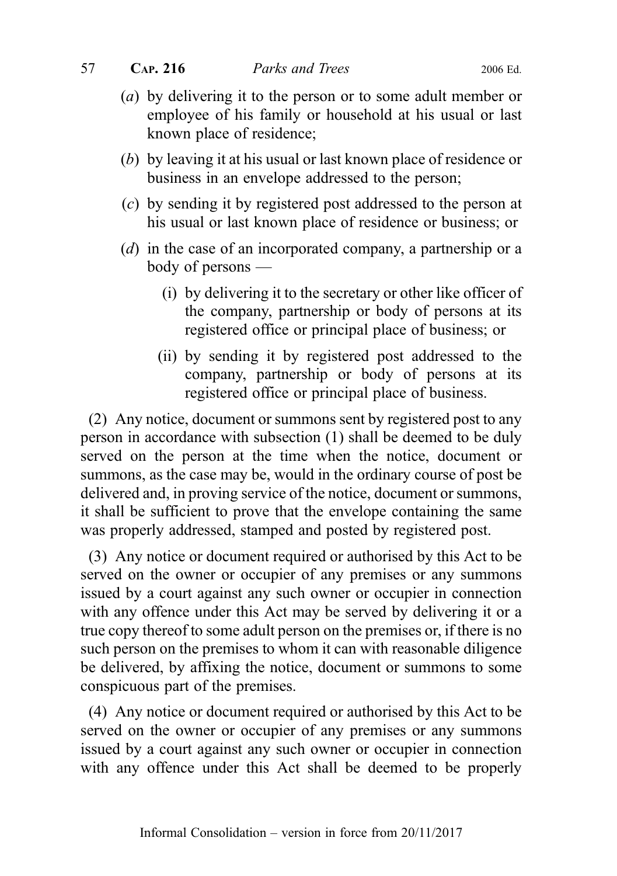- (a) by delivering it to the person or to some adult member or employee of his family or household at his usual or last known place of residence;
- (b) by leaving it at his usual or last known place of residence or business in an envelope addressed to the person;
- (c) by sending it by registered post addressed to the person at his usual or last known place of residence or business; or
- (d) in the case of an incorporated company, a partnership or a body of persons —
	- (i) by delivering it to the secretary or other like officer of the company, partnership or body of persons at its registered office or principal place of business; or
	- (ii) by sending it by registered post addressed to the company, partnership or body of persons at its registered office or principal place of business.

(2) Any notice, document or summons sent by registered post to any person in accordance with subsection (1) shall be deemed to be duly served on the person at the time when the notice, document or summons, as the case may be, would in the ordinary course of post be delivered and, in proving service of the notice, document or summons, it shall be sufficient to prove that the envelope containing the same was properly addressed, stamped and posted by registered post.

(3) Any notice or document required or authorised by this Act to be served on the owner or occupier of any premises or any summons issued by a court against any such owner or occupier in connection with any offence under this Act may be served by delivering it or a true copy thereof to some adult person on the premises or, if there is no such person on the premises to whom it can with reasonable diligence be delivered, by affixing the notice, document or summons to some conspicuous part of the premises.

(4) Any notice or document required or authorised by this Act to be served on the owner or occupier of any premises or any summons issued by a court against any such owner or occupier in connection with any offence under this Act shall be deemed to be properly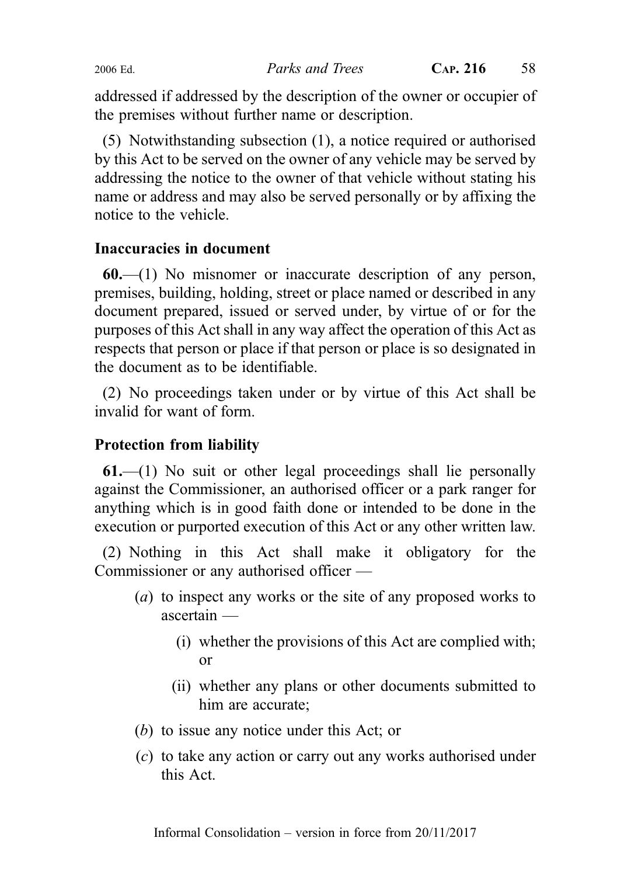addressed if addressed by the description of the owner or occupier of the premises without further name or description.

(5) Notwithstanding subsection (1), a notice required or authorised by this Act to be served on the owner of any vehicle may be served by addressing the notice to the owner of that vehicle without stating his name or address and may also be served personally or by affixing the notice to the vehicle.

# Inaccuracies in document

60.—(1) No misnomer or inaccurate description of any person, premises, building, holding, street or place named or described in any document prepared, issued or served under, by virtue of or for the purposes of this Act shall in any way affect the operation of this Act as respects that person or place if that person or place is so designated in the document as to be identifiable.

(2) No proceedings taken under or by virtue of this Act shall be invalid for want of form.

# Protection from liability

 $61$ —(1) No suit or other legal proceedings shall lie personally against the Commissioner, an authorised officer or a park ranger for anything which is in good faith done or intended to be done in the execution or purported execution of this Act or any other written law.

(2) Nothing in this Act shall make it obligatory for the Commissioner or any authorised officer —

- (a) to inspect any works or the site of any proposed works to ascertain —
	- (i) whether the provisions of this Act are complied with; or
	- (ii) whether any plans or other documents submitted to him are accurate;
- (b) to issue any notice under this Act; or
- (c) to take any action or carry out any works authorised under this Act.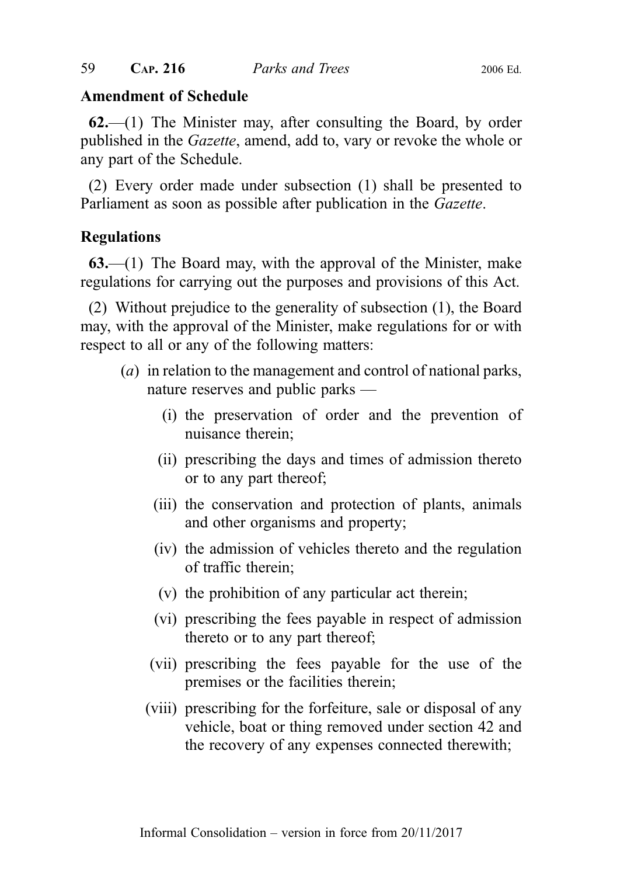#### Amendment of Schedule

 $62$ —(1) The Minister may, after consulting the Board, by order published in the Gazette, amend, add to, vary or revoke the whole or any part of the Schedule.

(2) Every order made under subsection (1) shall be presented to Parliament as soon as possible after publication in the *Gazette*.

## Regulations

63.—(1) The Board may, with the approval of the Minister, make regulations for carrying out the purposes and provisions of this Act.

(2) Without prejudice to the generality of subsection (1), the Board may, with the approval of the Minister, make regulations for or with respect to all or any of the following matters:

- (a) in relation to the management and control of national parks, nature reserves and public parks —
	- (i) the preservation of order and the prevention of nuisance therein;
	- (ii) prescribing the days and times of admission thereto or to any part thereof;
	- (iii) the conservation and protection of plants, animals and other organisms and property;
	- (iv) the admission of vehicles thereto and the regulation of traffic therein;
	- (v) the prohibition of any particular act therein;
	- (vi) prescribing the fees payable in respect of admission thereto or to any part thereof;
	- (vii) prescribing the fees payable for the use of the premises or the facilities therein;
	- (viii) prescribing for the forfeiture, sale or disposal of any vehicle, boat or thing removed under section 42 and the recovery of any expenses connected therewith;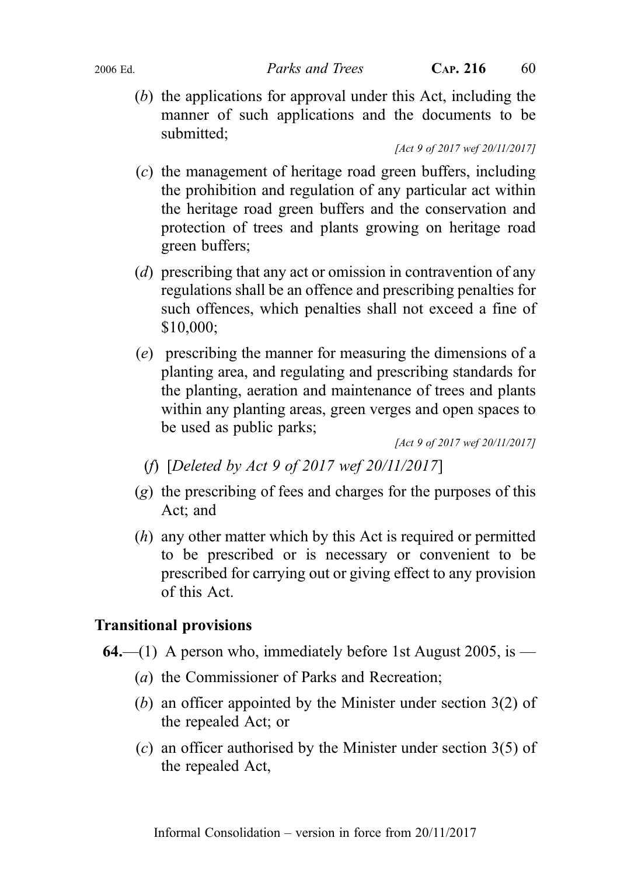2006 Ed. **Parks and Trees** CAP. 216 60

(b) the applications for approval under this Act, including the manner of such applications and the documents to be submitted;

[Act 9 of 2017 wef 20/11/2017]

- (c) the management of heritage road green buffers, including the prohibition and regulation of any particular act within the heritage road green buffers and the conservation and protection of trees and plants growing on heritage road green buffers;
- (d) prescribing that any act or omission in contravention of any regulations shall be an offence and prescribing penalties for such offences, which penalties shall not exceed a fine of \$10,000;
- (e) prescribing the manner for measuring the dimensions of a planting area, and regulating and prescribing standards for the planting, aeration and maintenance of trees and plants within any planting areas, green verges and open spaces to be used as public parks;

[Act 9 of 2017 wef 20/11/2017]

- (f) [Deleted by Act 9 of 2017 wef 20/11/2017]
- $(g)$  the prescribing of fees and charges for the purposes of this Act; and
- (h) any other matter which by this Act is required or permitted to be prescribed or is necessary or convenient to be prescribed for carrying out or giving effect to any provision of this Act.

## Transitional provisions

- **64.**—(1) A person who, immediately before 1st August 2005, is
	- (a) the Commissioner of Parks and Recreation;
	- (b) an officer appointed by the Minister under section 3(2) of the repealed Act; or
	- (c) an officer authorised by the Minister under section 3(5) of the repealed Act,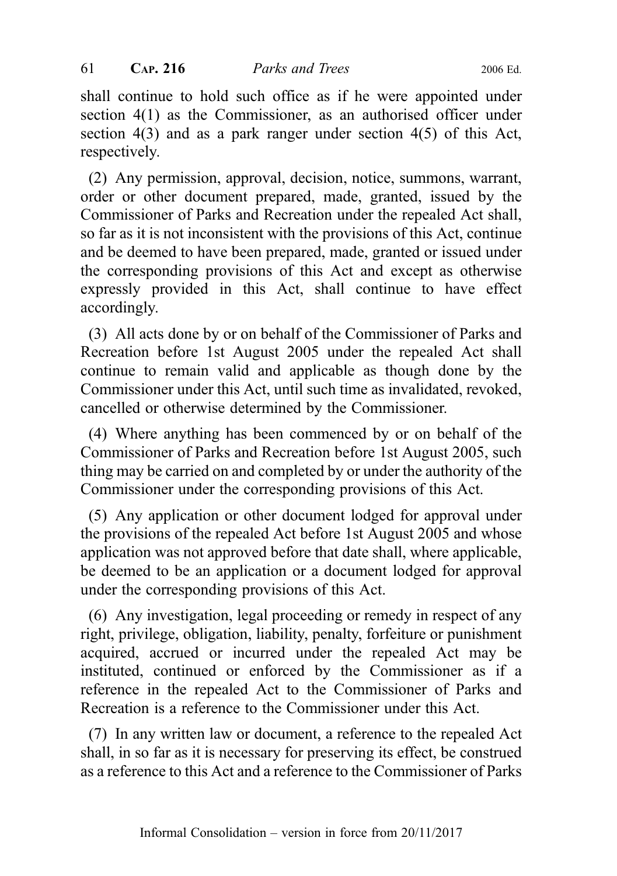shall continue to hold such office as if he were appointed under section 4(1) as the Commissioner, as an authorised officer under section 4(3) and as a park ranger under section 4(5) of this Act, respectively.

(2) Any permission, approval, decision, notice, summons, warrant, order or other document prepared, made, granted, issued by the Commissioner of Parks and Recreation under the repealed Act shall, so far as it is not inconsistent with the provisions of this Act, continue and be deemed to have been prepared, made, granted or issued under the corresponding provisions of this Act and except as otherwise expressly provided in this Act, shall continue to have effect accordingly.

(3) All acts done by or on behalf of the Commissioner of Parks and Recreation before 1st August 2005 under the repealed Act shall continue to remain valid and applicable as though done by the Commissioner under this Act, until such time as invalidated, revoked, cancelled or otherwise determined by the Commissioner.

(4) Where anything has been commenced by or on behalf of the Commissioner of Parks and Recreation before 1st August 2005, such thing may be carried on and completed by or under the authority of the Commissioner under the corresponding provisions of this Act.

(5) Any application or other document lodged for approval under the provisions of the repealed Act before 1st August 2005 and whose application was not approved before that date shall, where applicable, be deemed to be an application or a document lodged for approval under the corresponding provisions of this Act.

(6) Any investigation, legal proceeding or remedy in respect of any right, privilege, obligation, liability, penalty, forfeiture or punishment acquired, accrued or incurred under the repealed Act may be instituted, continued or enforced by the Commissioner as if a reference in the repealed Act to the Commissioner of Parks and Recreation is a reference to the Commissioner under this Act.

(7) In any written law or document, a reference to the repealed Act shall, in so far as it is necessary for preserving its effect, be construed as a reference to this Act and a reference to the Commissioner of Parks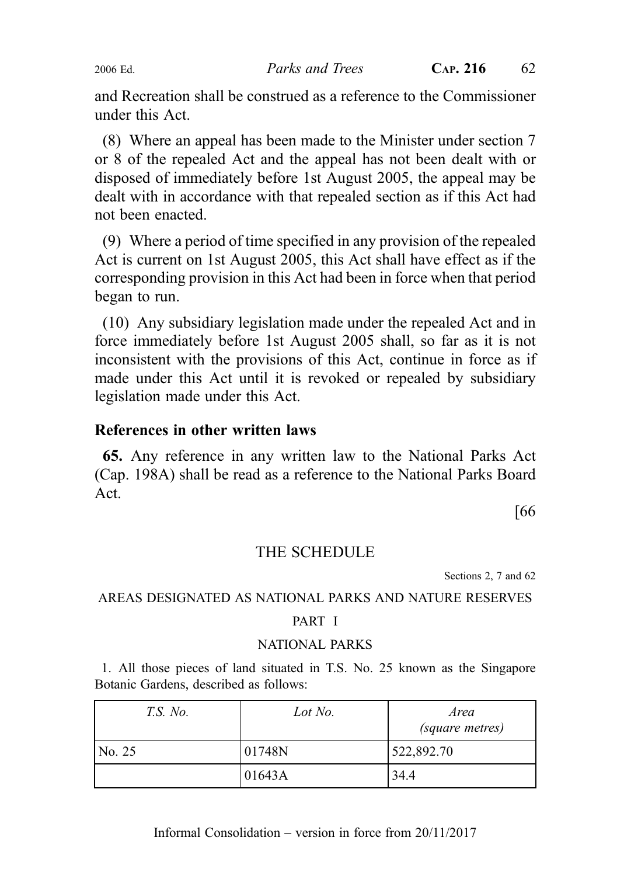and Recreation shall be construed as a reference to the Commissioner under this Act.

(8) Where an appeal has been made to the Minister under section 7 or 8 of the repealed Act and the appeal has not been dealt with or disposed of immediately before 1st August 2005, the appeal may be dealt with in accordance with that repealed section as if this Act had not been enacted.

(9) Where a period of time specified in any provision of the repealed Act is current on 1st August 2005, this Act shall have effect as if the corresponding provision in this Act had been in force when that period began to run.

(10) Any subsidiary legislation made under the repealed Act and in force immediately before 1st August 2005 shall, so far as it is not inconsistent with the provisions of this Act, continue in force as if made under this Act until it is revoked or repealed by subsidiary legislation made under this Act.

## References in other written laws

65. Any reference in any written law to the National Parks Act (Cap. 198A) shall be read as a reference to the National Parks Board Act.

[66

## THE SCHEDULE

Sections 2, 7 and 62

#### AREAS DESIGNATED AS NATIONAL PARKS AND NATURE RESERVES

#### PART I

#### NATIONAL PARKS

1. All those pieces of land situated in T.S. No. 25 known as the Singapore Botanic Gardens, described as follows:

| <i>T.S. No.</i> | Lot No. | Area<br>(square metres) |  |
|-----------------|---------|-------------------------|--|
| No. 25          | 01748N  | 522,892.70              |  |
|                 | 01643A  | 34.4                    |  |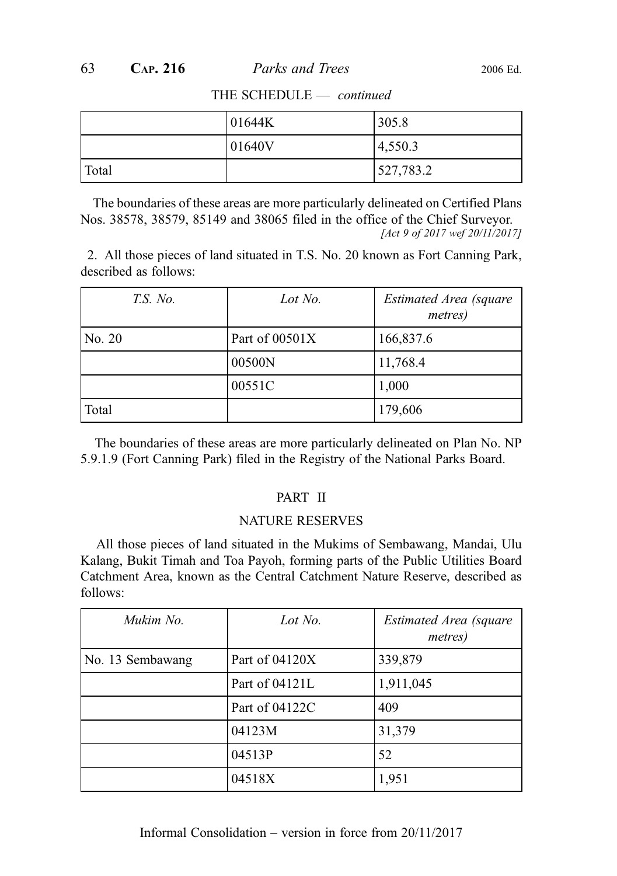|       | 101644K | 305.8     |
|-------|---------|-----------|
|       | 01640V  | 4,550.3   |
| Total |         | 527,783.2 |

THE SCHEDULE — continued

The boundaries of these areas are more particularly delineated on Certified Plans Nos. 38578, 38579, 85149 and 38065 filed in the office of the Chief Surveyor. [Act 9 of 2017 wef 20/11/2017]

2. All those pieces of land situated in T.S. No. 20 known as Fort Canning Park, described as follows:

| <i>T.S. No.</i> | Lot No.          | Estimated Area (square<br><i>metres</i> ) |
|-----------------|------------------|-------------------------------------------|
| No. 20          | Part of $00501X$ | 166,837.6                                 |
|                 | 00500N           | 11,768.4                                  |
|                 | 00551C           | 1,000                                     |
| Total           |                  | 179,606                                   |

The boundaries of these areas are more particularly delineated on Plan No. NP 5.9.1.9 (Fort Canning Park) filed in the Registry of the National Parks Board.

#### PART II

#### NATURE RESERVES

All those pieces of land situated in the Mukims of Sembawang, Mandai, Ulu Kalang, Bukit Timah and Toa Payoh, forming parts of the Public Utilities Board Catchment Area, known as the Central Catchment Nature Reserve, described as follows:

| Mukim No.        | Lot No.          | Estimated Area (square<br><i>metres</i> ) |
|------------------|------------------|-------------------------------------------|
| No. 13 Sembawang | Part of $04120X$ | 339,879                                   |
|                  | Part of 04121L   | 1,911,045                                 |
|                  | Part of 04122C   | 409                                       |
|                  | 04123M           | 31,379                                    |
|                  | 04513P           | 52                                        |
|                  | 04518X           | 1,951                                     |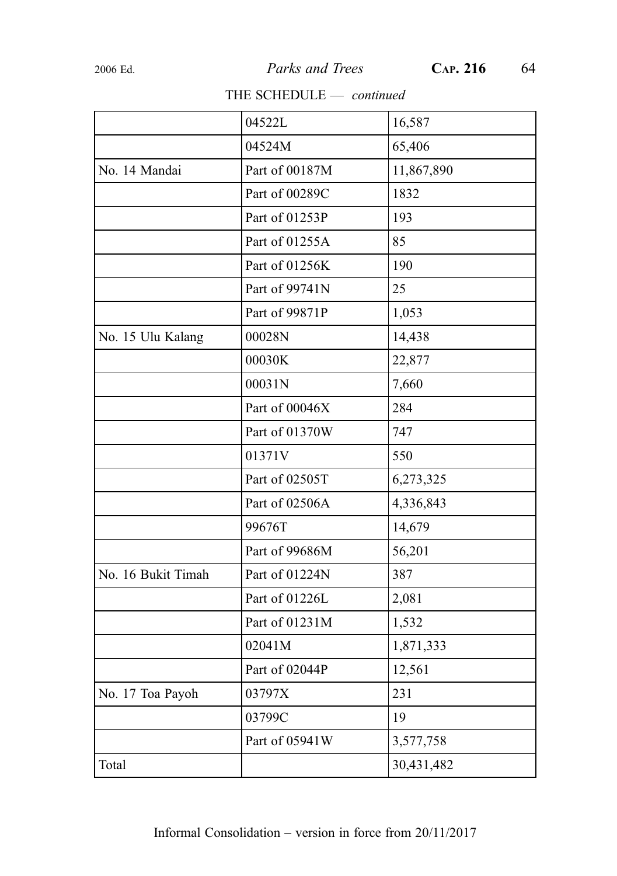#### THE SCHEDULE - continued

|                    | 04522L         | 16,587     |
|--------------------|----------------|------------|
|                    | 04524M         | 65,406     |
| No. 14 Mandai      | Part of 00187M | 11,867,890 |
|                    | Part of 00289C | 1832       |
|                    | Part of 01253P | 193        |
|                    | Part of 01255A | 85         |
|                    | Part of 01256K | 190        |
|                    | Part of 99741N | 25         |
|                    | Part of 99871P | 1,053      |
| No. 15 Ulu Kalang  | 00028N         | 14,438     |
|                    | 00030K         | 22,877     |
|                    | 00031N         | 7,660      |
|                    | Part of 00046X | 284        |
|                    | Part of 01370W | 747        |
|                    | 01371V         | 550        |
|                    | Part of 02505T | 6,273,325  |
|                    | Part of 02506A | 4,336,843  |
|                    | 99676T         | 14,679     |
|                    | Part of 99686M | 56,201     |
| No. 16 Bukit Timah | Part of 01224N | 387        |
|                    | Part of 01226L | 2,081      |
|                    | Part of 01231M | 1,532      |
|                    | 02041M         | 1,871,333  |
|                    | Part of 02044P | 12,561     |
| No. 17 Toa Payoh   | 03797X         | 231        |
|                    | 03799C         | 19         |
|                    | Part of 05941W | 3,577,758  |
| Total              |                | 30,431,482 |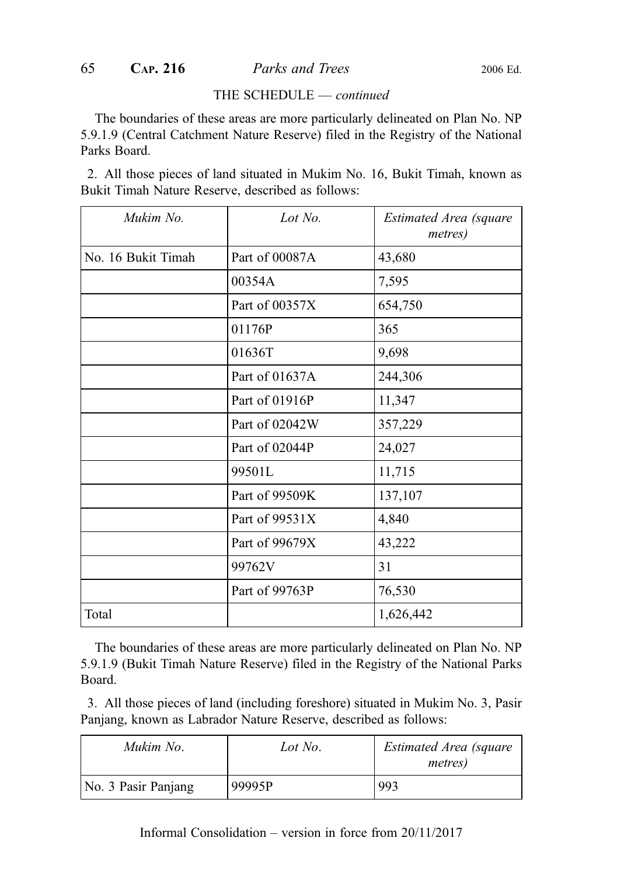#### THE SCHEDULE — continued

The boundaries of these areas are more particularly delineated on Plan No. NP 5.9.1.9 (Central Catchment Nature Reserve) filed in the Registry of the National Parks Board.

2. All those pieces of land situated in Mukim No. 16, Bukit Timah, known as Bukit Timah Nature Reserve, described as follows:

| Mukim No.          | Lot No.        | Estimated Area (square<br><i>metres</i> ) |
|--------------------|----------------|-------------------------------------------|
| No. 16 Bukit Timah | Part of 00087A | 43,680                                    |
|                    | 00354A         | 7,595                                     |
|                    | Part of 00357X | 654,750                                   |
|                    | 01176P         | 365                                       |
|                    | 01636T         | 9,698                                     |
|                    | Part of 01637A | 244,306                                   |
|                    | Part of 01916P | 11,347                                    |
|                    | Part of 02042W | 357,229                                   |
|                    | Part of 02044P | 24,027                                    |
|                    | 99501L         | 11,715                                    |
|                    | Part of 99509K | 137,107                                   |
|                    | Part of 99531X | 4,840                                     |
|                    | Part of 99679X | 43,222                                    |
|                    | 99762V         | 31                                        |
|                    | Part of 99763P | 76,530                                    |
| Total              |                | 1,626,442                                 |

The boundaries of these areas are more particularly delineated on Plan No. NP 5.9.1.9 (Bukit Timah Nature Reserve) filed in the Registry of the National Parks Board.

3. All those pieces of land (including foreshore) situated in Mukim No. 3, Pasir Panjang, known as Labrador Nature Reserve, described as follows:

| Mukim No.           | Lot No. | Estimated Area (square<br><i>metres</i> ) |
|---------------------|---------|-------------------------------------------|
| No. 3 Pasir Panjang | 99995P  | 993                                       |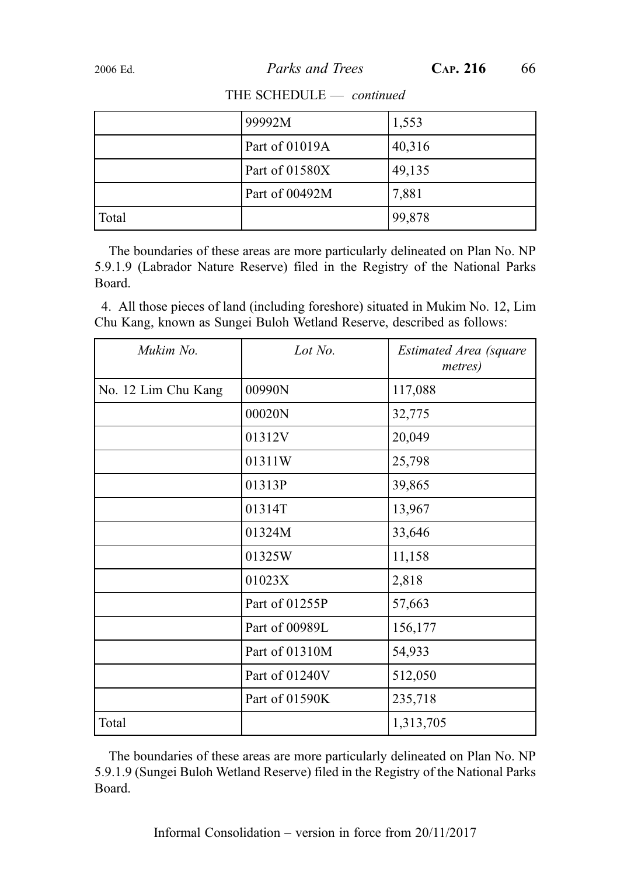|       | 99992M         | 1,553  |
|-------|----------------|--------|
|       | Part of 01019A | 40,316 |
|       | Part of 01580X | 49,135 |
|       | Part of 00492M | 7,881  |
| Total |                | 99,878 |

#### THE SCHEDULE - continued

The boundaries of these areas are more particularly delineated on Plan No. NP 5.9.1.9 (Labrador Nature Reserve) filed in the Registry of the National Parks Board.

4. All those pieces of land (including foreshore) situated in Mukim No. 12, Lim Chu Kang, known as Sungei Buloh Wetland Reserve, described as follows:

| Mukim No.           | Lot $No$ .     | Estimated Area (square<br>metres) |
|---------------------|----------------|-----------------------------------|
| No. 12 Lim Chu Kang | 00990N         | 117,088                           |
|                     | 00020N         | 32,775                            |
|                     | 01312V         | 20,049                            |
|                     | 01311W         | 25,798                            |
|                     | 01313P         | 39,865                            |
|                     | 01314T         | 13,967                            |
|                     | 01324M         | 33,646                            |
|                     | 01325W         | 11,158                            |
|                     | 01023X         | 2,818                             |
|                     | Part of 01255P | 57,663                            |
|                     | Part of 00989L | 156,177                           |
|                     | Part of 01310M | 54,933                            |
|                     | Part of 01240V | 512,050                           |
|                     | Part of 01590K | 235,718                           |
| Total               |                | 1,313,705                         |

The boundaries of these areas are more particularly delineated on Plan No. NP 5.9.1.9 (Sungei Buloh Wetland Reserve) filed in the Registry of the National Parks Board.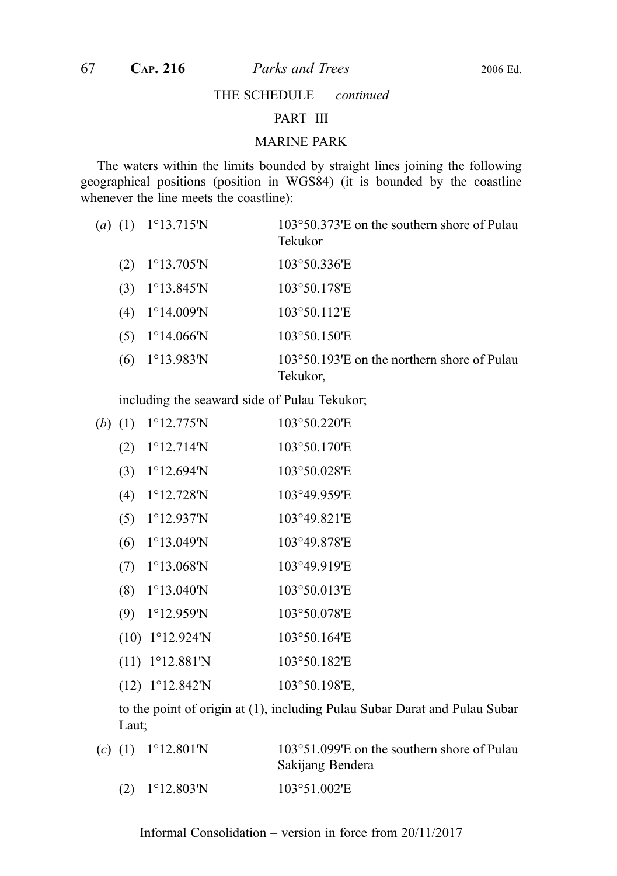THE SCHEDULE — continued

#### PART III

#### MARINE PARK

The waters within the limits bounded by straight lines joining the following geographical positions (position in WGS84) (it is bounded by the coastline whenever the line meets the coastline):

| $(a)$ (1) | $1^{\circ}13.715^{\prime}N$ | 103°50.373'E on the southern shore of Pulau<br>Tekukor           |
|-----------|-----------------------------|------------------------------------------------------------------|
| (2)       | $1^{\circ}13.705^{\prime}N$ | 103°50.336'E                                                     |
| (3)       | $1^{\circ}13.845^{\prime}N$ | 103°50.178'E                                                     |
| (4)       | $1^{\circ}14.009'N$         | 103°50.112'E                                                     |
| (5)       | $1^{\circ}14.066^{\prime}N$ | 103°50.150'E                                                     |
| (6)       | $1^{\circ}13.983^{\prime}N$ | $103^{\circ}50.193$ E on the northern shore of Pulau<br>Tekukor, |

including the seaward side of Pulau Tekukor;

| ( <i>b</i> ) | (1)  | $1^{\circ}12.775^{\prime}N$ | 103°50.220'E  |
|--------------|------|-----------------------------|---------------|
|              | (2)  | $1^{\circ}12.714$ 'N        | 103°50.170'E  |
|              | (3)  | $1^{\circ}12.694^{\prime}N$ | 103°50.028'E  |
|              | (4)  | $1^{\circ}12.728$ 'N        | 103°49.959'E  |
|              | (5)  | $1^{\circ}12.937$ 'N        | 103°49.821'E  |
|              | (6)  | $1^{\circ}13.049^{\prime}N$ | 103°49.878'E  |
|              | (7)  | $1^{\circ}13.068'$ N        | 103°49.919'E  |
|              | (8)  | $1^{\circ}13.040$ 'N        | 103°50.013'E  |
|              | (9)  | $1^{\circ}12.959^{\prime}N$ | 103°50.078'E  |
|              | (10) | $1^{\circ}12.924^{\circ}N$  | 103°50.164'E  |
|              | (11) | $1^{\circ}12.881^{\prime}N$ | 103°50.182'E  |
|              | (12) | $1^{\circ}12.842^{\prime}N$ | 103°50.198'E, |
|              |      |                             |               |

to the point of origin at (1), including Pulau Subar Darat and Pulau Subar Laut;

| (c) (1) $1^{\circ}12.801^{\circ}$ N | $103^{\circ}51.099$ E on the southern shore of Pulau<br>Sakijang Bendera |
|-------------------------------------|--------------------------------------------------------------------------|
| $(2)$ 1°12.803'N                    | 103°51.002'E                                                             |

Informal Consolidation – version in force from 20/11/2017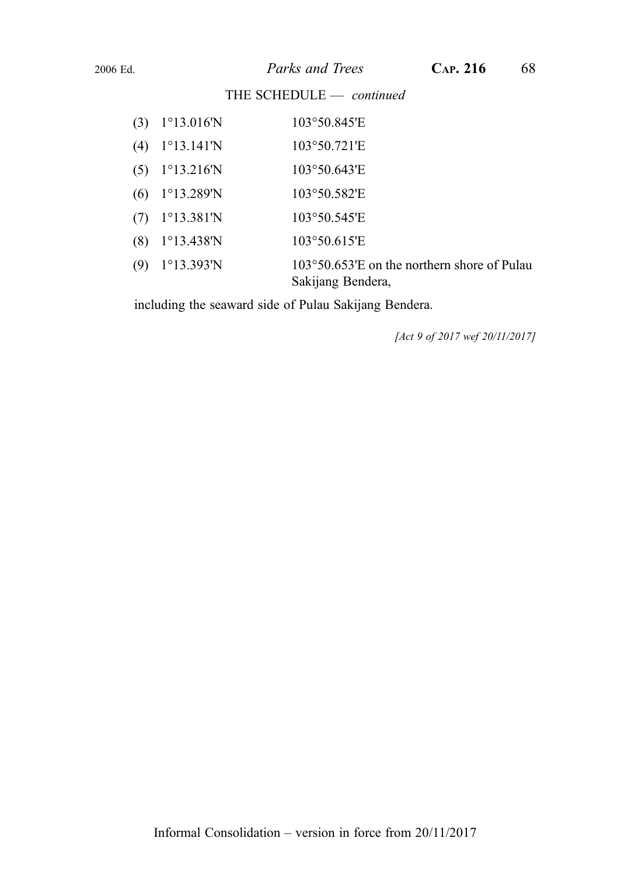THE SCHEDULE - continued

| (3) | $1^{\circ}13.016^{\prime}N$ | 103°50.845'E                                                               |
|-----|-----------------------------|----------------------------------------------------------------------------|
| (4) | $1^{\circ}13.141^{\circ}N$  | 103°50.721'E                                                               |
| (5) | $1^{\circ}13.216^{\prime}N$ | $103^{\circ}50.643^{\circ}E$                                               |
| (6) | $1^{\circ}13.289^{\prime}N$ | 103°50.582'E                                                               |
| (7) | $1^{\circ}13.381^{\circ}N$  | 103°50.545'E                                                               |
| (8) | $1^{\circ}13.438^{\prime}N$ | 103°50.615'E                                                               |
| (9) | $1^{\circ}13.393^{\prime}N$ | $103^{\circ}50.653'$ E on the northern shore of Pulau<br>Sakijang Bendera, |

including the seaward side of Pulau Sakijang Bendera.

[Act 9 of 2017 wef 20/11/2017]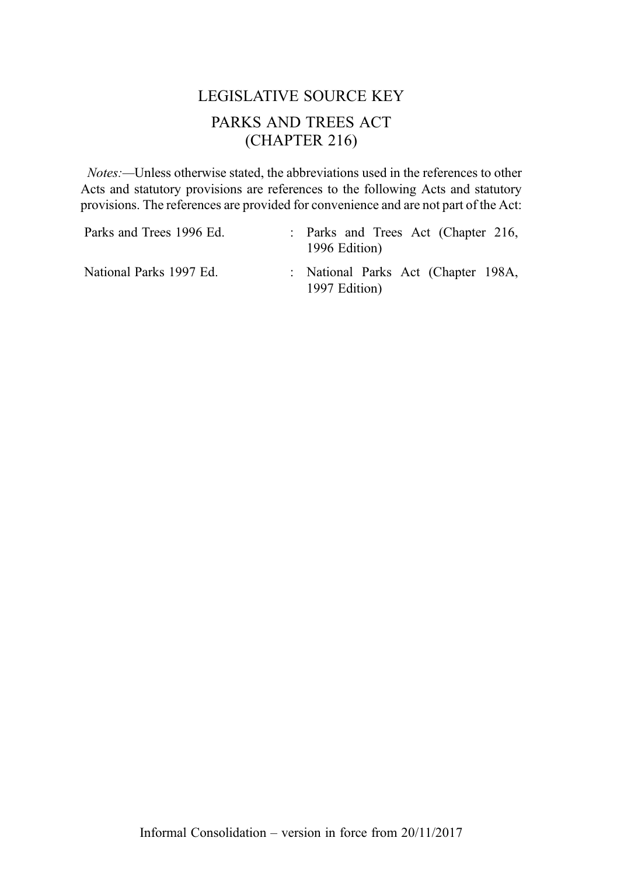# LEGISLATIVE SOURCE KEY PARKS AND TREES ACT (CHAPTER 216)

Notes:—Unless otherwise stated, the abbreviations used in the references to other Acts and statutory provisions are references to the following Acts and statutory provisions. The references are provided for convenience and are not part of the Act:

| Parks and Trees 1996 Ed. | : Parks and Trees Act (Chapter 216,<br>1996 Edition) |
|--------------------------|------------------------------------------------------|
| National Parks 1997 Ed.  | : National Parks Act (Chapter 198A,<br>1997 Edition) |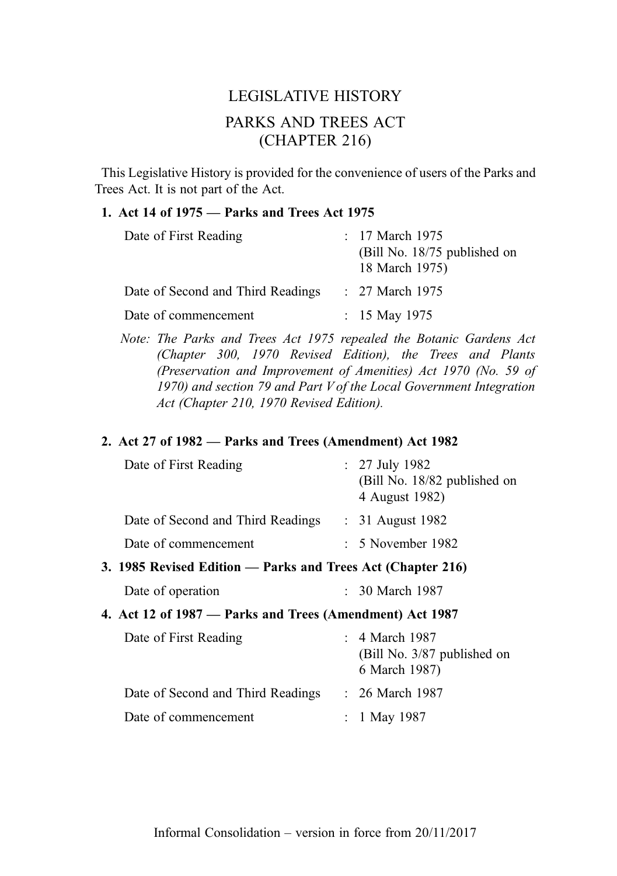# LEGISLATIVE HISTORY PARKS AND TREES ACT (CHAPTER 216)

This Legislative History is provided for the convenience of users of the Parks and Trees Act. It is not part of the Act.

#### 1. Act 14 of 1975 — Parks and Trees Act 1975

| Date of First Reading             | : $17$ March $1975$<br>(Bill No. 18/75 published on<br>18 March 1975) |
|-----------------------------------|-----------------------------------------------------------------------|
| Date of Second and Third Readings | $: 27$ March 1975                                                     |
| Date of commencement              | : $15$ May 1975                                                       |

Note: The Parks and Trees Act 1975 repealed the Botanic Gardens Act (Chapter 300, 1970 Revised Edition), the Trees and Plants (Preservation and Improvement of Amenities) Act 1970 (No. 59 of 1970) and section 79 and Part V of the Local Government Integration Act (Chapter 210, 1970 Revised Edition).

#### 2. Act 27 of 1982 — Parks and Trees (Amendment) Act 1982

| Date of First Reading                                       | $: 27$ July 1982<br>(Bill No. 18/82 published on<br>4 August 1982) |
|-------------------------------------------------------------|--------------------------------------------------------------------|
| Date of Second and Third Readings                           | $\therefore$ 31 August 1982                                        |
| Date of commencement                                        | $: 5$ November 1982                                                |
| 3. 1985 Revised Edition — Parks and Trees Act (Chapter 216) |                                                                    |
| Date of operation                                           | 30 March 1987                                                      |
| 4. Act 12 of 1987 — Parks and Trees (Amendment) Act 1987    |                                                                    |
|                                                             |                                                                    |

| Date of First Reading             | $\therefore$ 4 March 1987                    |  |
|-----------------------------------|----------------------------------------------|--|
|                                   | (Bill No. 3/87 published on<br>6 March 1987) |  |
| Date of Second and Third Readings | $: 26$ March 1987                            |  |
| Date of commencement              | : 1 May 1987                                 |  |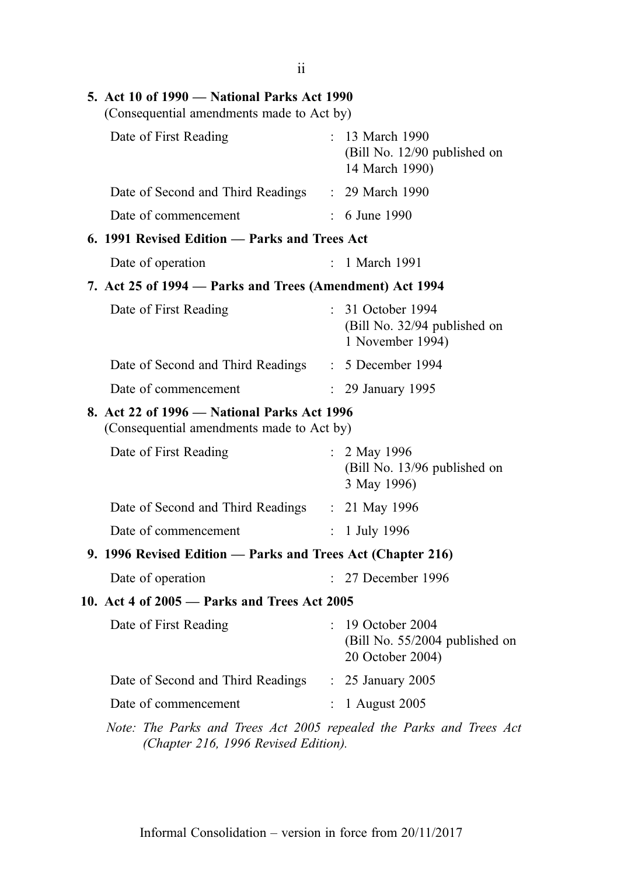| 5. Act 10 of 1990 — National Parks Act 1990<br>(Consequential amendments made to Act by) |                |                                                                         |  |  |
|------------------------------------------------------------------------------------------|----------------|-------------------------------------------------------------------------|--|--|
| Date of First Reading                                                                    |                | : 13 March 1990<br>(Bill No. 12/90 published on<br>14 March 1990)       |  |  |
| Date of Second and Third Readings : 29 March 1990                                        |                |                                                                         |  |  |
| Date of commencement                                                                     | $\mathcal{L}$  | 6 June 1990                                                             |  |  |
| 6. 1991 Revised Edition - Parks and Trees Act                                            |                |                                                                         |  |  |
| Date of operation                                                                        |                | 1 March 1991                                                            |  |  |
| 7. Act 25 of 1994 – Parks and Trees (Amendment) Act 1994                                 |                |                                                                         |  |  |
| Date of First Reading                                                                    | ÷.             | 31 October 1994<br>(Bill No. 32/94 published on<br>1 November 1994)     |  |  |
| Date of Second and Third Readings                                                        |                | $: 5$ December 1994                                                     |  |  |
| Date of commencement                                                                     |                | : 29 January 1995                                                       |  |  |
| 8. Act 22 of 1996 - National Parks Act 1996<br>(Consequential amendments made to Act by) |                |                                                                         |  |  |
| Date of First Reading                                                                    |                | : 2 May 1996<br>(Bill No. 13/96 published on<br>3 May 1996)             |  |  |
| Date of Second and Third Readings : 21 May 1996                                          |                |                                                                         |  |  |
| Date of commencement                                                                     | $\ddot{\cdot}$ | 1 July 1996                                                             |  |  |
| 9. 1996 Revised Edition - Parks and Trees Act (Chapter 216)                              |                |                                                                         |  |  |
| Date of operation                                                                        |                | 27 December 1996                                                        |  |  |
| 10. Act 4 of 2005 - Parks and Trees Act 2005                                             |                |                                                                         |  |  |
| Date of First Reading                                                                    |                | : 19 October 2004<br>(Bill No. 55/2004 published on<br>20 October 2004) |  |  |
| Date of Second and Third Readings                                                        |                | : 25 January 2005                                                       |  |  |
| Date of commencement                                                                     |                | 1 August 2005                                                           |  |  |

Note: The Parks and Trees Act 2005 repealed the Parks and Trees Act (Chapter 216, 1996 Revised Edition).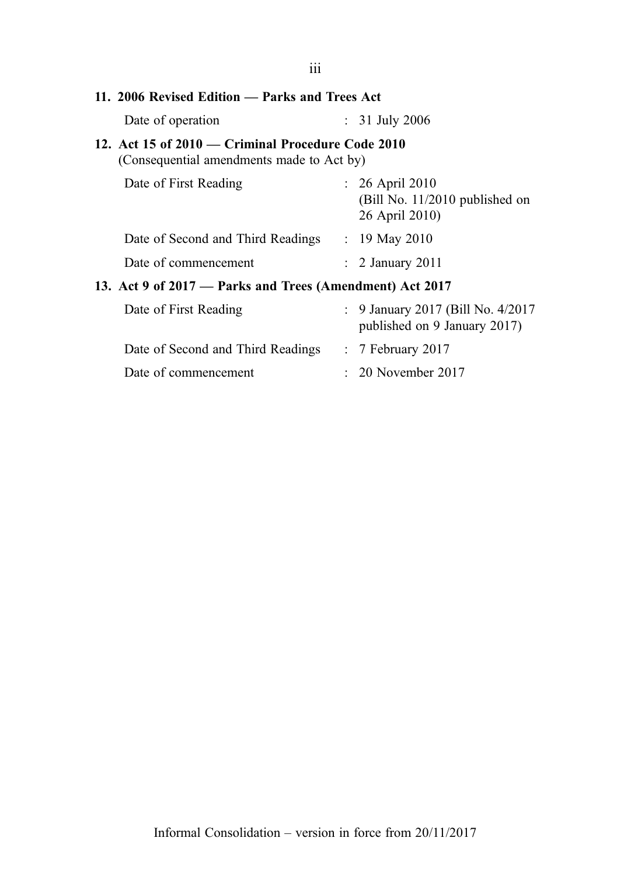| 111                                                                                                |                                                                       |
|----------------------------------------------------------------------------------------------------|-----------------------------------------------------------------------|
| 11. 2006 Revised Edition — Parks and Trees Act                                                     |                                                                       |
| Date of operation                                                                                  | $: 31$ July 2006                                                      |
| 12. Act 15 of $2010$ — Criminal Procedure Code $2010$<br>(Consequential amendments made to Act by) |                                                                       |
| Date of First Reading                                                                              | $: 26$ April 2010<br>(Bill No. 11/2010 published on<br>26 April 2010) |
| Date of Second and Third Readings                                                                  | : 19 May 2010                                                         |
| Date of commencement                                                                               | $\therefore$ 2 January 2011                                           |
| 13. Act 9 of 2017 — Parks and Trees (Amendment) Act 2017                                           |                                                                       |
| Date of First Reading                                                                              | : 9 January 2017 (Bill No. 4/2017)<br>published on 9 January 2017)    |
| Date of Second and Third Readings                                                                  | $\therefore$ 7 February 2017                                          |
| Date of commencement                                                                               | $\approx 20$ November 2017                                            |
|                                                                                                    |                                                                       |